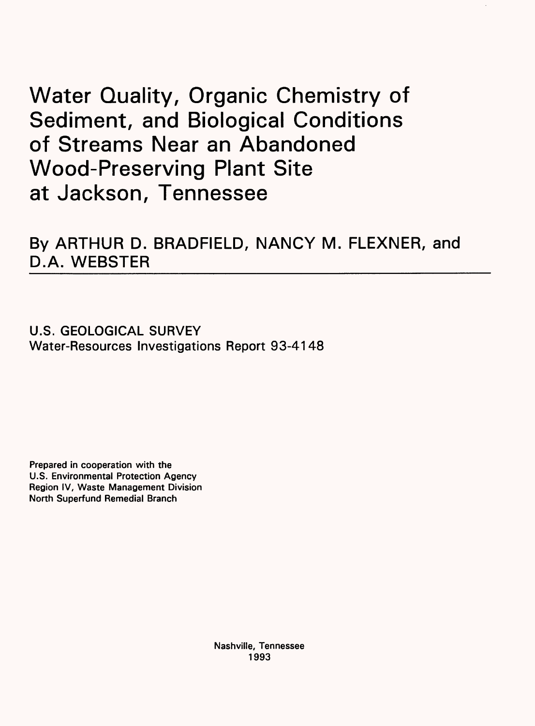# Water Quality, Organic Chemistry of Sediment, and Biological Conditions of Streams Near an Abandoned Wood-Preserving Plant Site at Jackson, Tennessee

By ARTHUR D. BRADFIELD, NANCY M. FLEXNER, and D.A. WEBSTER

U.S. GEOLOGICAL SURVEY Water-Resources Investigations Report 93-4148

Prepared in cooperation with the U.S. Environmental Protection Agency Region IV, Waste Management Division North Superfund Remedial Branch

> Nashville, Tennessee 1993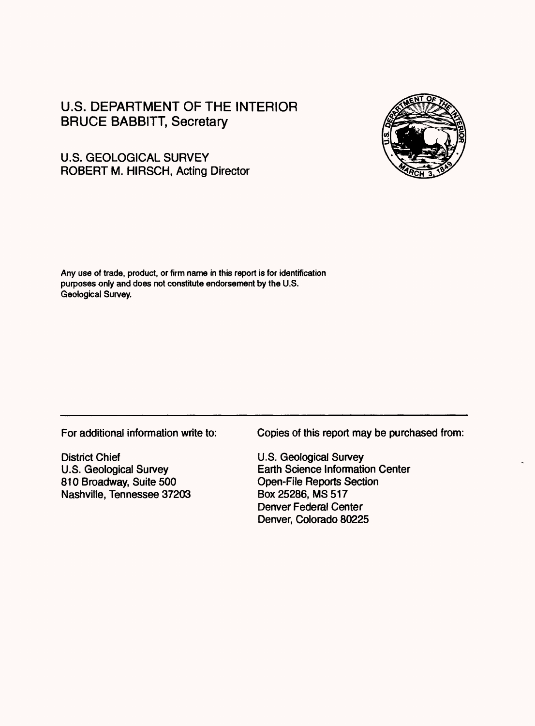## U.S. DEPARTMENT OF THE INTERIOR BRUCE BABBITT, Secretary



### U.S. GEOLOGICAL SURVEY ROBERT M. HIRSCH, Acting Director

Any use of trade, product, or firm name in this report is for identification purposes only and does not constitute endorsement by the U.S. Geological Survey.

For additional information write to:

District Chief U.S. Geological Survey 810 Broadway, Suite 500 Nashville, Tennessee 37203 Copies of this report may be purchased from:

U.S. Geological Survey Earth Science Information Center Open-File Reports Section Box25286, MS 517 Denver Federal Center Denver, Colorado 80225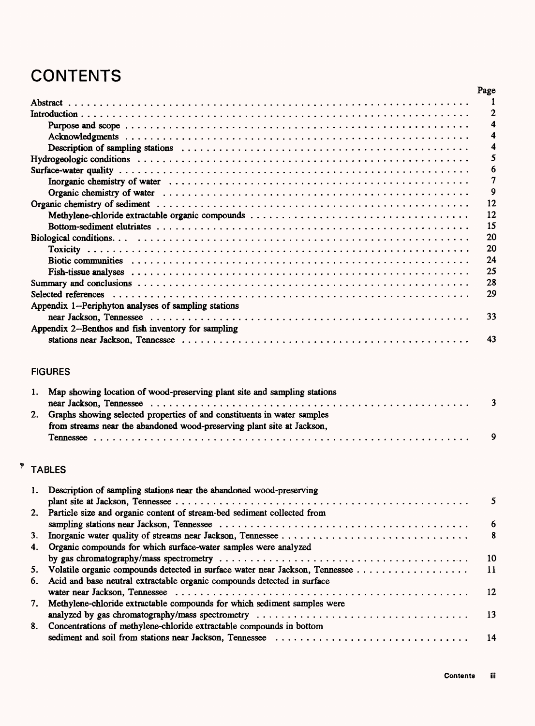# **CONTENTS**

|                                                      | Page |
|------------------------------------------------------|------|
|                                                      |      |
|                                                      |      |
|                                                      |      |
|                                                      |      |
|                                                      |      |
|                                                      |      |
|                                                      |      |
|                                                      |      |
|                                                      | 9    |
|                                                      | 12   |
|                                                      | 12   |
|                                                      | 15   |
|                                                      | 20   |
|                                                      | 20   |
|                                                      | 24   |
|                                                      | 25   |
|                                                      | 28   |
|                                                      | 29   |
| Appendix 1--Periphyton analyses of sampling stations |      |
|                                                      | 33   |
| Appendix 2--Benthos and fish inventory for sampling  |      |
|                                                      | 43   |

### FIGURES

| 1. Map showing location of wood-preserving plant site and sampling stations |  |
|-----------------------------------------------------------------------------|--|
|                                                                             |  |
| 2. Graphs showing selected properties of and constituents in water samples  |  |
| from streams near the abandoned wood-preserving plant site at Jackson,      |  |
|                                                                             |  |
|                                                                             |  |

# **\*** TABLES

| 1. Description of sampling stations near the abandoned wood-preserving          |                 |
|---------------------------------------------------------------------------------|-----------------|
|                                                                                 | 5               |
| 2. Particle size and organic content of stream-bed sediment collected from      |                 |
|                                                                                 | -6              |
|                                                                                 | 8               |
| 4. Organic compounds for which surface-water samples were analyzed              |                 |
|                                                                                 | $\overline{10}$ |
| 5. Volatile organic compounds detected in surface water near Jackson, Tennessee | $-11$           |
| 6. Acid and base neutral extractable organic compounds detected in surface      |                 |
|                                                                                 | 12              |
| 7. Methylene-chloride extractable compounds for which sediment samples were     |                 |
|                                                                                 |                 |
| 8. Concentrations of methylene-chloride extractable compounds in bottom         |                 |
|                                                                                 |                 |
|                                                                                 |                 |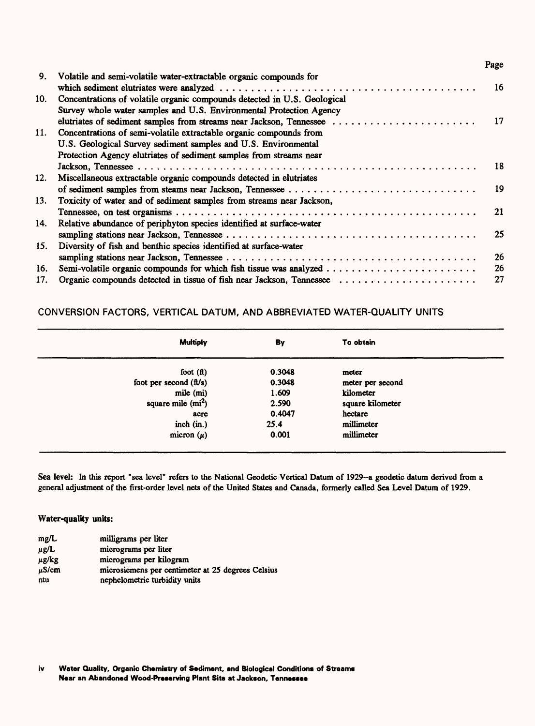| 9.  | Volatile and semi-volatile water-extractable organic compounds for       | <b>16</b> |
|-----|--------------------------------------------------------------------------|-----------|
|     |                                                                          |           |
| 10. | Concentrations of volatile organic compounds detected in U.S. Geological |           |
|     | Survey whole water samples and U.S. Environmental Protection Agency      |           |
|     | elutriates of sediment samples from streams near Jackson, Tennessee      | 17        |
| 11. | Concentrations of semi-volatile extractable organic compounds from       |           |
|     | U.S. Geological Survey sediment samples and U.S. Environmental           |           |
|     | Protection Agency elutriates of sediment samples from streams near       |           |
|     |                                                                          | 18        |
| 12. | Miscellaneous extractable organic compounds detected in elutriates       |           |
|     |                                                                          | 19        |
| 13. | Toxicity of water and of sediment samples from streams near Jackson,     |           |
|     |                                                                          | 21        |
| 14. | Relative abundance of periphyton species identified at surface-water     |           |
|     |                                                                          | 25        |
| 15. | Diversity of fish and benthic species identified at surface-water        |           |
|     |                                                                          | 26        |
| 16. |                                                                          | 26        |
| 17. | Organic compounds detected in tissue of fish near Jackson, Tennessee     | 27        |
|     |                                                                          |           |

Page

### CONVERSION FACTORS, VERTICAL DATUM, AND ABBREVIATED WATER-QUALITY UNITS

| Multiply                 | By     | To obtain        |  |
|--------------------------|--------|------------------|--|
| foot $(ft)$              | 0.3048 | meter            |  |
| foot per second $(ft/s)$ | 0.3048 | meter per second |  |
| mile (mi)                | 1.609  | kilometer        |  |
| square mile $(mi^2)$     | 2.590  | square kilometer |  |
| асте                     | 0.4047 | hectare          |  |
| inch $(in.)$             | 25.4   | millimeter       |  |
| micron $(\mu)$           | 0.001  | millimeter       |  |

**Sea level:** In this report "sea level" refers to the National Geodetic Vertical Datum of 1929-a geodetic datum derived from a general adjustment of the first-order level nets of the United States and Canada, formerly called Sea Level Datum of 1929.

#### **Water-quality units:**

| mg/L       | milligrams per liter                              |
|------------|---------------------------------------------------|
| $\mu$ g/L  | micrograms per liter                              |
| $\mu$ g/kg | micrograms per kilogram                           |
| $\mu$ S/cm | microsiemens per centimeter at 25 degrees Celsius |
| ntu        | nephelometric turbidity units                     |

**iv Water Quality, Organic Chemistry of Sediment, and Biological Conditions of Streams Near an Abandoned Wood-Preserving Plant Site at Jackson, Tennessee**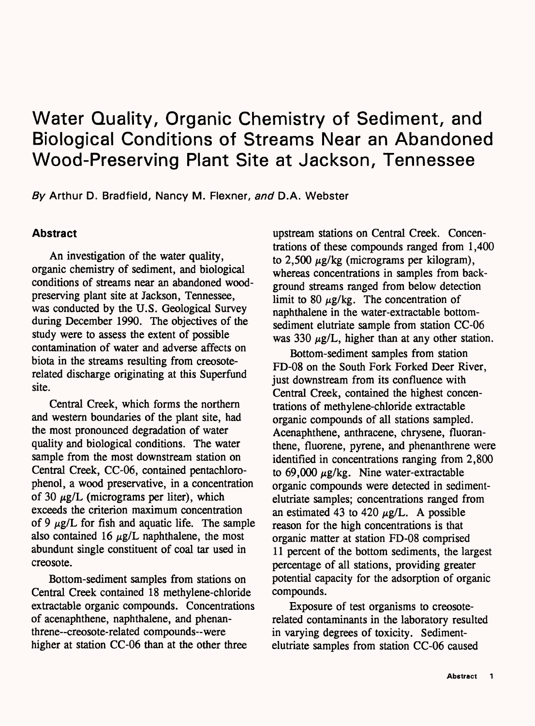# Water Quality, Organic Chemistry of Sediment, and Biological Conditions of Streams Near an Abandoned Wood-Preserving Plant Site at Jackson, Tennessee

By Arthur D. Bradfield, Nancy M. Flexner, and D.A. Webster

### **Abstract**

An investigation of the water quality, organic chemistry of sediment, and biological conditions of streams near an abandoned woodpreserving plant site at Jackson, Tennessee, was conducted by the U.S. Geological Survey during December 1990. The objectives of the study were to assess the extent of possible contamination of water and adverse affects on biota in the streams resulting from creosoterelated discharge originating at this Superfund site.

Central Creek, which forms the northern and western boundaries of the plant site, had the most pronounced degradation of water quality and biological conditions. The water sample from the most downstream station on Central Creek, CC-06, contained pentachlorophenol, a wood preservative, in a concentration of 30  $\mu$ g/L (micrograms per liter), which exceeds the criterion maximum concentration of 9  $\mu$ g/L for fish and aquatic life. The sample also contained 16  $\mu$ g/L naphthalene, the most abundunt single constituent of coal tar used in creosote.

Bottom-sediment samples from stations on Central Creek contained 18 methylene-chloride extractable organic compounds. Concentrations of acenaphthene, naphthalene, and phenanthrene--creosote-related compounds--were higher at station CC-06 than at the other three

upstream stations on Central Creek. Concentrations of these compounds ranged from 1,400 to  $2,500 \mu$ g/kg (micrograms per kilogram), whereas concentrations in samples from background streams ranged from below detection limit to 80  $\mu$ g/kg. The concentration of naphthalene in the water-extractable bottomsediment elutriate sample from station CC-06 was 330  $\mu$ g/L, higher than at any other station.

Bottom-sediment samples from station FD-08 on the South Fork Forked Deer River, just downstream from its confluence with Central Creek, contained the highest concentrations of methylene-chloride extractable organic compounds of all stations sampled. Acenaphthene, anthracene, chrysene, fluoranthene, fluorene, pyrene, and phenanthrene were identified in concentrations ranging from 2,800 to  $69,000 \mu g/kg$ . Nine water-extractable organic compounds were detected in sedimentelutriate samples; concentrations ranged from an estimated 43 to 420  $\mu$ g/L. A possible reason for the high concentrations is that organic matter at station FD-08 comprised 11 percent of the bottom sediments, the largest percentage of all stations, providing greater potential capacity for the adsorption of organic compounds.

Exposure of test organisms to creosoterelated contaminants in the laboratory resulted in varying degrees of toxicity. Sedimentelutriate samples from station CC-06 caused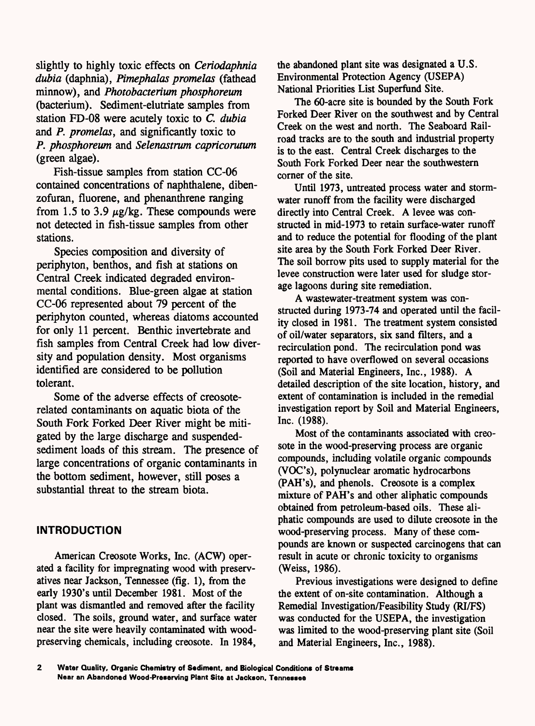slightly to highly toxic effects on *Ceriodaphnia dubia* (daphnia), *Pimephalas promelas* (fathead minnow), and *Photobacterium phosphoreum*  (bacterium). Sediment-elutriate samples from station FD-08 were acutely toxic to *C. dubia*  and P. *promelas,* and significantly toxic to P. *phosphoreum* and *Selenastrum capricorutum*  (green algae).

Fish-tissue samples from station CC-06 contained concentrations of naphthalene, dibenzofuran, fluorene, and phenanthrene ranging from 1.5 to 3.9  $\mu$ g/kg. These compounds were not detected in fish-tissue samples from other stations.

Species composition and diversity of periphyton, benthos, and fish at stations on Central Creek indicated degraded environmental conditions. Blue-green algae at station CC-06 represented about 79 percent of the periphyton counted, whereas diatoms accounted for only 11 percent. Benthic invertebrate and fish samples from Central Creek had low diversity and population density. Most organisms identified are considered to be pollution tolerant.

Some of the adverse effects of creosoterelated contaminants on aquatic biota of the South Fork Forked Deer River might be mitigated by the large discharge and suspendedsediment loads of this stream. The presence of large concentrations of organic contaminants in the bottom sediment, however, still poses a substantial threat to the stream biota.

### **INTRODUCTION**

American Creosote Works, Inc. (ACW) operated a facility for impregnating wood with preservatives near Jackson, Tennessee (fig. 1), from the early 1930's until December 1981. Most of the plant was dismantled and removed after the facility closed. The soils, ground water, and surface water near the site were heavily contaminated with woodpreserving chemicals, including creosote. In 1984,

the abandoned plant site was designated a U.S. Environmental Protection Agency (USEPA) National Priorities List Superfund Site.

The 60-acre site is bounded by the South Fork Forked Deer River on the southwest and by Central Creek on the west and north. The Seaboard Railroad tracks are to the south and industrial property is to the east. Central Creek discharges to the South Fork Forked Deer near the southwestern corner of the site.

Until 1973, untreated process water and stormwater runoff from the facility were discharged directly into Central Creek. A levee was constructed in mid-1973 to retain surface-water runoff and to reduce the potential for flooding of the plant site area by the South Fork Forked Deer River. The soil borrow pits used to supply material for the levee construction were later used for sludge storage lagoons during site remediation.

A wastewater-treatment system was constructed during 1973-74 and operated until the facility closed in 1981. The treatment system consisted of oil/water separators, six sand filters, and a recirculation pond. The recirculation pond was reported to have overflowed on several occasions (Soil and Material Engineers, Inc., 1988). A detailed description of the site location, history, and extent of contamination is included in the remedial investigation report by Soil and Material Engineers, Inc. (1988).

Most of the contaminants associated with creosote in the wood-preserving process are organic compounds, including volatile organic compounds (VOC's), polynuclear aromatic hydrocarbons (PAH's), and phenols. Creosote is a complex mixture of PAH's and other aliphatic compounds obtained from petroleum-based oils. These aliphatic compounds are used to dilute creosote in the wood-preserving process. Many of these compounds are known or suspected carcinogens that can result in acute or chronic toxicity to organisms (Weiss, 1986).

Previous investigations were designed to define the extent of on-site contamination. Although a Remedial Investigation/Feasibility Study (RI/FS) was conducted for the USEPA, the investigation was limited to the wood-preserving plant site (Soil and Material Engineers, Inc., 1988).

 $\overline{\mathbf{2}}$ Water Quality, Organic Chemistry of Sediment, and Biological Conditions of Streams **Near an Abandoned Wood-Preserving Plant Site at Jackson, Tennessee**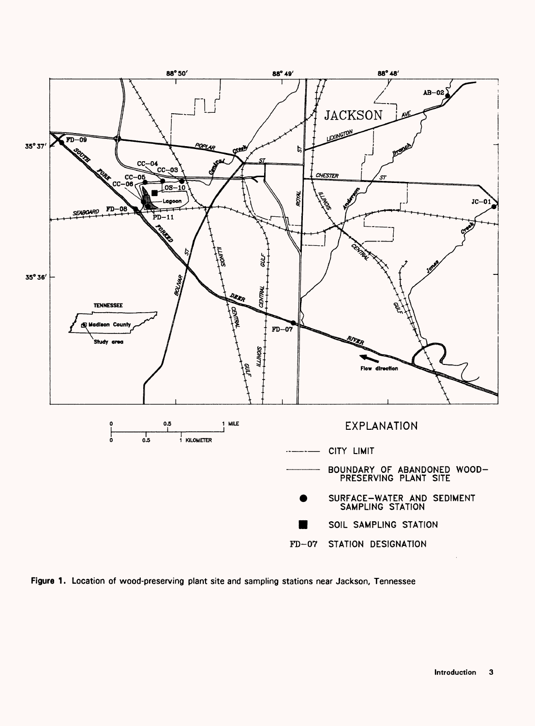

**Figure 1** . Location of wood-preserving plant site and sampling stations near Jackson, Tennessee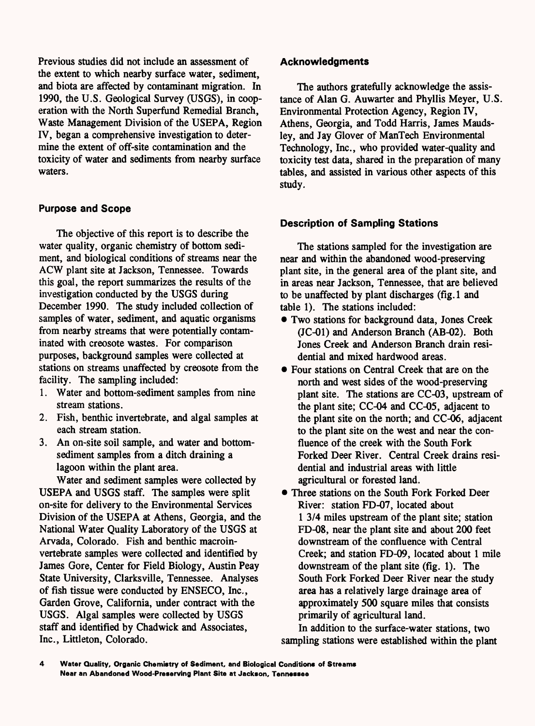Previous studies did not include an assessment of the extent to which nearby surface water, sediment, and biota are affected by contaminant migration. In 1990, the U.S. Geological Survey (USGS), in cooperation with the North Superfund Remedial Branch, Waste Management Division of the USEPA, Region IV, began a comprehensive investigation to determine the extent of off-site contamination and the toxicity of water and sediments from nearby surface waters.

### **Purpose and Scope**

The objective of this report is to describe the water quality, organic chemistry of bottom sediment, and biological conditions of streams near the ACW plant site at Jackson, Tennessee. Towards this goal, the report summarizes the results of the investigation conducted by the USGS during December 1990. The study included collection of samples of water, sediment, and aquatic organisms from nearby streams that were potentially contaminated with creosote wastes. For comparison purposes, background samples were collected at stations on streams unaffected by creosote from the facility. The sampling included:

- 1. Water and bottom-sediment samples from nine stream stations.
- 2. Fish, benthic invertebrate, and algal samples at each stream station.
- 3. An on-site soil sample, and water and bottomsediment samples from a ditch draining a lagoon within the plant area.

Water and sediment samples were collected by USEPA and USGS staff. The samples were split on-site for delivery to the Environmental Services Division of the USEPA at Athens, Georgia, and the National Water Quality Laboratory of the USGS at Arvada, Colorado. Fish and benthic macroinvertebrate samples were collected and identified by James Gore, Center for Field Biology, Austin Peay State University, Clarksville, Tennessee. Analyses of fish tissue were conducted by ENSECO, Inc., Garden Grove, California, under contract with the USGS. Algal samples were collected by USGS staff and identified by Chadwick and Associates, Inc., Littleton, Colorado.

### **Acknowledgments**

The authors gratefully acknowledge the assistance of Alan G. Auwarter and Phyllis Meyer, U.S. Environmental Protection Agency, Region IV, Athens, Georgia, and Todd Harris, James Maudsley, and Jay Glover of ManTech Environmental Technology, Inc., who provided water-quality and toxicity test data, shared in the preparation of many tables, and assisted in various other aspects of this study.

### **Description of Sampling Stations**

The stations sampled for the investigation are near and within the abandoned wood-preserving plant site, in the general area of the plant site, and in areas near Jackson, Tennessee, that are believed to be unaffected by plant discharges (fig. 1 and table 1). The stations included:

- Two stations for background data, Jones Creek (JC-01) and Anderson Branch (AB-02). Both Jones Creek and Anderson Branch drain residential and mixed hardwood areas.
- Four stations on Central Creek that are on the north and west sides of the wood-preserving plant site. The stations are CC-03, upstream of the plant site; CC-04 and CC-05, adjacent to the plant site on the north; and CC-06, adjacent to the plant site on the west and near the confluence of the creek with the South Fork Forked Deer River. Central Creek drains residential and industrial areas with little agricultural or forested land.
- Three stations on the South Fork Forked Deer River: station FD-07, located about 1 3/4 miles upstream of the plant site; station FD-08, near the plant site and about 200 feet downstream of the confluence with Central Creek; and station FD-09, located about 1 mile downstream of the plant site (fig. 1). The South Fork Forked Deer River near the study area has a relatively large drainage area of approximately 500 square miles that consists primarily of agricultural land.

In addition to the surface-water stations, two sampling stations were established within the plant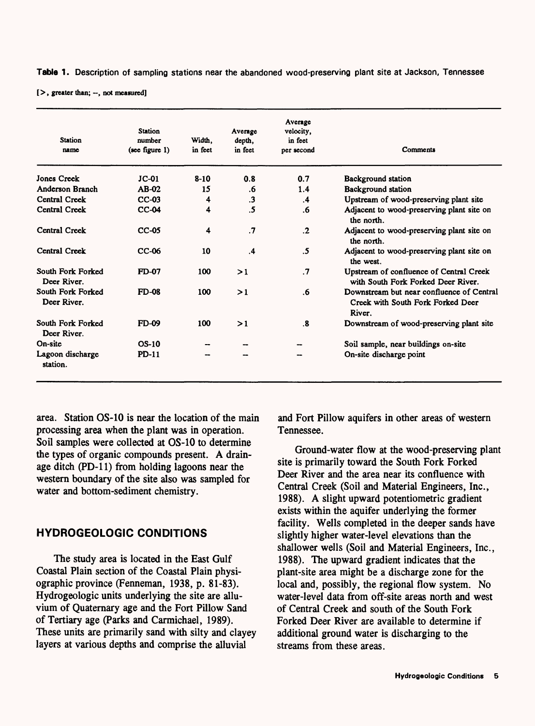**Table 1** . Description of sampling stations near the abandoned wood-preserving plant site at Jackson, Tennessee

 $[ >,$  greater than;  $-$ , not measured]

| <b>Station</b><br>name           | <b>Station</b><br>number<br>(see figure 1) | Width.<br>in feet | Average<br>depth,<br>in feet | Average<br>velocity.<br>in feet<br>per second | Comments                                                                                 |
|----------------------------------|--------------------------------------------|-------------------|------------------------------|-----------------------------------------------|------------------------------------------------------------------------------------------|
| <b>Jones Creek</b>               | $JC-01$                                    | $8 - 10$          | 0.8                          | 0.7                                           | <b>Background station</b>                                                                |
| Anderson Branch                  | AB-02                                      | 15                | .6                           | 1.4                                           | Background station                                                                       |
| Central Creek                    | $CC-03$                                    | 4                 | $\cdot$ 3                    | $\cdot$                                       | Upstream of wood-preserving plant site                                                   |
| Central Creek                    | $CC-04$                                    | 4                 | .5                           | .6                                            | Adjacent to wood-preserving plant site on<br>the north.                                  |
| Central Creek                    | $CC-05$                                    | 4                 | $\cdot$                      | $\cdot$                                       | Adjacent to wood-preserving plant site on<br>the north.                                  |
| Central Creek                    | CC-06                                      | 10                | $\mathbf{.4}$                | .5                                            | Adjacent to wood-preserving plant site on<br>the west.                                   |
| South Fork Forked<br>Deer River. | FD-07                                      | 100               | >1                           | $\cdot$                                       | Upstream of confluence of Central Creek<br>with South Fork Forked Deer River.            |
| South Fork Forked<br>Deer River. | <b>FD-08</b>                               | 100               | >1                           | .6                                            | Downstream but near confluence of Central<br>Creek with South Fork Forked Deer<br>River. |
| South Fork Forked<br>Deer River. | <b>FD-09</b>                               | 100               | >1                           | .8                                            | Downstream of wood-preserving plant site                                                 |
| On-site                          | $OS-10$                                    |                   |                              |                                               | Soil sample, near buildings on-site                                                      |
| Lagoon discharge<br>station.     | <b>PD-11</b>                               |                   |                              |                                               | On-site discharge point                                                                  |

area. Station OS-10 is near the location of the main processing area when the plant was in operation. Soil samples were collected at OS-10 to determine the types of organic compounds present. A drainage ditch (PD-11) from holding lagoons near the western boundary of the site also was sampled for water and bottom-sediment chemistry.

### **HYDROGEOLOGIC CONDITIONS**

The study area is located in the East Gulf Coastal Plain section of the Coastal Plain physiographic province (Fenneman, 1938, p. 81-83). Hydrogeologic units underlying the site are alluvium of Quaternary age and the Fort Pillow Sand of Tertiary age (Parks and Carmichael, 1989). These units are primarily sand with silty and clayey layers at various depths and comprise the alluvial

and Fort Pillow aquifers in other areas of western Tennessee.

Ground-water flow at the wood-preserving plant site is primarily toward the South Fork Forked Deer River and the area near its confluence with Central Creek (Soil and Material Engineers, Inc., 1988). A slight upward potentiometric gradient exists within the aquifer underlying the former facility. Wells completed in the deeper sands have slightly higher water-level elevations than the shallower wells (Soil and Material Engineers, Inc., 1988). The upward gradient indicates that the plant-site area might be a discharge zone for the local and, possibly, the regional flow system. No water-level data from off-site areas north and west of Central Creek and south of the South Fork Forked Deer River are available to determine if additional ground water is discharging to the streams from these areas.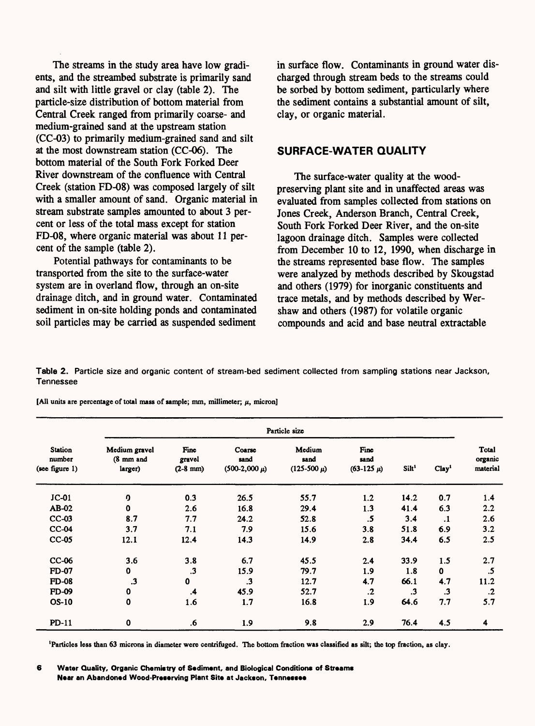The streams in the study area have low gradients, and the streambed substrate is primarily sand and silt with little gravel or clay (table 2). The particle-size distribution of bottom material from Central Creek ranged from primarily coarse- and medium-grained sand at the upstream station (CC-03) to primarily medium-grained sand and silt at the most downstream station (CC-06). The bottom material of the South Fork Forked Deer River downstream of the confluence with Central Creek (station FD-08) was composed largely of silt with a smaller amount of sand. Organic material in stream substrate samples amounted to about 3 percent or less of the total mass except for station FD-08, where organic material was about 11 percent of the sample (table 2).

Potential pathways for contaminants to be transported from the site to the surface-water system are in overland flow, through an on-site drainage ditch, and in ground water. Contaminated sediment in on-site holding ponds and contaminated soil particles may be carried as suspended sediment

in surface flow. Contaminants in ground water discharged through stream beds to the streams could be sorbed by bottom sediment, particularly where the sediment contains a substantial amount of silt, clay, or organic material.

#### **SURFACE-WATER QUALITY**

The surface-water quality at the woodpreserving plant site and in unaffected areas was evaluated from samples collected from stations on Jones Creek, Anderson Branch, Central Creek, South Fork Forked Deer River, and the on-site lagoon drainage ditch. Samples were collected from December 10 to 12, 1990, when discharge in the streams represented base flow. The samples were analyzed by methods described by Skougstad and others (1979) for inorganic constituents and trace metals, and by methods described by Wershaw and others (1987) for volatile organic compounds and acid and base neutral extractable

**Table 2.** Particle size and organic content of stream-bed sediment collected from sampling stations near Jackson, Tennessee

[All units are percentage of total mass of sample; mm, millimeter;  $\mu$ , micron]

|                                            |                                       |                               |                                     | Particle size                     |                                |                   |                   |                              |
|--------------------------------------------|---------------------------------------|-------------------------------|-------------------------------------|-----------------------------------|--------------------------------|-------------------|-------------------|------------------------------|
| <b>Station</b><br>number<br>(see figure 1) | Medium gravel<br>(8 mm and<br>larger) | Fine<br>gravel<br>$(2-8)$ mm) | Coarse<br>sand<br>$(500-2,000 \mu)$ | Medium<br>sand<br>$(125-500 \mu)$ | Fine<br>sand<br>$(63-125 \mu)$ | Silt <sup>1</sup> | Clay <sup>1</sup> | Total<br>organic<br>material |
| $JC-01$                                    | ŋ,                                    | 0.3                           | 26.5                                | 55.7                              | 1.2                            | 14.2              | 0.7               | 1.4                          |
| AB-02                                      | $\mathbf 0$                           | 2.6                           | 16.8                                | 29.4                              | 1.3                            | 41.4              | 6.3               | 2.2                          |
| $CC-03$                                    | 8.7                                   | 7.7                           | 24.2                                | 52.8                              | .5                             | 3.4               | $\cdot$           | 2.6                          |
| $CC-04$                                    | 3.7                                   | 7.1                           | 7.9                                 | 15.6                              | 3.8                            | 51.8              | 6.9               | 3.2                          |
| $CC-05$                                    | 12.1                                  | 12.4                          | 14.3                                | 14.9                              | 2.8                            | 34.4              | 6.5               | 2.5                          |
| CC-06                                      | 3.6                                   | 3.8                           | 6.7                                 | 45.5                              | 2.4                            | 33.9              | 1.5               | 2.7                          |
| <b>FD-07</b>                               | $\mathbf 0$                           | $\cdot$ 3                     | 15.9                                | 79.7                              | 1.9                            | 1.8               | $\bf{0}$          | .5                           |
| <b>FD-08</b>                               | $\cdot$ 3                             | 0                             | $\cdot$ 3                           | 12.7                              | 4.7                            | 66.1              | 4.7               | 11.2                         |
| <b>FD-09</b>                               | 0                                     | $\cdot$                       | 45.9                                | 52.7                              | $\cdot$                        | $\cdot$ 3         | $\cdot$ 3         | $\cdot$                      |
| <b>OS-10</b>                               | 0                                     | 1.6                           | 1.7                                 | 16.8                              | 1.9                            | 64.6              | 7.7               | 5.7                          |
| $PD-11$                                    | 0                                     | .6                            | 1.9                                 | 9.8                               | 2.9                            | 76.4              | 4.5               | 4                            |

**'Particles less than 63 microns in diameter were centrifuged. The bottom fraction was classified as silt; the top fraction, as clay.**

<sup>6</sup> **Water Quality, Organic Chemistry of Sediment, and Biological Conditions of Streams Near an Abandoned Wood-Preserving Plant Site at Jackson, Tennessee**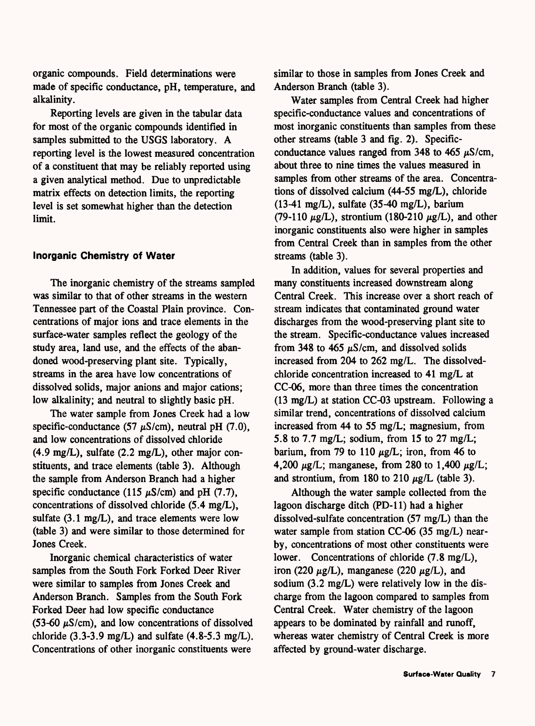organic compounds. Field determinations were made of specific conductance, pH, temperature, and alkalinity.

Reporting levels are given in the tabular data for most of the organic compounds identified in samples submitted to the USGS laboratory. A reporting level is the lowest measured concentration of a constituent that may be reliably reported using a given analytical method. Due to unpredictable matrix effects on detection limits, the reporting level is set somewhat higher than the detection limit.

### **Inorganic Chemistry of Water**

The inorganic chemistry of the streams sampled was similar to that of other streams in the western Tennessee part of the Coastal Plain province. Concentrations of major ions and trace elements in the surface-water samples reflect the geology of the study area, land use, and the effects of the abandoned wood-preserving plant site. Typically, streams in the area have low concentrations of dissolved solids, major anions and major cations; low alkalinity; and neutral to slightly basic pH.

The water sample from Jones Creek had a low specific-conductance (57  $\mu$ S/cm), neutral pH (7.0), and low concentrations of dissolved chloride (4.9 mg/L), sulfate (2.2 mg/L), other major constituents, and trace elements (table 3). Although the sample from Anderson Branch had a higher specific conductance (115  $\mu$ S/cm) and pH (7.7), concentrations of dissolved chloride (5.4 mg/L), sulfate (3.1 mg/L), and trace elements were low (table 3) and were similar to those determined for Jones Creek.

Inorganic chemical characteristics of water samples from the South Fork Forked Deer River were similar to samples from Jones Creek and Anderson Branch. Samples from the South Fork Forked Deer had low specific conductance (53-60  $\mu$ S/cm), and low concentrations of dissolved chloride  $(3.3-3.9 \text{ mg/L})$  and sulfate  $(4.8-5.3 \text{ mg/L})$ . Concentrations of other inorganic constituents were

similar to those in samples from Jones Creek and Anderson Branch (table 3).

Water samples from Central Creek had higher specific-conductance values and concentrations of most inorganic constituents than samples from these other streams (table 3 and fig. 2). Specificconductance values ranged from 348 to 465  $\mu$ S/cm, about three to nine times the values measured in samples from other streams of the area. Concentrations of dissolved calcium (44-55 mg/L), chloride (13-41 mg/L), sulfate (35-40 mg/L), barium (79-110  $\mu$ g/L), strontium (180-210  $\mu$ g/L), and other inorganic constituents also were higher in samples from Central Creek than in samples from the other streams (table 3).

In addition, values for several properties and many constituents increased downstream along Central Creek. This increase over a short reach of stream indicates that contaminated ground water discharges from the wood-preserving plant site to the stream. Specific-conductance values increased from 348 to 465  $\mu$ S/cm, and dissolved solids increased from 204 to 262 mg/L. The dissolvedchloride concentration increased to 41 mg/L at CC-06, more than three times the concentration (13 mg/L) at station CC-03 upstream. Following a similar trend, concentrations of dissolved calcium increased from 44 to 55 mg/L; magnesium, from 5.8 to 7.7 mg/L; sodium, from 15 to 27 mg/L; barium, from 79 to 110  $\mu$ g/L; iron, from 46 to 4,200  $\mu$ g/L; manganese, from 280 to 1,400  $\mu$ g/L; and strontium, from 180 to 210  $\mu$ g/L (table 3).

Although the water sample collected from the lagoon discharge ditch (PD-11) had a higher dissolved-sulfate concentration (57 mg/L) than the water sample from station CC-06 (35 mg/L) nearby, concentrations of most other constituents were lower. Concentrations of chloride (7.8 mg/L), iron (220  $\mu$ g/L), manganese (220  $\mu$ g/L), and sodium (3.2 mg/L) were relatively low in the discharge from the lagoon compared to samples from Central Creek. Water chemistry of the lagoon appears to be dominated by rainfall and runoff, whereas water chemistry of Central Creek is more affected by ground-water discharge.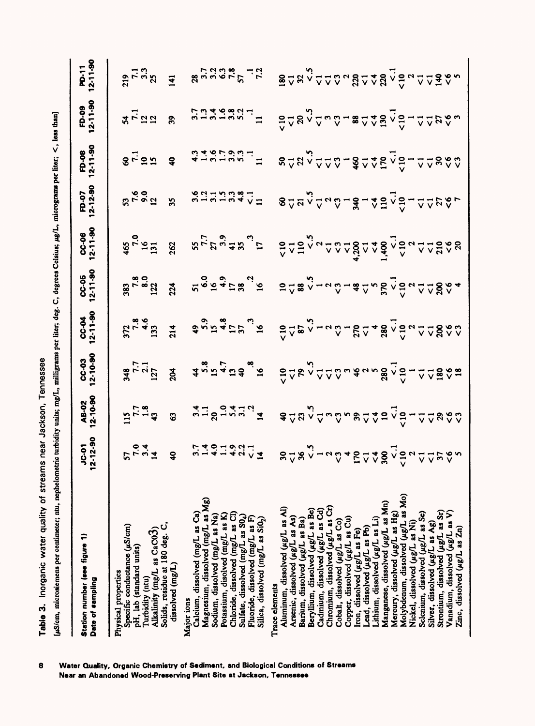|                                              | ົ<br>i<br>I<br>P<br>י<br>.<br>.<br>$\Delta$<br>without some final<br>:<br>$\frac{1}{2}$ |
|----------------------------------------------|-----------------------------------------------------------------------------------------|
| i<br>quality of streams near Jackson. I<br>ĺ | in the same form form form<br>ĺ<br>The month of Lorman<br>ļ                             |
| م<br>و<br>i                                  | ۔<br>د                                                                                  |

| Station number (see figure 1)<br>Date of sampling                                                                                                                            | $JC-01$<br>$2-12-90$                                                                                                                                                                                                                                                                                                | AB-02<br>12-10-90                            | CC-03<br>12-10-90                | CC-04<br>12-11-90                                                                                                                                                                                                                                                                   | CC-05<br>12-11-90                                                                                                                                                                                                                                                                                                                                                                                                        | CC-06<br>12-11-90                                                                                                                                                                                | FD-07<br>12-12-90                                                                                                                                                                                                                                                                                          | FD-08<br>12-11-90                                                  | FD-09<br>12-11-90                                   | PD-11<br>12-11-90               |
|------------------------------------------------------------------------------------------------------------------------------------------------------------------------------|---------------------------------------------------------------------------------------------------------------------------------------------------------------------------------------------------------------------------------------------------------------------------------------------------------------------|----------------------------------------------|----------------------------------|-------------------------------------------------------------------------------------------------------------------------------------------------------------------------------------------------------------------------------------------------------------------------------------|--------------------------------------------------------------------------------------------------------------------------------------------------------------------------------------------------------------------------------------------------------------------------------------------------------------------------------------------------------------------------------------------------------------------------|--------------------------------------------------------------------------------------------------------------------------------------------------------------------------------------------------|------------------------------------------------------------------------------------------------------------------------------------------------------------------------------------------------------------------------------------------------------------------------------------------------------------|--------------------------------------------------------------------|-----------------------------------------------------|---------------------------------|
| Specific conductance $(\mu S/cm)$<br>Alkalinity (mg/L as CaC03)<br>pH, lab (standard units)<br>Physical properties<br>Turbidity (ntu)                                        | $57.04$<br>$7.04$<br>$7.04$                                                                                                                                                                                                                                                                                         | $\frac{115}{7.7}$<br>$\frac{1.8}{1.8}$<br>43 | $348$<br>$7.7$<br>$127$<br>$204$ |                                                                                                                                                                                                                                                                                     |                                                                                                                                                                                                                                                                                                                                                                                                                          |                                                                                                                                                                                                  |                                                                                                                                                                                                                                                                                                            | $87.1$<br>$91.1$<br>$9$                                            | $x_{1}^{2}$ $\vec{r}$ $\vec{r}$ $\vec{r}$ $\vec{r}$ | $23 - 32$<br>$7 - 32$<br>$41$   |
| Solids, residue at 180 deg. C,<br>dissolved (mg/L)                                                                                                                           |                                                                                                                                                                                                                                                                                                                     |                                              |                                  |                                                                                                                                                                                                                                                                                     |                                                                                                                                                                                                                                                                                                                                                                                                                          |                                                                                                                                                                                                  |                                                                                                                                                                                                                                                                                                            |                                                                    |                                                     |                                 |
| Magnesium, dissolved (mg/L as Mg)<br>Calcium, dissolved (mg/L as Ca)<br>Major ions                                                                                           |                                                                                                                                                                                                                                                                                                                     |                                              |                                  |                                                                                                                                                                                                                                                                                     |                                                                                                                                                                                                                                                                                                                                                                                                                          |                                                                                                                                                                                                  |                                                                                                                                                                                                                                                                                                            |                                                                    |                                                     |                                 |
| Chloride, dissolved (mg/L as Cl)<br>Potassium, disolved (mg/L as K)<br>Sodium, dissolved (mg/L as Na)<br>Sulfate, dissolved (mg/L as S04)<br>Fluoride, dissolved (mg/L as F) | $\frac{1}{2}$ $\frac{1}{4}$ $\frac{1}{3}$ $\frac{1}{4}$ $\frac{1}{3}$ $\frac{1}{4}$ $\frac{1}{5}$ $\frac{1}{2}$ $\frac{1}{2}$ $\frac{1}{2}$ $\frac{1}{2}$ $\frac{1}{2}$ $\frac{1}{2}$ $\frac{1}{2}$ $\frac{1}{2}$ $\frac{1}{2}$ $\frac{1}{2}$ $\frac{1}{2}$ $\frac{1}{2}$ $\frac{1}{2}$ $\frac{1}{2}$ $\frac{1}{2}$ |                                              |                                  | $\ddot{z}$<br>$\ddot{z}$ $\ddot{z}$ $\ddot{z}$ $\ddot{z}$ $\ddot{z}$ $\ddot{z}$ $\ddot{z}$ $\ddot{z}$ $\ddot{z}$ $\ddot{z}$ $\ddot{z}$ $\ddot{z}$ $\ddot{z}$ $\ddot{z}$ $\ddot{z}$ $\ddot{z}$ $\ddot{z}$ $\ddot{z}$ $\ddot{z}$ $\ddot{z}$ $\ddot{z}$ $\ddot{z}$ $\ddot{z}$ $\ddot{$ | $\overset{\text{12.5}}{\text{13.5}} \overset{\text{23.5}}{\text{13.5}} \overset{\text{24.5}}{\text{13.5}} \overset{\text{25.5}}{\text{13.5}} \overset{\text{26.5}}{\text{13.5}} \overset{\text{27.5}}{\text{13.5}} \overset{\text{28.5}}{\text{13.5}} \overset{\text{27.5}}{\text{13.5}} \overset{\text{28.5}}{\text{13.5}} \overset{\text{27.5}}{\text{13.5}} \overset{\text{28.5}}{\text{13.5}} \overset{\text{27.5}}$ | $\mathfrak{F}_{\mathcal{L}} \approx \mathbb{E} \quad \text{for} \quad \mathcal{L} \text{ is a linearly independent of } \mathcal{L} \text{ and } \mathcal{L} \text{ is a linearly independent.}$ | $8\frac{1}{6}$ $8\frac{1}{6}$ $8\frac{1}{10}$ $8\frac{1}{10}$ $8\frac{1}{10}$ $8\frac{1}{10}$ $8\frac{1}{10}$ $8\frac{1}{10}$ $8\frac{1}{10}$ $8\frac{1}{10}$ $8\frac{1}{10}$ $8\frac{1}{10}$ $8\frac{1}{10}$ $8\frac{1}{10}$ $8\frac{1}{10}$ $8\frac{1}{10}$ $8\frac{1}{10}$ $8\frac{1}{10}$ $8\frac{1}{$ | $3.787999.17$ $8^{\circ}$ $9.90.200$ $3.200.5$ $2.90.20$ $2.90.20$ | $5.949997$<br>$-7.94997$                            | 899999777                       |
| Silica, dissolved (mg/L as Si0 <sub>2</sub> )                                                                                                                                |                                                                                                                                                                                                                                                                                                                     |                                              |                                  |                                                                                                                                                                                                                                                                                     |                                                                                                                                                                                                                                                                                                                                                                                                                          |                                                                                                                                                                                                  |                                                                                                                                                                                                                                                                                                            |                                                                    |                                                     |                                 |
| Aluminum, dissolved (µg/L as Al)<br>Trace elements                                                                                                                           |                                                                                                                                                                                                                                                                                                                     |                                              |                                  |                                                                                                                                                                                                                                                                                     |                                                                                                                                                                                                                                                                                                                                                                                                                          |                                                                                                                                                                                                  |                                                                                                                                                                                                                                                                                                            |                                                                    |                                                     |                                 |
| Arsenic, dissolved (µg/L as As)                                                                                                                                              |                                                                                                                                                                                                                                                                                                                     |                                              |                                  |                                                                                                                                                                                                                                                                                     |                                                                                                                                                                                                                                                                                                                                                                                                                          |                                                                                                                                                                                                  |                                                                                                                                                                                                                                                                                                            |                                                                    | 2282.2824828248228282                               | <b>ឨ</b> ៴៷៴៓៱៱៝៰៸៵៓៓៓៹៵៹៹៹៹៹៹៹ |
| Beryllium, dissolved (µg/L as Be)<br>Barium, dissolved (µg/L as Ba)                                                                                                          |                                                                                                                                                                                                                                                                                                                     |                                              |                                  |                                                                                                                                                                                                                                                                                     |                                                                                                                                                                                                                                                                                                                                                                                                                          |                                                                                                                                                                                                  |                                                                                                                                                                                                                                                                                                            |                                                                    |                                                     |                                 |
| Chromium, dissolved (µg/L as Cr)<br>Cadmium, dissolved (µg/L as Cd)                                                                                                          |                                                                                                                                                                                                                                                                                                                     |                                              |                                  |                                                                                                                                                                                                                                                                                     |                                                                                                                                                                                                                                                                                                                                                                                                                          |                                                                                                                                                                                                  |                                                                                                                                                                                                                                                                                                            |                                                                    |                                                     |                                 |
| Cobalt, dissolved (µg/L as Co)                                                                                                                                               |                                                                                                                                                                                                                                                                                                                     |                                              |                                  |                                                                                                                                                                                                                                                                                     |                                                                                                                                                                                                                                                                                                                                                                                                                          |                                                                                                                                                                                                  |                                                                                                                                                                                                                                                                                                            |                                                                    |                                                     |                                 |
| Copper, dissolved (µg/L as Cu)                                                                                                                                               |                                                                                                                                                                                                                                                                                                                     |                                              |                                  |                                                                                                                                                                                                                                                                                     |                                                                                                                                                                                                                                                                                                                                                                                                                          |                                                                                                                                                                                                  |                                                                                                                                                                                                                                                                                                            |                                                                    |                                                     |                                 |
| Lead, dissolved (ug/L as Pb)<br>Iron, dissolved (µg/L as Fe)                                                                                                                 |                                                                                                                                                                                                                                                                                                                     |                                              |                                  |                                                                                                                                                                                                                                                                                     |                                                                                                                                                                                                                                                                                                                                                                                                                          |                                                                                                                                                                                                  |                                                                                                                                                                                                                                                                                                            |                                                                    |                                                     |                                 |
| Lithium, dissolved (µg/L as Li)                                                                                                                                              |                                                                                                                                                                                                                                                                                                                     |                                              |                                  |                                                                                                                                                                                                                                                                                     |                                                                                                                                                                                                                                                                                                                                                                                                                          |                                                                                                                                                                                                  |                                                                                                                                                                                                                                                                                                            |                                                                    |                                                     |                                 |
| Manganese, dissolved (µg/L as Mn)<br>Mercury, dissolved (µg/L as Hg)                                                                                                         |                                                                                                                                                                                                                                                                                                                     |                                              |                                  |                                                                                                                                                                                                                                                                                     |                                                                                                                                                                                                                                                                                                                                                                                                                          |                                                                                                                                                                                                  |                                                                                                                                                                                                                                                                                                            |                                                                    |                                                     |                                 |
| Molybdenum, dissolved (µg/L as Mo)                                                                                                                                           |                                                                                                                                                                                                                                                                                                                     |                                              |                                  |                                                                                                                                                                                                                                                                                     |                                                                                                                                                                                                                                                                                                                                                                                                                          |                                                                                                                                                                                                  |                                                                                                                                                                                                                                                                                                            |                                                                    |                                                     |                                 |
| Nickel, dissolved (µg/L as Ni)                                                                                                                                               |                                                                                                                                                                                                                                                                                                                     |                                              |                                  |                                                                                                                                                                                                                                                                                     |                                                                                                                                                                                                                                                                                                                                                                                                                          |                                                                                                                                                                                                  |                                                                                                                                                                                                                                                                                                            |                                                                    |                                                     |                                 |
| Selenium, dissolved (µg/L as Se)                                                                                                                                             |                                                                                                                                                                                                                                                                                                                     |                                              |                                  |                                                                                                                                                                                                                                                                                     |                                                                                                                                                                                                                                                                                                                                                                                                                          |                                                                                                                                                                                                  |                                                                                                                                                                                                                                                                                                            |                                                                    |                                                     |                                 |
| Strontium, dissolved (µg/L as Sr)<br>Silver, dissolved (µg/L as Ag)                                                                                                          |                                                                                                                                                                                                                                                                                                                     |                                              |                                  |                                                                                                                                                                                                                                                                                     |                                                                                                                                                                                                                                                                                                                                                                                                                          |                                                                                                                                                                                                  |                                                                                                                                                                                                                                                                                                            |                                                                    |                                                     |                                 |
| Vanadium, dissolved (µg/L as V)                                                                                                                                              |                                                                                                                                                                                                                                                                                                                     |                                              |                                  |                                                                                                                                                                                                                                                                                     |                                                                                                                                                                                                                                                                                                                                                                                                                          |                                                                                                                                                                                                  |                                                                                                                                                                                                                                                                                                            |                                                                    |                                                     |                                 |
| Zinc, dissolved (µg/L as Zn)                                                                                                                                                 |                                                                                                                                                                                                                                                                                                                     |                                              |                                  |                                                                                                                                                                                                                                                                                     |                                                                                                                                                                                                                                                                                                                                                                                                                          |                                                                                                                                                                                                  |                                                                                                                                                                                                                                                                                                            |                                                                    |                                                     |                                 |
|                                                                                                                                                                              |                                                                                                                                                                                                                                                                                                                     |                                              |                                  |                                                                                                                                                                                                                                                                                     |                                                                                                                                                                                                                                                                                                                                                                                                                          |                                                                                                                                                                                                  |                                                                                                                                                                                                                                                                                                            |                                                                    |                                                     |                                 |

**Water Quality, Organic Chemistry of Sediment, and Biological Conditions of Streams**  8 **Near an Abandoned Wood-Preserving Plant Site at Jackson, Tennessee**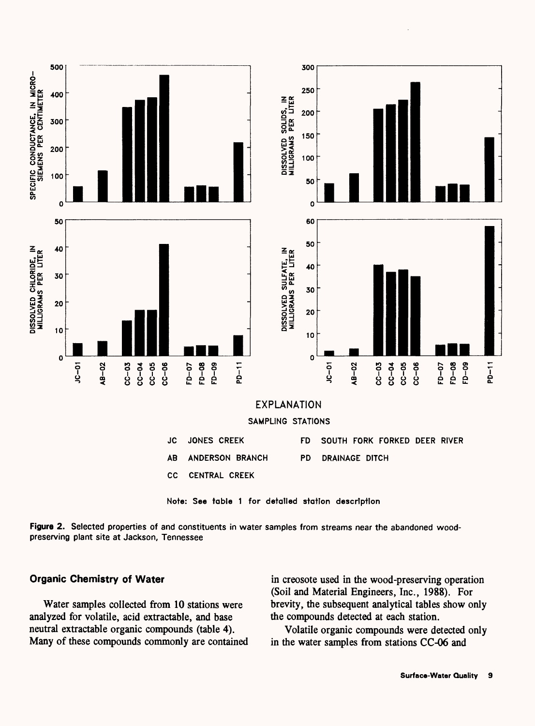

**Figure 2.** Selected properties of and constituents in water samples from streams near the abandoned woodpreserving plant site at Jackson, Tennessee

#### **Organic Chemistry of Water**

Water samples collected from 10 stations were analyzed for volatile, acid extractable, and base neutral extractable organic compounds (table 4). Many of these compounds commonly are contained

in creosote used in the wood-preserving operation (Soil and Material Engineers, Inc., 1988). For brevity, the subsequent analytical tables show only the compounds detected at each station.

Volatile organic compounds were detected only in the water samples from stations CC-06 and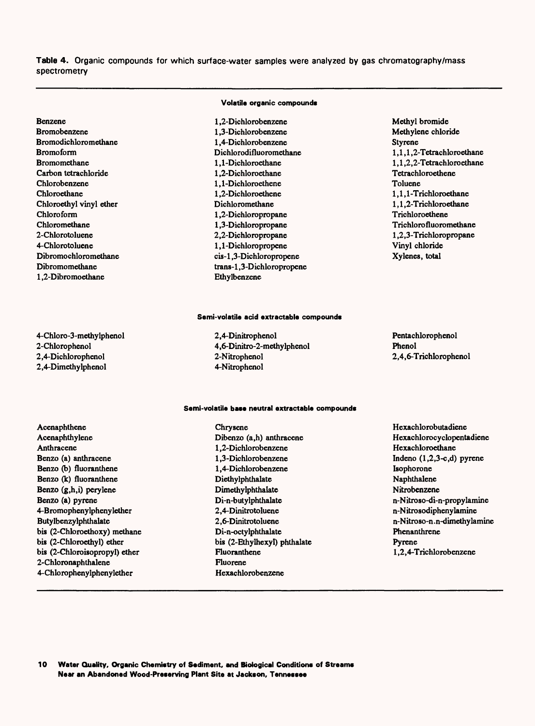**Table 4.** Organic compounds for which surface-water samples were analyzed by gas chromatography/mass spectrometry

**Volatile organic compounds** 

| <b>Benzene</b>              | 1.2-Dichlorobenzene       | Methyl bromide            |
|-----------------------------|---------------------------|---------------------------|
| <b>Bromobenzene</b>         | 1.3-Dichlorobenzene       | Methylene chloride        |
| <b>Bromodichloromethane</b> | 1.4-Dichlorobenzene       | <b>Styrene</b>            |
| <b>Bromoform</b>            | Dichlorodifluoromethane   | 1.1.1.2-Tetrachloroethane |
| <b>Bromomethane</b>         | 1.1-Dichloroethane        | 1,1,2,2-Tetrachloroethane |
| Carbon tetrachloride        | 1.2-Dichloroethane        | Tetrachloroethene         |
| Chlorobenzene               | 1.1-Dichloroethene        | Toluene                   |
| Chloroethane                | 1.2-Dichloroethene        | 1.1.1-Trichloroethane     |
| Chloroethyl vinyl ether     | Dichloromethane           | 1.1.2-Trichloroethane     |
| Chloroform                  | 1,2-Dichloropropane       | Trichloroethene           |
| Chloromethane               | 1,3-Dichloropropane       | Trichlorofluoromethane    |
| 2-Chlorotoluene             | 2,2-Dichloropropane       | 1,2,3-Trichloropropane    |
| 4-Chlorotoluene             | 1,1-Dichloropropene       | Vinyl chloride            |
| Dibromochloromethane        | cis-1.3-Dichloropropene   | Xylenes, total            |
| Dibromomethane              | trans-1,3-Dichloropropene |                           |
| 1.2-Dibromoethane           | Ethylbenzene              |                           |

#### Semi-volatile acid extractable compounds

2,4-Dinitrophenol 4,6-Dinitro-2-methylphenol 2-Nitrophenol 4-Nitrophenol

Chrysene

Pentachlorophenol Phenol 2,4,6-Trichlorophenol

#### Semi-volatile base neutral extractable compounds

Acenaphthene Acenaphthylene Anthracene Benzo (a) anthracene Benzo (b) fluoranthene Benzo (k) fluoranthene Benzo (g,h,i) perylene Benzo (a) pyrene 4-Bromophenylphenylether Butylbenzylphthalate bis (2-Chloroethoxy) methane bis (2-Chloroethyl) ether bis (2-Chloroisopropyl) ether 2-Chloronaphthalene 4-Chlorophenylphenylether

4-Chloro-3-methylphenol

2-Chlorophenol 2,4-Dichlorophenol 2,4-Dimethylphenol

> Dibenzo (a,h) anthracene 1.2-Dichlorobenzene 1.3-Dichlorobenzene 1.4-Dichlorobenzene Diethylphthalate Dimethylphthalate Di-n-butylphthalate 2,4-Dinitrotoluene 2,6-Dinitrotoluene Di-n-octylphthalate bis (2-Ethylhexyl) phthalate Fluoranthene Fluorene Hexachlorobenzene

Hexachlorobutadiene Hexachlorocyclopentadiene Hexachloroethane Indeno (l,2,3-c,d) pyrene Isophorone Naphthalene Nitrobenzene n-Nitroso-di-n-propylamine n-Nitrosodiphenylamine n-Nitroso-n. n-dimethykmine Phenanthrene Pyrene 1,2,4-Trichlorobenzene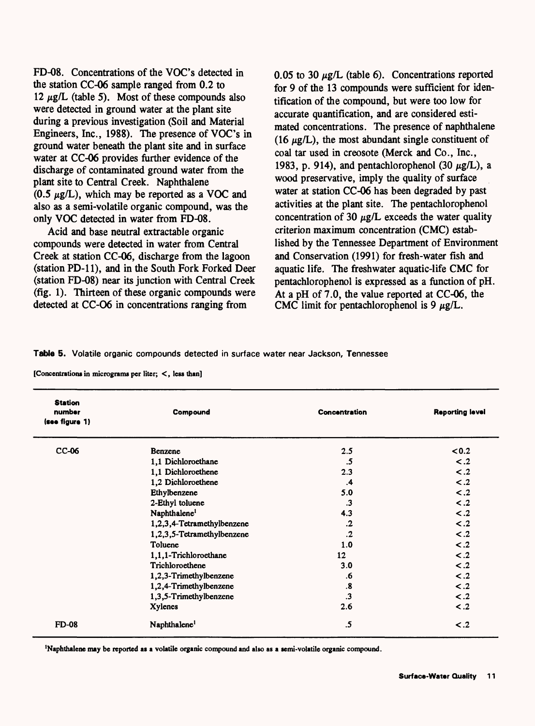FD-08. Concentrations of the VOC's detected in the station CC-06 sample ranged from 0.2 to 12  $\mu$ g/L (table 5). Most of these compounds also were detected in ground water at the plant site during a previous investigation (Soil and Material Engineers, Inc., 1988). The presence of VOC's in ground water beneath the plant site and in surface water at CC-06 provides further evidence of the discharge of contaminated ground water from the plant site to Central Creek. Naphthalene  $(0.5 \mu g/L)$ , which may be reported as a VOC and also as a semi-volatile organic compound, was the only VOC detected in water from FD-08.

Acid and base neutral extractable organic compounds were detected in water from Central Creek at station CC-06, discharge from the lagoon (station PD-11), and in the South Fork Forked Deer (station FD-08) near its junction with Central Creek (fig. 1). Thirteen of these organic compounds were detected at CC-O6 in concentrations ranging from

0.05 to 30  $\mu$ g/L (table 6). Concentrations reported for 9 of the 13 compounds were sufficient for identification of the compound, but were too low for accurate quantification, and are considered estimated concentrations. The presence of naphthalene (16  $\mu$ g/L), the most abundant single constituent of coal tar used in creosote (Merck and Co., Inc., 1983, p. 914), and pentachlorophenol (30  $\mu$ g/L), a wood preservative, imply the quality of surface water at station CC-06 has been degraded by past activities at the plant site. The pentachlorophenol concentration of 30  $\mu$ g/L exceeds the water quality criterion maximum concentration (CMC) established by the Tennessee Department of Environment and Conservation (1991) for fresh-water fish and aquatic life. The freshwater aquatic-life CMC for pentachlorophenol is expressed as a function of pH. At a pH of 7.0, the value reported at CC-06, the CMC limit for pentachlorophenol is 9  $\mu$ g/L.

#### **Table 5.** Volatile organic compounds detected in surface water near Jackson, Tennessee

| [Concentrations in micrograms per liter; <, less than] |  |  |  |  |
|--------------------------------------------------------|--|--|--|--|
|--------------------------------------------------------|--|--|--|--|

| <b>Station</b><br>number<br>(see figure 1) | Compound                   | <b>Concentration</b> | <b>Reporting level</b> |
|--------------------------------------------|----------------------------|----------------------|------------------------|
| CC-06                                      | Benzene                    | 2.5                  | < 0.2                  |
|                                            | 1,1 Dichloroethane         | .5                   | $\leq .2$              |
|                                            | 1,1 Dichloroethene         | 2.3                  | $\leq .2$              |
|                                            | 1,2 Dichloroethene         | $\cdot$              | $\leq .2$              |
|                                            | Ethylbenzene               | 5.0                  | $\leq .2$              |
|                                            | 2-Ethyl toluene            | $\cdot$ 3            | $\leq .2$              |
|                                            | Naphthalene <sup>1</sup>   | 4.3                  | $\leq .2$              |
|                                            | 1,2,3,4-Tetramethylbenzene | $\cdot$              | $\lt$ .2               |
|                                            | 1,2,3,5-Tetramethylbenzene | $\cdot$              | $\leq$ .2              |
|                                            | Toluene                    | 1.0                  | $\leq .2$              |
|                                            | 1,1,1-Trichloroethane      | 12 <sup>12</sup>     | $\leq .2$              |
|                                            | Trichloroethene            | 3.0                  | $\leq .2$              |
|                                            | 1,2,3-Trimethylbenzene     | .6                   | $\leq .2$              |
|                                            | 1,2,4-Trimethylbenzene     | $\boldsymbol{.8}$    | $\lt$ .2               |
|                                            | 1,3,5-Trimethylbenzene     | $\cdot$ 3            | $\leq .2$              |
|                                            | <b>Xylenes</b>             | 2.6                  | $\leq .2$              |
| <b>FD-08</b>                               | Naphthalene <sup>1</sup>   | .5                   | $\leq .2$              |

Naphthalene may be reported as a volatile organic compound and also as a semi-volatile organic compound.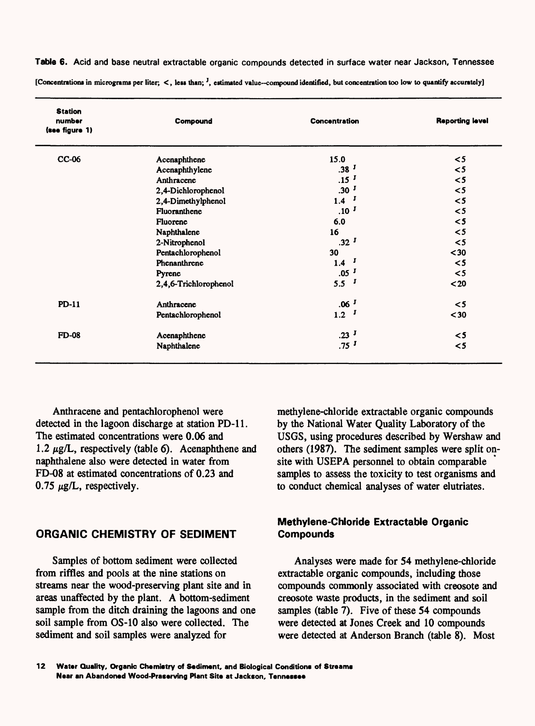**Table 6.** Acid and base neutral extractable organic compounds detected in surface water near Jackson, Tennessee **[Concentrations in micrograms per liter; <, less than; J, estimated value compound identified, but concentration too low to quantify accurately]**

| <b>Station</b><br>number<br>(see figure 1) | Compound              | <b>Concentration</b> | <b>Reporting level</b> |
|--------------------------------------------|-----------------------|----------------------|------------------------|
| CC-06                                      | Acenaphthene          | 15.0                 | $\leq 5$               |
|                                            | Acenaphthylene        | .38 <sup>J</sup>     | $\leq 5$               |
|                                            | Anthracene            | .15 <sup>J</sup>     | $\leq 5$               |
|                                            | 2,4-Dichlorophenol    | .30 <sup>J</sup>     | $\leq 5$               |
|                                            | 2,4-Dimethylphenol    | $1.4$ J              | $\leq 5$               |
|                                            | Fluoranthene          | .10 <sup>J</sup>     | $\leq 5$               |
|                                            | Fluorene              | 6.0                  | $\leq 5$               |
|                                            | Naphthalene           | 16                   | $\leq 5$               |
|                                            | 2-Nitrophenol         | .32 <sup>J</sup>     | $\leq 5$               |
|                                            | Pentachlorophenol     | 30                   | $30$                   |
|                                            | Phenanthrene          | $1.4$ J              | $\leq 5$               |
|                                            | Pyrene                | .05 <sup>J</sup>     | $\leq 5$               |
|                                            | 2,4,6-Trichlorophenol | 5.5 <sup>J</sup>     | $20$                   |
| <b>PD-11</b>                               | Anthracene            | .06 <sup>J</sup>     | $\leq 5$               |
|                                            | Pentachlorophenol     | 1.2 <sup>J</sup>     | $30$                   |
| <b>FD-08</b>                               | Acenaphthene          | .23 <sup>J</sup>     | $\leq 5$               |
|                                            | Naphthalene           | $.75$ <sup>J</sup>   | $\leq 5$               |

Anthracene and pentachlorophenol were detected in the lagoon discharge at station PD-11. The estimated concentrations were 0.06 and 1.2  $\mu$ g/L, respectively (table 6). Acenaphthene and naphthalene also were detected in water from FD-08 at estimated concentrations of 0.23 and 0.75  $\mu$ g/L, respectively.

### **ORGANIC CHEMISTRY OF SEDIMENT**

Samples of bottom sediment were collected from riffles and pools at the nine stations on streams near the wood-preserving plant site and in areas unaffected by the plant. A bottom-sediment sample from the ditch draining the lagoons and one soil sample from OS-10 also were collected. The sediment and soil samples were analyzed for

methylene-chloride extractable organic compounds by the National Water Quality Laboratory of the USGS, using procedures described by Wershaw and others (1987). The sediment samples were split onsite with USEPA personnel to obtain comparable samples to assess the toxicity to test organisms and to conduct chemical analyses of water elutriates.

### **Methylene-Chloride Extractable Organic Compounds**

Analyses were made for 54 methylene-chloride extractable organic compounds, including those compounds commonly associated with creosote and creosote waste products, in the sediment and soil samples (table 7). Five of these 54 compounds were detected at Jones Creek and 10 compounds were detected at Anderson Branch (table 8). Most

**12 Water Quality, Organic Chemistry of Sediment, and Biological Conditions of Streams Near an Abandoned Wood-Pracerving Plant Site at Jackson, Tennessee**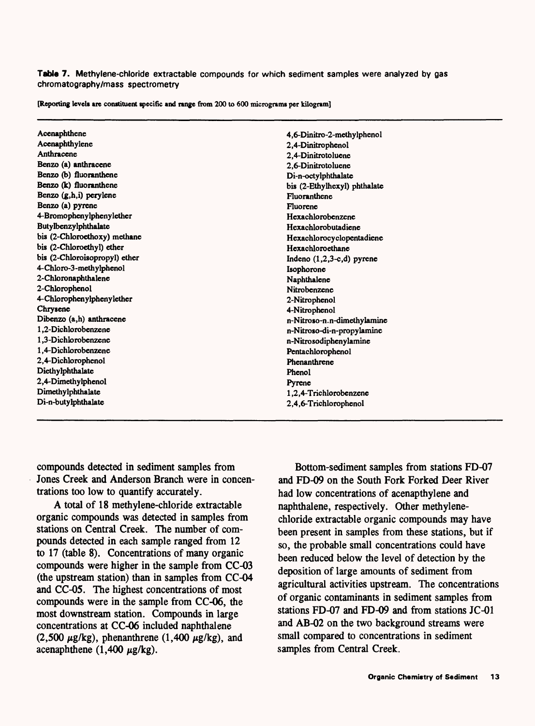**Table 7.** Methylene-chloride extractable compounds for which sediment samples were analyzed by gas chromatography/mass spectrometry

**[Reporting levels are constituent specific and range from 200 to 600 micrograms per kilogram]**

| Acenaphthene                  | 4.6-Dinitro-2-methylphenol   |
|-------------------------------|------------------------------|
| Acenaphthylene                | 2.4-Dinitrophenol            |
| Anthracene                    | 2,4-Dinitrotoluene           |
| Benzo (a) anthracene          | 2,6-Dinitrotoluene           |
| Benzo (b) fluoranthene        | Di-n-octylphthalate          |
| Benzo (k) fluoranthene        | bis (2-Ethylhexyl) phthalate |
| Benzo (g,h,i) perylene        | Fluoranthene                 |
| Benzo (a) pyrene              | Fluorene                     |
| 4-Bromophenylphenylether      | Hexachlorobenzene            |
| Butylbenzylphthalate          | Hexachlorobutadiene          |
| bis (2-Chloroethoxy) methane  | Hexachlorocyclopentadiene    |
| bis (2-Chloroethyl) ether     | Hexachloroethane             |
| bis (2-Chloroisopropyl) ether | Indeno $(1,2,3-c,d)$ pyrene  |
| 4-Chloro-3-methylphenol       | Isophorone                   |
| 2-Chloronaphthalene           | Naphthalene                  |
| 2-Chlorophenol                | Nitrobenzene                 |
| 4-Chlorophenylphenylether     | 2-Nitrophenol                |
| Chrysene                      | 4-Nitrophenol                |
| Dibenzo (a,h) anthracene      | n-Nitroso-n.n-dimethylamine  |
| 1,2-Dichlorobenzene           | n-Nitroso-di-n-propylamine   |
| 1,3-Dichlorobenzene           | n-Nitrosodiphenylamine       |
| 1.4-Dichlorobenzene           | Pentachlorophenol            |
| 2,4-Dichlorophenol            | Phenanthrene                 |
| Diethylphthalate              | Phenol                       |
| 2,4-Dimethylphenol            | Pyrene                       |
| Dimethylphthalate             | 1,2,4-Trichlorobenzene       |
| Di-n-butylphthalate           | 2,4,6-Trichlorophenol        |

compounds detected in sediment samples from Jones Creek and Anderson Branch were in concentrations too low to quantify accurately.

A total of 18 methylene-chloride extractable organic compounds was detected in samples from stations on Central Creek. The number of compounds detected in each sample ranged from 12 to 17 (table 8). Concentrations of many organic compounds were higher in the sample from CC-03 (the upstream station) than in samples from CC-04 and CC-05. The highest concentrations of most compounds were in the sample from CC-06, the most downstream station. Compounds in large concentrations at CC-06 included naphthalene (2,500  $\mu$ g/kg), phenanthrene (1,400  $\mu$ g/kg), and acenaphthene (1,400  $\mu$ g/kg).

Bottom-sediment samples from stations FD-07 and FD-09 on the South Fork Forked Deer River had low concentrations of acenapthylene and naphthalene, respectively. Other methylenechloride extractable organic compounds may have been present in samples from these stations, but if so, the probable small concentrations could have been reduced below the level of detection by the deposition of large amounts of sediment from agricultural activities upstream. The concentrations of organic contaminants in sediment samples from stations FD-07 and FD-09 and from stations JC-01 and AB-02 on the two background streams were small compared to concentrations in sediment samples from Central Creek.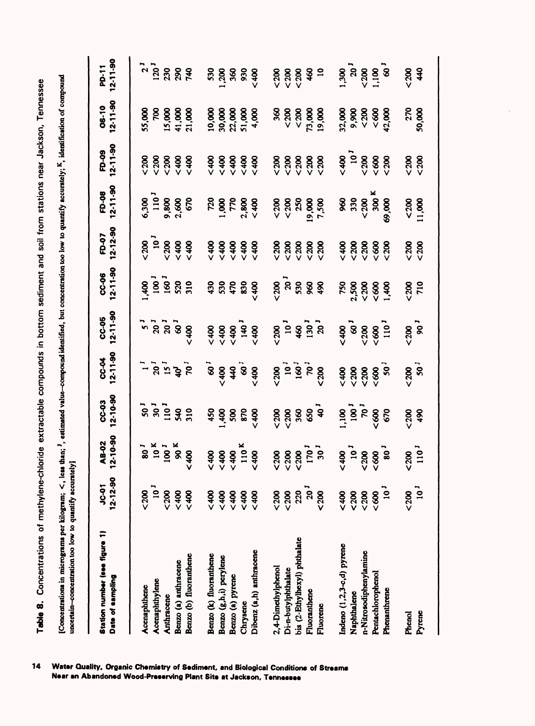Table 8. Concentrations of methylene-chloride extractable compounds in bottom sediment and soil from stations near Jackson, Tennessee **Table 8.** Concentrations of methylene-chloride extractable compounds in bottom sediment and soil from stations near Jackson, Tennessee [Concentrations in micrograms per kilogram; <, less than; <sup>1</sup>, estimated value-compound identified, but concentration too low to quantify accurately; <sup>K</sup>, identification of compound<br>uncertain-concentration too low to quant [Concentrations in micrograms per kilogram; < , less than; J, estimated value compound identified, but concentration too low to quantify accurately; K, identification of compound uncertain-concentration too low to quantify accurately]  $\blacksquare$ 

| Station number (see figure 1)<br>Date of sampling | $12 - 12 - 90$<br><b>19-31</b> | 12-10-90<br>AB-02                        | $12 - 10 - 90$<br><b>CC-03</b>    | $12 - 11 - 90$<br><b>PO-32</b> | $12 - 11 - 90$<br>CC-05 | $12 - 11 - 90$<br>CC-06 | $12 - 12 - 90$<br>FD-07 | $12 - 11 - 90$<br>FD-08 | $12 - 11 - 90$<br>FD-09 | $12 - 11 - 90$<br>06-10 | $12 - 11 - 90$<br><b>PD-11</b> |
|---------------------------------------------------|--------------------------------|------------------------------------------|-----------------------------------|--------------------------------|-------------------------|-------------------------|-------------------------|-------------------------|-------------------------|-------------------------|--------------------------------|
| Acenaphthene                                      | $< 200$                        | $\frac{1}{80}$                           |                                   |                                |                         | $rac{3}{2}$             | $200$                   | 6,300                   | $200$                   | 55,000                  | $\mathbf{r}$                   |
| Acenaphthylene                                    | 10 <sup>J</sup>                |                                          |                                   |                                |                         |                         | $\overline{10}$         | $\frac{1}{10}$          | $200$                   | <b>SC</b>               | 120 <sup>J</sup>               |
| Anthracene                                        | $< 200$                        | $10^{K}$<br>$100^{J}$                    | $531$<br>$531$<br>$1932$<br>$532$ | ים לים של<br>בישו              | ັ້ງ<br>ລິລິ             | <b>18828</b><br>5888    | $200$                   | 9,800                   | $200$                   | 15,000                  | 230                            |
| Benzo (a) anthracene                              | < 400                          | ×<br>R                                   |                                   |                                | _<br>ვ                  |                         | < 400                   | 2,600                   | < 400                   | 41,000                  | 290                            |
| Benzo (b) fluoranthene                            | 8                              | 6400                                     |                                   |                                | < 400                   |                         | < 400                   | 670                     | < 400                   | 21,000                  | 740                            |
| Benzo (k) fluoranthene                            | 8400                           | $000 - 5$                                | 450                               | $\tilde{\mathbf{s}}$           | 6400                    | 430                     | 6400                    | 720                     | < 400                   | 10,000                  | 530                            |
| Benzo (g,h,i) perylene                            | ~100                           | 5400                                     |                                   | 001                            | 5400                    | 530                     | 5400                    | 8,1000                  | 0000                    | 30,000                  | 200                            |
| Benzo (a) pyrene                                  | & 400                          | 00000                                    | 1,400<br>500                      |                                | < 400                   | 470                     | <400                    | 770                     | 0000                    | 22,000                  | 360                            |
| Chrysene                                          | 5400                           | 110 <sup>K</sup>                         | 870                               | $49^{10}$                      | $\frac{40}{5}$          | 830                     | <400                    | 2,800                   | < 400                   | 51,000                  | 930                            |
| Dibenz (a,h) anthracene                           | < 400                          | 0012                                     | 000000                            | < 400                          | < 400                   | <b>&lt;400</b>          | < 400                   | 000000                  | < 400                   | 4,000                   | < 400                          |
| 2,4-Dimethylphenol                                | $< 200$                        | $200$                                    | $< 200$                           | $< 200$                        | 0000                    | 500                     | 0000                    | $< 200$                 | $200$                   | 360                     | $200$                          |
| Di-n-butylphthalate                               | $< 200$                        |                                          | $200$                             |                                |                         |                         | 500                     | $< 200$                 | $200$                   | < 200                   | $200$                          |
| bis (2-Ethylhexyl) phthalate                      | 220                            |                                          |                                   | <u>ទី ទី 5</u><br>-            | $-38.58$                | 20<br>530               | $200$                   | 250                     | $< 200$                 | $< 200$                 | $< 200$                        |
| Fluoranthene                                      | 20 <sup>1</sup>                |                                          | 883 <del>d</del>                  |                                |                         | 960                     | < 200                   | 19,000                  | 500                     | 73,000                  | 460                            |
| Fluorene                                          | $200$                          | $500$<br>$500$<br>$170$<br>$170$<br>$30$ |                                   | 0000                           |                         | 86                      | $200$                   | 7,500                   | $200$                   | 19,000                  | $\overline{a}$                 |
| Indeno (1,2,3-c,d) pyrene                         | 0000                           | $~10^{1}$                                | 1,100                             | 6400                           | 6400                    | 750                     | 5400                    | 860                     | 0000                    | 32,000                  | 1,300                          |
| Naphthalene                                       | $< 200$                        |                                          |                                   | $< 200$                        | $\mathbf{8}$            | 2,500                   | $200$                   | 330                     | $\frac{1}{2}$           | 9,900                   | 20 <sup>1</sup>                |
| n-Nitrosodiphenylamine                            | $< 200$                        | 500                                      | $\frac{1}{2}$                     | 500                            | $200$                   | $< 200$                 | $200$                   | $< 200$                 | $< 200$                 | $< 200$                 | $200$                          |
| Pentachlorophenol                                 | 800                            | 500                                      | 500                               | 500                            | 500                     | 80                      | 800                     | 300 <sup>K</sup>        | &80                     | &80                     | 1.100                          |
| Phenanthrene                                      | 10 <sup>1</sup>                | ີເ                                       | 670                               | ີ                              | 110                     | 84.1                    | $200$                   | 69,000                  | $200$                   | 42,000                  | $\mathbf{\ddot{s}}$            |
| Phenol                                            | $< 200$                        | 200                                      | 0000                              | 0000                           | 500                     | 500                     | $200$                   | 200                     | $200$                   | 270                     | < 200                          |
| Pyrene                                            | $10^3$                         | 110 <sup>1</sup>                         | 490                               | 50 <sup>1</sup>                | 50 <sup>1</sup>         | 710                     | $< 200$                 | 11,000                  | &000                    | 50,000                  | 40                             |
|                                                   |                                |                                          |                                   |                                |                         |                         |                         |                         |                         |                         |                                |

14 il Conditions of Streams<br>Tennessee er Quality, Organic Chemistry of Sediment, and Biological Cond<br><sup>,</sup> an Abandoned Wood-Preserving Plant Site at Jackson, Tenner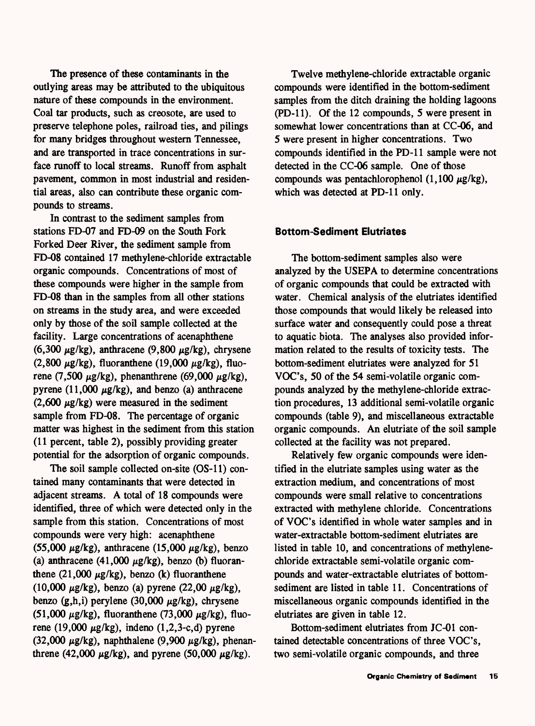The presence of these contaminants in the outlying areas may be attributed to the ubiquitous nature of these compounds in the environment. Coal tar products, such as creosote, are used to preserve telephone poles, railroad ties, and pilings for many bridges throughout western Tennessee, and are transported in trace concentrations in surface runoff to local streams. Runoff from asphalt pavement, common in most industrial and residential areas, also can contribute these organic compounds to streams.

In contrast to the sediment samples from stations FD-07 and FD-09 on the South Fork Forked Deer River, the sediment sample from FD-08 contained 17 methylene-chloride extractable organic compounds. Concentrations of most of these compounds were higher in the sample from FD-08 than in the samples from all other stations on streams in the study area, and were exceeded only by those of the soil sample collected at the facility. Large concentrations of acenaphthene (6,300  $\mu$ g/kg), anthracene (9,800  $\mu$ g/kg), chrysene  $(2,800 \mu g/kg)$ , fluoranthene  $(19,000 \mu g/kg)$ , fluorene (7,500  $\mu$ g/kg), phenanthrene (69,000  $\mu$ g/kg), pyrene (11,000  $\mu$ g/kg), and benzo (a) anthracene  $(2,600 \mu g/kg)$  were measured in the sediment sample from FD-08. The percentage of organic matter was highest in the sediment from this station (11 percent, table 2), possibly providing greater potential for the adsorption of organic compounds.

The soil sample collected on-site (OS-11) contained many contaminants that were detected in adjacent streams. A total of 18 compounds were identified, three of which were detected only in the sample from this station. Concentrations of most compounds were very high: acenaphthene  $(55,000 \mu g/kg)$ , anthracene  $(15,000 \mu g/kg)$ , benzo (a) anthracene  $(41,000 \mu g/kg)$ , benzo (b) fluoranthene  $(21,000 \mu g/kg)$ , benzo (k) fluoranthene (10,000  $\mu$ g/kg), benzo (a) pyrene (22,00  $\mu$ g/kg), benzo (g,h,i) perylene (30,000  $\mu$ g/kg), chrysene  $(51,000 \mu g/kg)$ , fluoranthene (73,000  $\mu g/kg$ ), fluorene (19,000  $\mu$ g/kg), indeno (1,2,3-c,d) pyrene (32,000  $\mu$ g/kg), naphthalene (9,900  $\mu$ g/kg), phenanthrene (42,000  $\mu$ g/kg), and pyrene (50,000  $\mu$ g/kg).

Twelve methylene-chloride extractable organic compounds were identified in the bottom-sediment samples from the ditch draining the holding lagoons (PD-11). Of the 12 compounds, 5 were present in somewhat lower concentrations than at CC-06, and 5 were present in higher concentrations. Two compounds identified in the PD-11 sample were not detected in the CC-06 sample. One of those compounds was pentachlorophenol  $(1,100 \mu g/kg)$ , which was detected at PD-11 only.

#### **Bottom-Sediment Elutriates**

The bottom-sediment samples also were analyzed by the USEPA to determine concentrations of organic compounds that could be extracted with water. Chemical analysis of the elutriates identified those compounds that would likely be released into surface water and consequently could pose a threat to aquatic biota. The analyses also provided information related to the results of toxicity tests. The bottom-sediment elutriates were analyzed for 51 VOC's, 50 of the 54 semi-volatile organic compounds analyzed by the methylene-chloride extraction procedures, 13 additional semi-volatile organic compounds (table 9), and miscellaneous extractable organic compounds. An elutriate of the soil sample collected at the facility was not prepared.

Relatively few organic compounds were identified in the elutriate samples using water as the extraction medium, and concentrations of most compounds were small relative to concentrations extracted with methylene chloride. Concentrations of VOC's identified in whole water samples and in water-extractable bottom-sediment elutriates are listed in table 10, and concentrations of methylenechloride extractable semi-volatile organic compounds and water-extractable elutriates of bottomsediment are listed in table 11. Concentrations of miscellaneous organic compounds identified in the elutriates are given in table 12.

Bottom-sediment elutriates from JC-01 contained detectable concentrations of three VOC's, two semi-volatile organic compounds, and three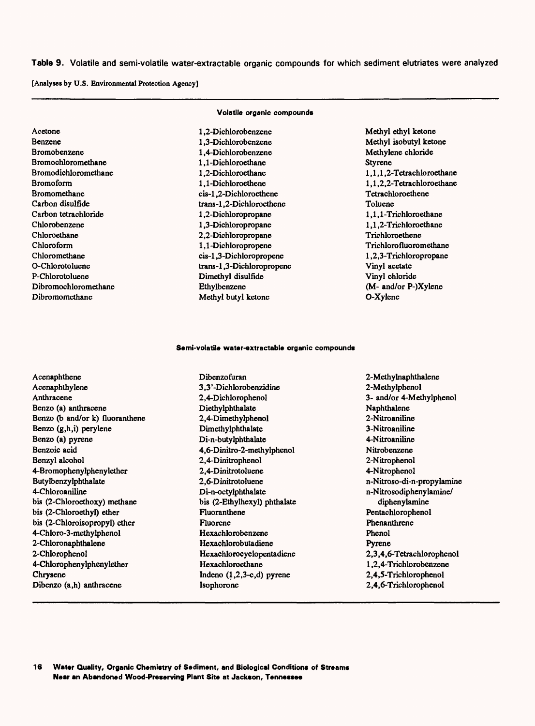**Table 9.** Volatile and semi-volatile water-extractable organic compounds for which sediment elutriates were analyzed

[Analyses by U.S. Environmental Protection Agency]

| Acetone              |
|----------------------|
| <b>Benzene</b>       |
| Bromobenzene         |
| Bromochloromethane   |
| Bromodichloromethane |
| Bromoform            |
| Bromomethane         |
| Carbon disulfide     |
| Carbon tetrachloride |
| Chlorobenzene        |
| Chloroethane         |
| Chloroform           |
| Chloromethane        |
| O-Chlorotoluene      |
| P-Chlorotoluene      |
| Dibromochloromethane |
| Dibromomethane       |

## **Volatile organic compounds**

1.2-Dichlorobenzene 1.3-Dichlorobenzene 1.4-Dichlorobenzene 1,1 -Dichloroethane 1,2-Dichloroethane 1.1-Dichloroethene cis-1,2-Dichloroethene trans-1,2-Dichloroethene 1.2-Dichloropropane 1.3-Dichloropropane 2,2-Dichloropropane 1,1-Dichloropropene cis-1,3-Dichloropropene trans-1,3-Dichloropropene Dimethyl disulfide Ethylbenzene Methyl butyl ketone

Methyl ethyl ketone Methyl isobutyl ketone Methylene chloride Styrene 1,1,1,2-Tetrachloroethane 1,1,2,2-Tetrachloroethane Tetrachloroethene Toluene 1,1,1 -Trichloroethane 1,1,2-Trichloroethane Trichloroethene Trichlorofluoromethane 1,2,3-Trichloropropane Vinyl acetate Vinyl chloride (M- and/or P-)Xylene O-Xylene

#### Semi-volatile water-extractable organic compounds

Acenaphthene Acenaphthylene Anthracene Benzo (a) anthracene Benzo (b and/or k) fluoranthene Benzo (g,h,i) perylene Benzo (a) pyrene Benzoic acid Benzyl alcohol 4-Bromophenylphenylether Butylbenzylphthalate 4-Chloroaniline bis (2-Chloroethoxy) methane bis (2-Chloroethyl) ether bis (2-Chloroisopropyl) ether 4-Chloro-3-methylphenol 2-Chloronaphthalene 2-Chlorophenol 4-Chlorophenylphenylether Chrysene Dibenzo (a,h) anthracene

Dibenzofuran 3,3 '-Dichlorobenzidine 2,4-Dichlorophenol Diethylphthalate 2,4-Dimethylphenol Dimethylphthalate Di-n-butylphthalate 4,6-Dinitro-2-methylphenol 2,4-Dinitrophenol 2,4-Dinitrotoluene 2,6-Dinitrotoluene Di-n-octylphthalate bis (2-Ethylhexyl) phthalate Fluoranthene Fluorene Hexachlorobenzene Hexachlorobutadiene Hexachlorocyclopentadiene Hexachloroethane Indeno  $(1,2,3-c,d)$  pyrene Isophorone

2-Methylnaphthalene 2-Methylphenol 3- and/or 4-Methylphenol Naphthalene 2-Nitroaniline 3-Nitroaniline 4-Nitroaniline Nitrobenzene 2-Nitrophenol 4-Nitrophenol n-Nitroso-di-n-propylamine n-Nitrosodiphenylamine/ diphenylamine Pentachlorophenol Phenanthrene Phenol Pyrene 2,3,4,6-Tetrachlorophenol 1,2,4-Trichlorobenzene 2.4.5-Trichlorophenol 2.4.6-Trichlorophenol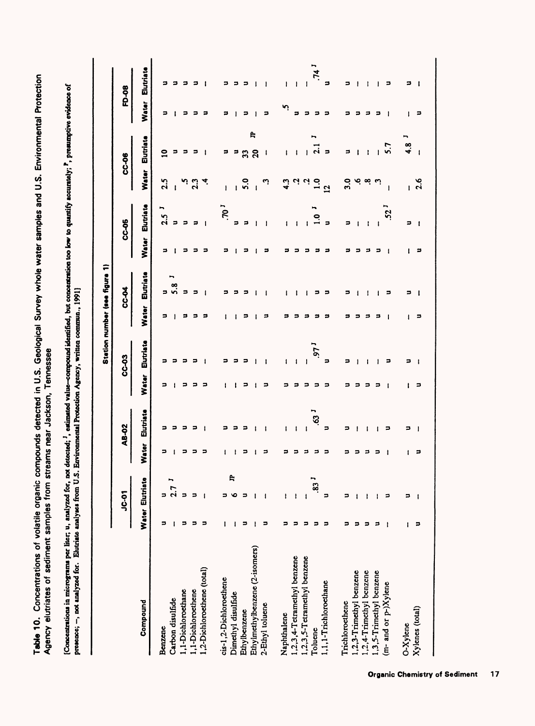$\bar{\mathsf{e}}$ **i** . ይ  $\bf{v}$ ent<br>مثلا i<br>C<br>C<br>C  $\epsilon$   $\epsilon$ ယ<br>ဟု  $\frac{1}{2}$ pies a<br>gwntify ë. וגא<br>אומ  $\frac{9}{9}$  $\mathbf{z}$  $\tilde{\mathbf{S}}$  $\frac{3}{2}$   $\frac{5}{2}$   $\frac{5}{2}$ Geolo<br>ssee<br>waaida<br>written ğ. က် ဋို မို့ ဗို့ ⊃ ទី វី ងី ខេត្ត **-**<br>ខេត្ត - <del>1</del> ទី tecte<br>acks<br>Protec ត្ត ៖<br>តូ ៖ Agency elutriates of sediment samples from streams near Jackson, Tennessee  $\mathbf{P} = \mathbf{F} \mathbf{P}$ ≌ tile<br>Topis<br>aliyat e an<br>San<br>Color<br>Color  $\lesssim$   $\frac{1}{2}$   $\frac{3}{2}$  $\S$ e Rd  $\begin{array}{cc} . & . & . \\ . & . & . \\ . & . & . \\ . & . & . \end{array}$ entri<br>1° ss of<br>1<sub>9</sub> ll Septe Table 10.Cone Agency elutriate [Concentrations in manai not presence; ,

 $\overline{3}$ n<br>1881<br>1  $\ddot{\mathbf{g}}$ ដ្ឋ S i i 1 ទី =<br>ខ J.°;<u>ू</u> मृत्यू قعاً .<br>ا

|                                |   |                   |   |                 |       |           |              | Station number (see figure 1) |       |                 |                |                       |       |           |
|--------------------------------|---|-------------------|---|-----------------|-------|-----------|--------------|-------------------------------|-------|-----------------|----------------|-----------------------|-------|-----------|
|                                |   | I<br>10-01        |   | AB-02           |       | CC-03     |              | <b>CC-04</b>                  |       | CC-05           |                | CC-06                 |       | FD-08     |
| Compound                       |   | Water Elutriate   |   | Water Elutriate | Water | Elutriate | <b>Water</b> | Elutriate                     | Water | Elutriate       | Water          | Elutriate             | Water | Elutriate |
| Benzene                        | э | Þ                 |   |                 |       |           |              |                               |       | ∽<br>2.5        | 2.5            | ≘                     |       |           |
| Carbon disulfide               |   | ∽<br>$\mathbf{z}$ |   |                 |       |           |              |                               |       | ゠               |                |                       |       |           |
| 1,1-Dichloroethane             | ⋍ | E                 |   |                 |       |           |              |                               |       |                 |                |                       |       |           |
| 1,1-Dichloroethene             | э |                   |   |                 |       |           |              |                               |       | э               | $\frac{3}{2}$  |                       |       |           |
| 1,2-Dichlorocthene (total)     | э |                   |   |                 |       |           |              |                               |       | $\mathbf{I}$    |                |                       |       |           |
| cis-1,2-Dichloroethene         |   |                   |   |                 |       |           |              |                               |       | 70 <sup>1</sup> | ł              |                       |       |           |
| Dimethyl disulfide             |   | ę                 |   |                 |       |           |              |                               |       | s               |                |                       |       |           |
| Ethylbenzene                   |   |                   |   |                 |       |           |              |                               |       | э               | 5.0            | 33                    | ⇒     |           |
| Ethylmethylbenzene (2-isomers) |   |                   |   |                 |       |           |              |                               |       |                 |                | e<br>$\boldsymbol{5}$ |       |           |
| 2-Ethyl toluene                | ⋍ |                   | ø |                 |       |           | з            |                               |       |                 | .,             | ı                     | P     |           |
| Naphthalene                    |   | ŧ                 |   | ŧ               |       | ı         |              |                               |       |                 | 4.3            |                       | ņ     | ł         |
| 1,2,3,4-Tetramethyl benzene    |   |                   |   | ı               |       | ł         |              |                               |       |                 |                |                       | ۵     | ł         |
| 1,2,3,5-Tetramethyl benzene    |   | ł.                |   |                 |       |           |              |                               |       |                 |                |                       | Ξ     |           |
| Toluene                        |   | ∽<br>33           |   | $\overline{63}$ |       | $1 - 66$  |              |                               |       |                 | $\frac{6}{11}$ | $\vec{q}$             | ∍     | $74^1$    |
| 1,1,1-Trichloroethane          |   | ,,                |   | Ξ               |       | ,,        |              |                               |       |                 | $\overline{a}$ | э                     |       | 5         |
| Trichloroethene                |   |                   |   | ,               |       | ,,        |              |                               |       | ∍               | ິ.             | ະ                     |       |           |
| 1,2,3-Trimethyl benzene        |   |                   |   |                 |       |           |              |                               |       |                 |                |                       |       |           |
| 1,2,4-Trimethyl benzene        |   |                   |   |                 |       |           |              |                               |       | I               |                |                       |       |           |
| 1,3,5-Trimethyl benzene        |   |                   |   |                 |       |           |              |                               |       |                 |                |                       |       |           |
| (m- and or p-)Xylene           |   |                   |   |                 |       | 2         |              | ⋍                             |       | $\ddot{2}$      | ł              | 5.7                   |       | ⇒         |
| O-Xylene                       |   |                   |   | ⋍               |       | ⇒         |              |                               |       | Þ               | Ł              | 4.8                   |       |           |
| Xylenes (total)                |   |                   | , |                 | ∍     |           | ∍            |                               |       | -1              | 2.6            | $\mathbf{I}$          | ,,    |           |
|                                |   |                   |   |                 |       |           |              |                               |       |                 |                |                       |       |           |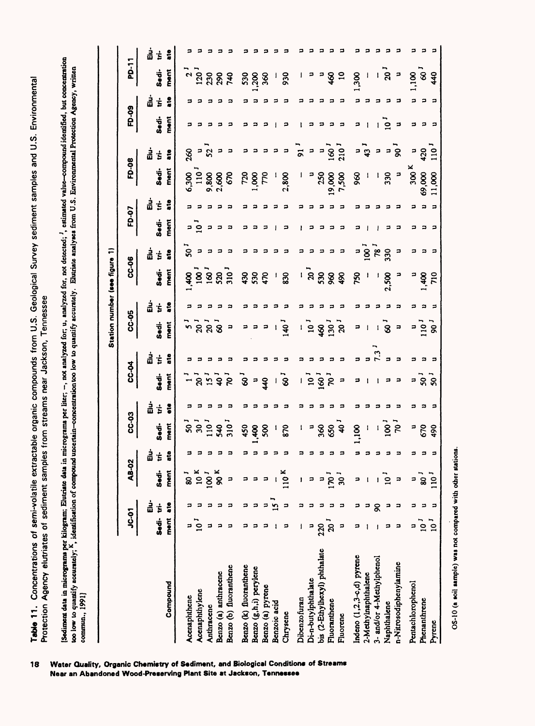Table 11. Concentrations of semi-volatile extractable organic compounds from U.S. Geological Survey sediment samples and U.S. Environmental<br>Protection Agency elutriates of sediment samples from streams near Jackson, Tennes commun., 1991]

|                              |                |                |                  |         |                  |        |                          |        |                         |         | Station number (see figure 1) |        |               |        |                  |                         |              |        |                          |         |
|------------------------------|----------------|----------------|------------------|---------|------------------|--------|--------------------------|--------|-------------------------|---------|-------------------------------|--------|---------------|--------|------------------|-------------------------|--------------|--------|--------------------------|---------|
|                              | <b>~ა</b><br>ა |                | AB-02            |         | CC-03            |        | <b>PO-33</b>             |        | CC-05                   |         | <b>CC-06</b>                  |        |               | FD-07  | FD-08            |                         | FD-09        |        | PD-11                    |         |
|                              | Sedi-tri-      | 흡              | Sedi-            | ដ៎<br>Ė | Sedi-            | 읇<br>ŧ | Sedi-                    | 흞<br>Ė | Sedi-                   | ដំ<br>ŧ | Sedi-                         | 흡<br>έ | Sedi-         | 붑<br>ŧ | Sedi-            | ᇽ<br>Ė                  | Sedi-        | 룹<br>Ė | Sedi-                    | ដំ<br>ŧ |
| Compound                     | ment           | ã              | ment             | å       | ment             | ៖      | ment                     | å      | ment                    | ដូ      | ment                          | ដូ     | ment          | å      | ment             | å                       | ment         | ដូ     | ment                     | ដូ      |
| Acenaphthene                 |                |                | $\frac{1}{8}$    |         | $\boldsymbol{S}$ |        |                          |        | s,                      | 5       | $rac{40}{1}$                  | ິ      | Ξ             |        | 6,300            | 260                     | э            |        |                          |         |
| Acenaphthylene               | .<br>⊇         |                | 10 <sup>K</sup>  |         | $\mathbf{S}$     |        | $\mathsf{S}$             |        | $\overline{20}$         | 5       | $\overline{\mathbf{g}}$       | ∍      | $\frac{1}{2}$ |        | $110-1$          | Ξ                       |              |        | י ב<br>נפט               |         |
| Anthracene                   | ⊐              |                | 100 <sup>J</sup> |         | $\frac{1}{2}$    |        | $\mathbf{5}$             |        | $\overline{a}$          | 5       | 160                           |        | Ξ             |        | 9,800            | 52                      |              |        | 230                      |         |
| Benzo (a) anthracene         | э              | э              | 90 <sup>K</sup>  |         | 540              |        | ີຊ                       |        | ું                      |         | 520                           |        | э             |        | 2,600            | Ξ                       |              |        | 290                      |         |
| Benzo (b) fluoranthene       | ⋍              | э              |                  |         | $\frac{1}{2}$    |        | $\mathbf{S}$             |        | ∍                       |         | 310                           | э      | э             |        | 670              | э                       | Ξ            |        | 740                      |         |
| Benzo (k) fluoranthene       | ິ              | 5              |                  |         | 450              |        | ್ಯ                       |        | ∍                       |         | 430                           | 3      | コ             |        | 720              | コ                       |              |        |                          |         |
| Benzo (g,h,i) perylene       | э              | э              |                  |         | $rac{3}{2}$      |        | $\overline{\phantom{a}}$ |        | - 2                     |         | 530                           |        | э             |        | 3001             | э                       |              |        | 530                      |         |
| Benzo (a) pyrene             |                | Ξ              |                  |         | 500              |        | $\frac{4}{3}$            |        | э                       |         | $\boldsymbol{\mathcal{L}}$    | 2      | Ξ             |        | 770              | ≂                       | ຸລ           |        | 360                      |         |
| Benzoic acid                 |                | $\mathbf{v}_2$ |                  |         |                  |        |                          |        |                         |         | J                             |        | ł             |        |                  | э                       |              |        |                          |         |
| Chrysene                     | ∍              | Ξ              | 110 <sup>K</sup> |         | 870              |        | $-5$                     |        | $\frac{1}{2}$           |         | 830                           | Ξ      | ∍             |        | 2,800            | ⋍                       | ∍            |        | 930                      |         |
| Dibenzofuran                 |                | ິ              |                  |         |                  |        |                          |        |                         |         |                               | э      | ı             |        |                  | $\overline{5}$          |              |        |                          |         |
| Di-n-butylphthalate          | P              |                |                  |         | ∍                |        | $\frac{1}{2}$            |        | $\frac{1}{1}$           |         | ້ຂ້                           |        | ∍             |        | P                | э                       |              |        | э                        |         |
| bis (2-Ethylhexyl) phthalate | 220            |                |                  |         | 360              |        | 160 <sup>1</sup>         |        | $\frac{8}{3}$           |         | 530                           |        | ∍             |        | 250              | э                       | ゠            |        | Ρ                        |         |
| Fluoranthene                 | ຸລ             |                | $\overline{5}$   |         | 650              |        | $\overline{\mathcal{R}}$ |        | 130 <sup>1</sup>        |         | 86                            | 3      | э             |        | 19,000           | $\overline{8}$          | э            |        | $\frac{8}{3}$            |         |
| Fluorene                     | Þ              | ⊐              | ຼີ               |         | $\boldsymbol{Q}$ |        | Ξ                        |        | $\mathbf{a}$            |         | 490                           | э      | э             |        | 7,500            | $210^{-1}$              | э            |        | $\overline{10}$          |         |
| Indeno (1,2,3-c,d) pyrene    | ∍              |                | э                |         | $rac{1}{2}$      |        | ⊐                        |        | ∍                       |         | 750                           | F      | ∍             |        | 88               | Ξ                       | ∍            |        | 300                      |         |
| 2-Methylnaphthalene          |                |                |                  |         | 1                |        | 1                        |        |                         |         |                               | 8      |               |        |                  | $43 -$                  |              |        |                          |         |
| 3- and/or 4-Methylphenol     |                | ୡ              |                  |         | ı                |        | 1                        |        |                         |         | J                             | 78     |               |        |                  | э                       |              |        | ı                        |         |
| Naphthalene                  | ⊐              | э              | ຼີງ              |         | $\overline{8}$   |        | 3                        |        | $\overline{\mathbf{8}}$ |         | 2,500                         | 330    | э             |        | 330              | э                       | $\mathbf{S}$ |        | $\overline{a}$           |         |
| n-Nitrosodiphenylamine       | ∍              | э              | э                |         | $\overline{5}$   |        | ∍                        |        | э                       |         | э                             | ∍      | э             |        | Ξ                | $\overline{\mathbf{g}}$ | э            |        | $\overline{\phantom{a}}$ |         |
| Pentachlorophenol            | ⊐              | ຸ              | P                |         | P                | ິ      |                          | コ      | ⊐                       |         | э                             | э      | э             |        | 300 <sup>K</sup> | э                       | з            | ຸ      | 1,100                    |         |
| Phenanthrene                 | ຼີ             |                | .<br>8           | 3       | 670              |        | = ទី ទី                  |        | $\frac{1}{2}$           |         | $rac{40}{4}$                  | ∍      | ∍             |        | 69,000           | 420                     | ຸລ           |        | $\overline{\mathcal{S}}$ | э       |
| Pyrene                       | $\frac{1}{2}$  | Ξ              | $110-1$          | э       | 490              | Е      |                          | Ξ      | ີ                       | э       | 710                           | - 2    | Е             | Ξ      | 11,000           | $\frac{1}{2}$           | Е            | Ξ      | 440                      | э       |

**18 Water Quality, Organic Chemistry of Sediment, and Biological Conditions of Streams Near an Abandoned Wood-Preserving Plant Site at Jackson, Tennessee**

ared with م<br>1980ء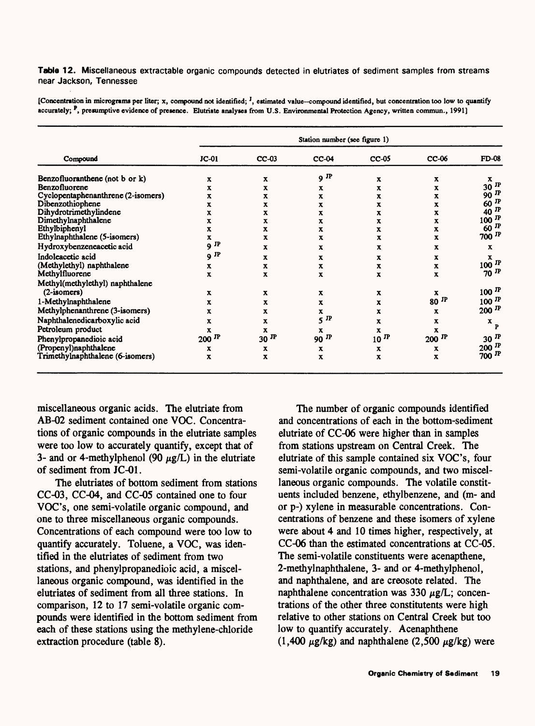**Table 12.** Miscellaneous extractable organic compounds detected in elutriates of sediment samples from streams near Jackson, Tennessee

**[Concentration in micrograms per liter; x, compound not identified; <sup>J</sup> , estimated value compound identified, but concentration too low to quantify**  accurately; <sup>P</sup>, presumptive evidence of presence. Elutriate analyses from U.S. Environmental Protection Agency, written commun., 1991]

|                                    |              |              | Station number (see figure 1) |              |                     |                           |
|------------------------------------|--------------|--------------|-------------------------------|--------------|---------------------|---------------------------|
| Compound                           | $JC-01$      | $CC-03$      | $CC-04$                       | $CC-05$      | $CC-06$             | <b>FD-08</b>              |
| Benzofluoranthene (not b or k)     | x            | $\mathbf x$  | $9$ JP                        | x            | $\mathbf x$         | x                         |
| Benzofluorene                      | x            | x            | x                             | x            | x                   | $30$ $\overline{P}$       |
| Cyclopentaphenanthrene (2-isomers) | X            | x            | x                             | x            | x                   | 90 $^{\text{IP}}$         |
| Dibenzothiophene                   | x            | x            | x                             | x            | x                   | 60 $^{\text{IP}}$         |
| Dihydrotrimethylindene             | x            | x            | x                             | x            | x                   | 40 $\mathbf{P}$           |
| Dimethylnaphthalene                | x            | x            | x                             | x            | x                   | $100$ <sup>JP</sup>       |
| Ethylbiphenyl                      | x            | x            | x                             | x            | x                   | $60$ <sup>JP</sup>        |
| Ethylnaphthalene (5-isomers)       | x            | x            | x                             | x            | x                   | $700$ $^{\text{IP}}$      |
| Hydroxybenzeneacetic acid          | $9$ JP       | x            | x                             | x            | x                   | x                         |
| Indoleacetic acid                  | $9$ JP       | x            | x                             | х            | x                   | x                         |
| (Methylethyl) naphthalene          | $\mathbf x$  | х            | x                             | x            | x                   | $100$ <sup>JP</sup>       |
| Methylfluorene                     | x            | X            | x                             | x            | X                   | $70$ JP                   |
| Methyl(methylethyl) naphthalene    |              |              |                               |              |                     |                           |
| $(2-isomers)$                      | x            | $\mathbf x$  | $\mathbf x$                   | х            | x                   | $100$ <sup>JP</sup>       |
| 1-Methylnaphthalene                | x            | х            | x                             | x            | $80$ <sup>JP</sup>  | $100$ $^{\text{IP}}$      |
| Methylphenanthrene (3-isomers)     | x            | x            | x                             | x            | x                   | $200$ <sup>JP</sup>       |
| Naphthalenedicarboxylic acid       | $\mathbf{x}$ | $\mathbf{x}$ | $5$ <sup>IP</sup>             | X            | x                   | $\mathbf{x}_{\mathbf{p}}$ |
| Petroleum product                  | x            | X            | x                             | x            | X                   |                           |
| Phenylpropanedioic acid            | $200$ JP     | $30$ JP      | 90 $^{\text{IP}}$             | $10$ $^{IP}$ | $200$ <sup>JP</sup> | $30$ JP                   |
| (Propenyl)naphthalene              | x            | x            | x                             | x            | x                   | $200$ <sup>JP</sup>       |
| Trimethylnaphthalene (6-isomers)   | x            | x            | x                             | x            | x                   | $700$ JP                  |

miscellaneous organic acids. The elutriate from AB-02 sediment contained one VOC. Concentrations of organic compounds in the elutriate samples were too low to accurately quantify, except that of 3- and or 4-methylphenol (90  $\mu$ g/L) in the elutriate of sediment from JC-01.

The elutriates of bottom sediment from stations CC-03, CC-04, and CC-05 contained one to four VOC's, one semi-volatile organic compound, and one to three miscellaneous organic compounds. Concentrations of each compound were too low to quantify accurately. Toluene, a VOC, was identified in the elutriates of sediment from two stations, and phenylpropanedioic acid, a miscellaneous organic compound, was identified in the elutriates of sediment from all three stations. In comparison, 12 to 17 semi-volatile organic compounds were identified in the bottom sediment from each of these stations using the methylene-chloride extraction procedure (table 8).

The number of organic compounds identified and concentrations of each in the bottom-sediment elutriate of CC-06 were higher than in samples from stations upstream on Central Creek. The elutriate of this sample contained six VOC's, four semi-volatile organic compounds, and two miscellaneous organic compounds. The volatile constituents included benzene, ethylbenzene, and (m- and or p-) xylene in measurable concentrations. Concentrations of benzene and these isomers of xylene were about 4 and 10 times higher, respectively, at CC-06 than the estimated concentrations at CC-05. The semi-volatile constituents were acenapthene, 2-methylnaphthalene, 3- and or 4-methylphenol, and naphthalene, and are creosote related. The naphthalene concentration was 330  $\mu$ g/L; concentrations of the other three constitutents were high relative to other stations on Central Creek but too low to quantify accurately. Acenaphthene  $(1,400 \mu g/kg)$  and naphthalene  $(2,500 \mu g/kg)$  were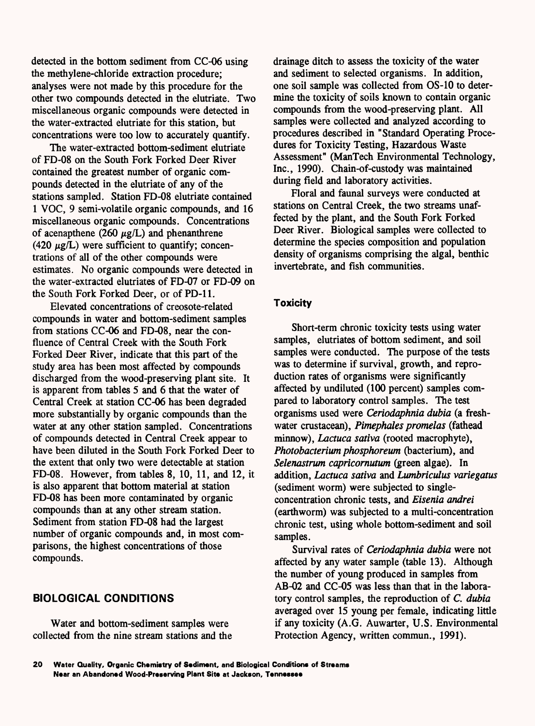detected in the bottom sediment from CC-06 using the methylene-chloride extraction procedure; analyses were not made by this procedure for the other two compounds detected in the elutriate. Two miscellaneous organic compounds were detected in the water-extracted elutriate for this station, but concentrations were too low to accurately quantify.

The water-extracted bottom-sediment elutriate of FD-08 on the South Fork Forked Deer River contained the greatest number of organic compounds detected in the elutriate of any of the stations sampled. Station FD-08 elutriate contained 1 VOC, 9 semi-volatile organic compounds, and 16 miscellaneous organic compounds. Concentrations of acenapthene (260  $\mu$ g/L) and phenanthrene (420  $\mu$ g/L) were sufficient to quantify; concentrations of all of the other compounds were estimates. No organic compounds were detected in the water-extracted elutriates of FD-07 or FD-09 on the South Fork Forked Deer, or of PD-11.

Elevated concentrations of creosote-related compounds in water and bottom-sediment samples from stations CC-06 and FD-08, near the confluence of Central Creek with the South Fork Forked Deer River, indicate that this part of the study area has been most affected by compounds discharged from the wood-preserving plant site. It is apparent from tables 5 and 6 that the water of Central Creek at station CC-06 has been degraded more substantially by organic compounds than the water at any other station sampled. Concentrations of compounds detected in Central Creek appear to have been diluted in the South Fork Forked Deer to the extent that only two were detectable at station FD-08. However, from tables 8, 10, 11, and 12, it is also apparent that bottom material at station FD-08 has been more contaminated by organic compounds than at any other stream station. Sediment from station FD-08 had the largest number of organic compounds and, in most comparisons, the highest concentrations of those compounds.

### **BIOLOGICAL CONDITIONS**

Water and bottom-sediment samples were collected from the nine stream stations and the drainage ditch to assess the toxicity of the water and sediment to selected organisms. In addition, one soil sample was collected from OS-10 to determine the toxicity of soils known to contain organic compounds from the wood-preserving plant. All samples were collected and analyzed according to procedures described in "Standard Operating Procedures for Toxicity Testing, Hazardous Waste Assessment" (ManTech Environmental Technology, Inc., 1990). Chain-of-custody was maintained during field and laboratory activities.

Floral and faunal surveys were conducted at stations on Central Creek, the two streams unaffected by the plant, and the South Fork Forked Deer River. Biological samples were collected to determine the species composition and population density of organisms comprising the algal, benthic invertebrate, and fish communities.

### **Toxicity**

Short-term chronic toxicity tests using water samples, elutriates of bottom sediment, and soil samples were conducted. The purpose of the tests was to determine if survival, growth, and reproduction rates of organisms were significantly affected by undiluted (100 percent) samples compared to laboratory control samples. The test organisms used were *Ceriodaphnia dubia* (a freshwater crustacean), *Pimephales promelas* (fathead minnow), *Lactuca sativa* (rooted macrophyte), *Photobacterium phosphoreum* (bacterium), and *Selenastrum capricornutwn* (green algae). In addition, *Lactuca sativa* and *Lwnbriculus variegatus*  (sediment worm) were subjected to singleconcentration chronic tests, and *Eisenia andrei*  (earthworm) was subjected to a multi-concentration chronic test, using whole bottom-sediment and soil samples.

Survival rates of *Ceriodaphnia dubia* were not affected by any water sample (table 13). Although the number of young produced in samples from AB-02 and CC-05 was less than that in the laboratory control samples, the reproduction of *C. dubia*  averaged over 15 young per female, indicating little if any toxicity (A.G. Auwarter, U.S. Environmental Protection Agency, written commun., 1991).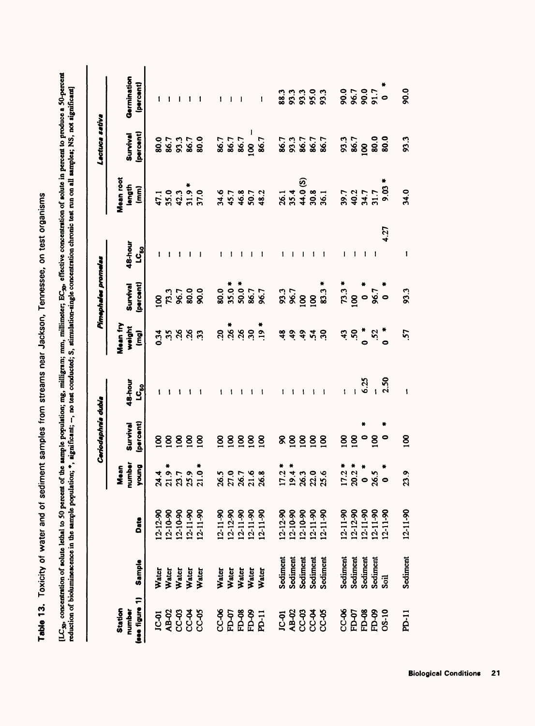Table 13. Toxicity of water and of sediment samples from streams near Jackson, Tennessee, on test organisms **Table 13.** Toxicity of water and of sediment samples from streams near Jackson, Tennessee, on test organisms [LC<sub>30</sub>, concentration of solute lethal to 50 percent of the sample population; mg, milligram; mm, millimeter; EC<sub>30</sub>, effective concentration of solute in percent to produce a 50-percent reduction of bioluminescence in th concentration of solute lethal to 50 percent of the sample population; mg, milligram; mm, millimeter; EC<sub>30</sub>, effective concentration of solute in percent to produce a 50-percent **reduction of bioluminescence in the sample population; \*, significant; , no test conducted; S, stimulation-single concentration chronic test run on all samples; NS, not significant]**

|                                                |                         |                                                                                                                    |                         | Ceriodaphnia dubia    |                        |                                          | Pimephales promelas             |                  |                                                 | Lactuca sativa                   |                                 |
|------------------------------------------------|-------------------------|--------------------------------------------------------------------------------------------------------------------|-------------------------|-----------------------|------------------------|------------------------------------------|---------------------------------|------------------|-------------------------------------------------|----------------------------------|---------------------------------|
| (see figure 1)<br>Station<br>number            | Sample                  | Date                                                                                                               | number<br>young<br>Nean | Survival<br>(percent) | 48-hour<br><u>ပ</u> ီး | Mean fry<br>weight<br>$\mathbf{\hat{g}}$ | (percent)<br>Survival           | 48-hour<br>ပ္မွဳ | Mean root<br>length<br>$\widehat{\mathbf{E}}$   | <b>percent</b><br>Survival       | Germination<br>(percent)        |
| <b>JC-01</b>                                   | Water                   |                                                                                                                    | র<br>শ                  | 8                     |                        | 0.34                                     |                                 |                  |                                                 |                                  | 1                               |
|                                                |                         |                                                                                                                    | $\frac{3}{10}$          | $\overline{8}$        |                        |                                          |                                 |                  |                                                 |                                  |                                 |
| 8<br>8<br>8<br>8<br>8<br>8<br>8<br>8<br>8<br>8 | Water<br>Water<br>Water |                                                                                                                    | 23.7                    | $\overline{8}$        |                        | 35                                       |                                 |                  |                                                 | 8<br>8 8 7<br>8 8 8 8<br>8 9 8 8 |                                 |
|                                                |                         |                                                                                                                    |                         | $\overline{2}$        |                        |                                          |                                 |                  |                                                 |                                  |                                 |
|                                                | Water                   | $\begin{array}{l} 12-12-90 \\ 12-10-90 \\ 12-10-90 \\ 12-11-90 \\ 12-11-90 \\ 12-11-90 \\ 12-11-90 \\ \end{array}$ | 21.0                    | $\overline{0}$        |                        | 33                                       | 8<br>83<br>83<br>83<br>83<br>8  |                  | $47.1$<br>$47.9$<br>$47.9$<br>$47.9$<br>$57.0$  |                                  |                                 |
| <b>CC-06</b>                                   |                         |                                                                                                                    | 26.5                    | $\overline{5}$        |                        | $\mathbf{S}$                             |                                 |                  |                                                 |                                  |                                 |
|                                                | Water<br>Water          |                                                                                                                    | 27.0                    | $\overline{8}$        |                        |                                          |                                 |                  |                                                 |                                  |                                 |
|                                                |                         | $\begin{array}{l} 12-11-90 \\ 12-12-90 \\ 12-11-90 \\ 12-11-90 \end{array}$                                        |                         | $\overline{5}$        |                        |                                          |                                 |                  |                                                 | 86.7<br>86.7<br>86.7             |                                 |
|                                                |                         |                                                                                                                    | 26.7<br>21.6<br>26.8    | $\overline{5}$        |                        |                                          |                                 |                  |                                                 | $-$<br>$\frac{100}{100}$         |                                 |
| <b>FD-88</b><br>EP-88<br>EP-11<br>EP-11        | Water<br>Water<br>Water | $12 - 11 - 90$                                                                                                     |                         | $\mathbf{S}$          |                        | $284$<br>$299$<br>$792$                  |                                 |                  | <b>24552348548</b>                              | 86.7                             | I                               |
|                                                | Sediment                | $12 - 12 - 90$                                                                                                     | 17.2                    | ୡ                     |                        |                                          |                                 |                  |                                                 |                                  |                                 |
|                                                | Sediment                |                                                                                                                    |                         | $\overline{5}$        |                        | 4.9                                      |                                 |                  |                                                 |                                  |                                 |
| 58838<br>58959<br>58959                        | Sediment                |                                                                                                                    | 19828<br>19828          | $\mathbf{8}$          |                        | 3.48                                     |                                 |                  |                                                 |                                  | 3<br>88<br>88<br>88<br>88<br>88 |
|                                                | Sediment                |                                                                                                                    |                         | $\overline{5}$        |                        |                                          |                                 |                  |                                                 |                                  |                                 |
|                                                | Sediment                | $12-10-90$<br>$12-10-90$<br>$12-11-90$<br>$12-11-90$                                                               |                         | $\overline{100}$      |                        |                                          |                                 |                  | 26.1<br>25.4<br>26.8<br>26.1<br>36.1            | 86.7<br>86.7<br>86.7<br>86.7     |                                 |
| <b>CC-06</b>                                   | Sediment                |                                                                                                                    | $17.2^{\circ}$          | $\overline{5}$        |                        | $\ddot{4}$                               |                                 |                  | $39.7$<br>$40.2$<br>$44.7$<br>$31.7$<br>$30.3*$ |                                  |                                 |
| FD-07                                          | Sediment                |                                                                                                                    |                         | $\overline{5}$        |                        | 50                                       |                                 |                  |                                                 |                                  |                                 |
| FD-08                                          | Sediment                |                                                                                                                    | 20.2                    |                       | 6.25                   | $\frac{*}{\circ}$                        |                                 |                  |                                                 |                                  |                                 |
| FD-09                                          | Sediment                |                                                                                                                    | $\frac{5}{8}$           | $\overline{2}$        |                        | 52                                       |                                 |                  |                                                 |                                  | 0.0<br>86.7<br>88.8 0           |
| OS-10                                          | Soil                    | 12-11-90<br>12-12-90<br>12-11-90<br>12-11-90<br>12-11-90                                                           |                         | 0                     | 2.50                   |                                          | $73.3 *$<br>100<br>96.7<br>96.7 | 4.27             |                                                 | 93.7<br>98.000<br>98.000         |                                 |
| PD-11                                          | Sediment                | $12 - 11 - 90$                                                                                                     | 23.9                    | $\overline{5}$        |                        | 57                                       | 93.3                            |                  | 34.0                                            | 93.3                             | 90.0                            |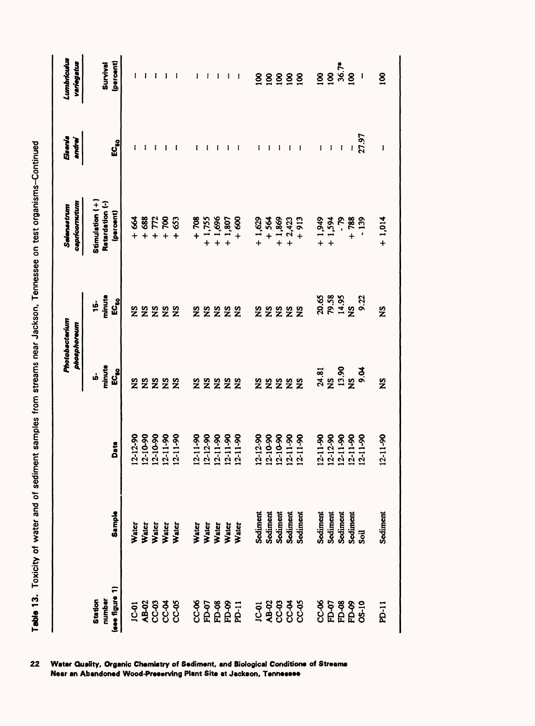| $\frac{1}{2}$                                         |
|-------------------------------------------------------|
| I                                                     |
|                                                       |
|                                                       |
|                                                       |
|                                                       |
|                                                       |
|                                                       |
|                                                       |
| :<br><<br><                                           |
|                                                       |
|                                                       |
|                                                       |
| I                                                     |
|                                                       |
| $\vdots$                                              |
| i<br>$\frac{1}{2}$                                    |
|                                                       |
| i                                                     |
|                                                       |
| $\vdots$                                              |
|                                                       |
| <b>FOR CHECAT</b>                                     |
|                                                       |
| $\frac{1}{2}$                                         |
|                                                       |
| $\frac{1}{2}$                                         |
|                                                       |
|                                                       |
|                                                       |
| İ                                                     |
|                                                       |
|                                                       |
|                                                       |
| $\ddot{ }$                                            |
| ਰ<br>><br>$\overline{a}$                              |
|                                                       |
|                                                       |
|                                                       |
|                                                       |
| ֦֧֦֧֦֧֦֧֦֧֦֧֦֧֦֧֦֧ׅ֧֦֧֦֧֦֧֦֧֦֧֧֚֚֚֡֕֜֓֝֬֜<br>֧֧֜<br>ţ |
| ر<br>با<br>ĺ                                          |
| į<br>I                                                |

|                                     |                                           |                                                      | Photobacterium<br>phosphoreum                        |                                  | capricornutum<br>Selenastrum                   | Eiseria<br>andrei | Lumbriculus<br>variegatus |
|-------------------------------------|-------------------------------------------|------------------------------------------------------|------------------------------------------------------|----------------------------------|------------------------------------------------|-------------------|---------------------------|
| Isee figure 1)<br>number<br>Station | <b>Sample</b>                             | Date                                                 | minute<br>$\mathbf{E}\mathbf{C}_{\mathbf{50}}$<br>ம் | 15.<br>minute<br>$EC_{60}$       | Stimulation (+<br>Retardation (-)<br>(percent) | ដំ                | (percent)<br>Survival     |
|                                     | Water                                     | $12 - 12 - 90$                                       | $\frac{5}{2}$                                        |                                  | $\frac{1}{2}$                                  |                   |                           |
|                                     |                                           |                                                      |                                                      | 22222                            |                                                |                   |                           |
|                                     |                                           |                                                      | <b>2222</b>                                          |                                  | $+ 688$<br>$+ 772$<br>$+ 700$                  |                   |                           |
|                                     |                                           |                                                      |                                                      |                                  |                                                |                   |                           |
|                                     | Water<br>Water<br>Water<br>Water          | $12-10-90$<br>12-10-90<br>12-11-90<br>12-11-90       |                                                      |                                  | 653                                            |                   |                           |
|                                     |                                           | $12 - 11 - 90$                                       | $\tilde{\mathbf{z}}$                                 |                                  | $+ 708$                                        |                   |                           |
|                                     |                                           |                                                      |                                                      |                                  | $+1,755$                                       |                   |                           |
|                                     |                                           |                                                      | <b>SX</b>                                            | <b>22222</b>                     | $+1,696$                                       |                   |                           |
|                                     |                                           |                                                      |                                                      |                                  | $+1,807$                                       |                   |                           |
| 85887<br>CEEEE                      | Water<br>Water<br>Water<br>Water<br>Water | $12-12-9012-11-9012-11-9012-11-90$                   | <b>SZ</b>                                            |                                  | $+600$                                         |                   |                           |
|                                     | Sediment                                  | $12 - 12 - 90$                                       |                                                      |                                  | $+1,629$                                       |                   | 8                         |
|                                     | Sediment                                  |                                                      |                                                      |                                  |                                                |                   |                           |
|                                     | Sediment                                  |                                                      |                                                      |                                  |                                                |                   |                           |
|                                     | Sediment                                  |                                                      | <b>22222</b>                                         | 22222                            | $+ 564$<br>$+ 1,869$<br>$+ 2,423$              |                   | 8888                      |
| 58888<br>28988<br>58988             | Sediment                                  | $12-10-90$<br>$12-10-90$<br>$12-11-90$<br>$12-11-90$ |                                                      |                                  | $+913$                                         |                   |                           |
|                                     | Sediment                                  | $12-11-90$<br>$12-12-90$<br>$12-11-90$<br>$12-11-90$ | <b>24.81</b><br>25.92.94<br>25.92.94                 |                                  | $+1,594$<br>+ 1,594<br>402,1 +                 |                   |                           |
|                                     | Sediment                                  |                                                      |                                                      |                                  |                                                |                   |                           |
|                                     | Sediment                                  |                                                      |                                                      |                                  |                                                |                   | <u>ខេ</u><br>ខេទ្ត ខ្ពែ   |
|                                     | Sediment                                  |                                                      |                                                      |                                  | $+ 788$                                        |                   |                           |
| 8<br>05889<br>0558                  | Soil                                      | $2 - 11 - 90$                                        |                                                      | 20.53<br>20.53<br>20.52<br>20.52 | $-139$                                         | 27.97             |                           |
| PD-11                               | Sediment                                  | $12 - 11 - 90$                                       | $\frac{8}{2}$                                        | $\tilde{\mathbf{z}}$             | $+1,014$                                       |                   | 8                         |

er Quality, Organic Chemistry of Sediment, and Biological Conditions of Streams<br><sup>,</sup> an Abandoned Wood-Preserving Plant Site at Jackson, Tennessee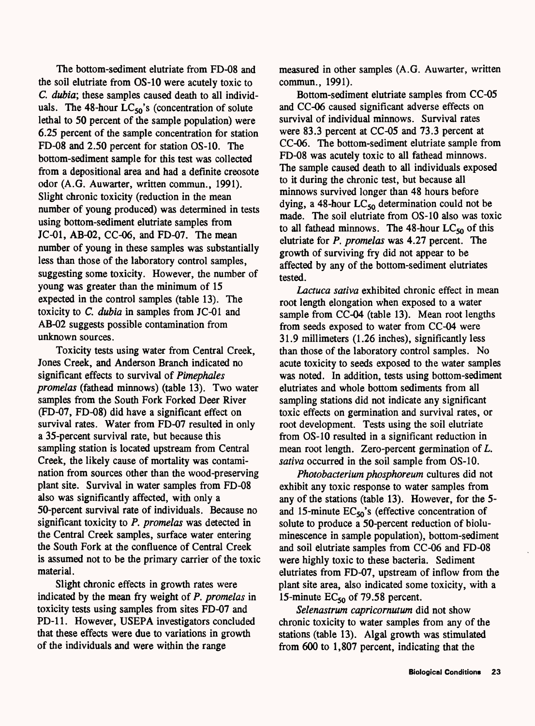The bottom-sediment elutriate from FD-08 and the soil elutriate from OS-10 were acutely toxic to *C. dubia*; these samples caused death to all individuals. The 48-hour  $LC_{50}$ 's (concentration of solute lethal to 50 percent of the sample population) were 6.25 percent of the sample concentration for station FD-08 and 2.50 percent for station OS-10. The bottom-sediment sample for this test was collected from a depositional area and had a definite creosote odor (A.G. Auwarter, written commun., 1991). Slight chronic toxicity (reduction in the mean number of young produced) was determined in tests using bottom-sediment elutriate samples from JC-01, AB-02, CC-06, and FD-07. The mean number of young in these samples was substantially less than those of the laboratory control samples, suggesting some toxicity. However, the number of young was greater than the minimum of 15 expected in the control samples (table 13). The toxicity to *C. dubia* in samples from JC-01 and AB-02 suggests possible contamination from unknown sources.

Toxicity tests using water from Central Creek, Jones Creek, and Anderson Branch indicated no significant effects to survival of *Pimephales promelas* (fathead minnows) (table 13). Two water samples from the South Fork Forked Deer River (FD-07, FD-08) did have a significant effect on survival rates. Water from FD-07 resulted in only a 35-percent survival rate, but because this sampling station is located upstream from Central Creek, the likely cause of mortality was contamination from sources other than the wood-preserving plant site. Survival in water samples from FD-08 also was significantly affected, with only a 50-percent survival rate of individuals. Because no significant toxicity to *P. promelas* was detected in the Central Creek samples, surface water entering the South Fork at the confluence of Central Creek is assumed not to be the primary carrier of the toxic material.

Slight chronic effects in growth rates were indicated by the mean fry weight of *P. promelas* in toxicity tests using samples from sites FD-07 and PD-11. However, USEPA investigators concluded that these effects were due to variations in growth of the individuals and were within the range

measured in other samples (A.G. Auwarter, written commun., 1991).

Bottom-sediment elutriate samples from CC-05 and CC-06 caused significant adverse effects on survival of individual minnows. Survival rates were 83.3 percent at CC-05 and 73.3 percent at CC-06. The bottom-sediment elutriate sample from FD-08 was acutely toxic to all fathead minnows. The sample caused death to all individuals exposed to it during the chronic test, but because all minnows survived longer than 48 hours before dying, a 48-hour  $LC_{50}$  determination could not be made. The soil elutriate from OS-10 also was toxic to all fathead minnows. The 48-hour  $LC_{50}$  of this elutriate for *P. promelas* was 4.27 percent. The growth of surviving fry did not appear to be affected by any of the bottom-sediment elutriates tested.

*Lactuca saliva* exhibited chronic effect in mean root length elongation when exposed to a water sample from CC-04 (table 13). Mean root lengths from seeds exposed to water from CC-04 were 31.9 millimeters (1.26 inches), significantly less than those of the laboratory control samples. No acute toxicity to seeds exposed to the water samples was noted. In addition, tests using bottom-sediment elutriates and whole bottom sediments from all sampling stations did not indicate any significant toxic effects on germination and survival rates, or root development. Tests using the soil elutriate from OS-10 resulted in a significant reduction in mean root length. Zero-percent germination of *L. sativa* occurred in the soil sample from OS-10.

*Photobacterium phosphoreum* cultures did not exhibit any toxic response to water samples from any of the stations (table 13). However, for the 5 and 15-minute  $EC_{50}$ 's (effective concentration of solute to produce a 50-percent reduction of bioluminescence in sample population), bottom-sediment and soil elutriate samples from CC-06 and FD-08 were highly toxic to these bacteria. Sediment elutriates from FD-07, upstream of inflow from the plant site area, also indicated some toxicity, with a 15-minute  $EC_{50}$  of 79.58 percent.

*Selenastrum capricornutum* did not show chronic toxicity to water samples from any of the stations (table 13). Algal growth was stimulated from 600 to 1,807 percent, indicating that the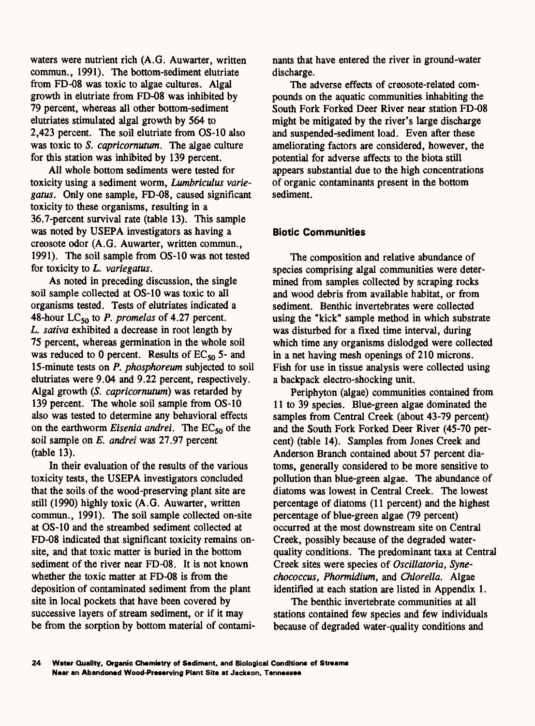waters were nutrient rich (A.G. Auwarter, written commun., 1991). The bottom-sediment elutriate from FD-08 was toxic to algae cultures. Algal growth in elutriate from FD-08 was inhibited by 79 percent, whereas all other bottom-sediment elutriates stimulated algal growth by 564 to 2,423 percent. The soil elutriate from OS-10 also was toxic to *S. capricornutum.* The algae culture for this station was inhibited by 139 percent.

All whole bottom sediments were tested for toxicity using a sediment worm, *Lumbriculus variegatus.* Only one sample, FD-08, caused significant toxicity to these organisms, resulting in a 36.7-percent survival rate (table 13). This sample was noted by USEPA investigators as having a creosote odor (A.G. Auwarter, written commun., 1991). The soil sample from OS-10 was not tested for toxicity to *L. variegatus.*

As noted in preceding discussion, the single soil sample collected at OS-10 was toxic to all organisms tested. Tests of elutriates indicated a 48-hour LC<sub>50</sub> to *P. promelas* of 4.27 percent. *L. sativa* exhibited a decrease in root length by 75 percent, whereas germination in the whole soil was reduced to 0 percent. Results of  $EC_{50}$  5- and 15-minute tests on *P. phosphoreum* subjected to soil elutriates were 9.04 and 9.22 percent, respectively. Algal growth *(S. capricornutum)* was retarded by 139 percent. The whole soil sample from OS-10 also was tested to determine any behavioral effects on the earthworm *Eisenia andrei*. The EC<sub>50</sub> of the soil sample on *E. andrei* was 27.97 percent (table 13).

In their evaluation of the results of the various toxicity tests, the USEPA investigators concluded that the soils of the wood-preserving plant site are still (1990) highly toxic (A.G. Auwarter, written commun., 1991). The soil sample collected on-site at OS-10 and the streambed sediment collected at FD-08 indicated that significant toxicity remains onsite, and that toxic matter is buried in the bottom sediment of the river near FD-08. It is not known whether the toxic matter at FD-08 is from the deposition of contaminated sediment from the plant site in local pockets that have been covered by successive layers of stream sediment, or if it may be from the sorption by bottom material of contaminants that have entered the river in ground-water discharge.

The adverse effects of creosote-related compounds on the aquatic communities inhabiting the South Fork Forked Deer River near station FD-08 might be mitigated by the river's large discharge and suspended-sediment load. Even after these ameliorating factors are considered, however, the potential for adverse affects to the biota still appears substantial due to the high concentrations of organic contaminants present in the bottom sediment.

### **Biotic Communities**

The composition and relative abundance of species comprising algal communities were determined from samples collected by scraping rocks and wood debris from available habitat, or from sediment. Benthic invertebrates were collected using the "kick" sample method in which substrate was disturbed for a fixed time interval, during which time any organisms dislodged were collected in a net having mesh openings of 210 microns. Fish for use in tissue analysis were collected using a backpack electro-shocking unit.

Periphyton (algae) communities contained from 11 to 39 species. Blue-green algae dominated the samples from Central Creek (about 43-79 percent) and the South Fork Forked Deer River (45-70 percent) (table 14). Samples from Jones Creek and Anderson Branch contained about 57 percent diatoms, generally considered to be more sensitive to pollution than blue-green algae. The abundance of diatoms was lowest in Central Creek. The lowest percentage of diatoms (11 percent) and the highest percentage of blue-green algae (79 percent) occurred at the most downstream site on Central Creek, possibly because of the degraded waterquality conditions. The predominant taxa at Central Creek sites were species of *Oscillatoria*, Syne*chococcus, Phormidium,* and *Chlorella.* Algae identified at each station are listed in Appendix 1.

The benthic invertebrate communities at all stations contained few species and few individuals because of degraded water-quality conditions and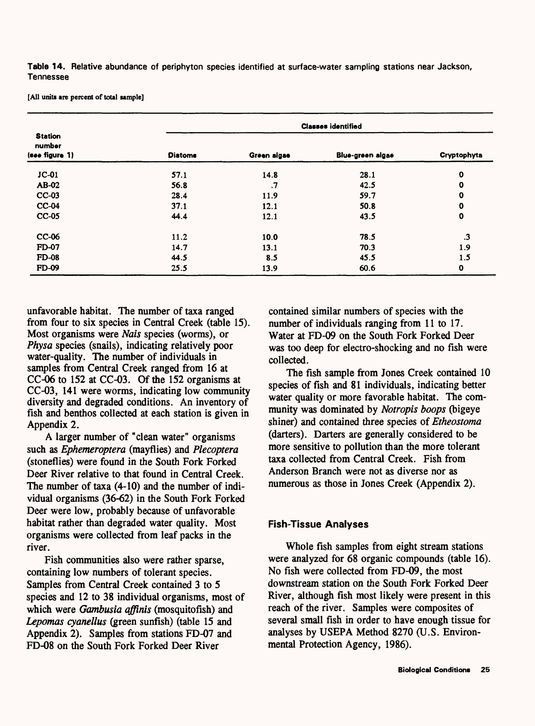**Table 14.** Relative abundance of periphyton species identified at surface-water sampling stations near Jackson, Tennessee

**[All units are percent of total sample]**

| <b>Station</b>           |                |             | <b>Classes identified</b> |             |
|--------------------------|----------------|-------------|---------------------------|-------------|
| number<br>(see figure 1) | <b>Diatoms</b> | Green algae | Blue-green algae          | Cryptophyta |
| $JC-01$                  | 57.1           | 14.8        | 28.1                      | $\mathbf 0$ |
| AB-02                    | 56.8           | $\cdot$     | 42.5                      | $\mathbf 0$ |
| $CC-03$                  | 28.4           | 11.9        | 59.7                      | 0           |
| $CC-04$                  | 37.1           | 12.1        | 50.8                      | 0           |
| $CC-05$                  | 44.4           | 12.1        | 43.5                      | $\mathbf 0$ |
| CC-06                    | 11.2           | 10.0        | 78.5                      | .3          |
| <b>FD-07</b>             | 14.7           | 13.1        | 70.3                      | 1.9         |
| <b>FD-08</b>             | 44.5           | 8.5         | 45.5                      | 1.5         |
| <b>FD-09</b>             | 25.5           | 13.9        | 60.6                      | $\mathbf o$ |

unfavorable habitat. The number of taxa ranged from four to six species in Central Creek (table 15). Most organisms were *Nais* species (worms), or *Physa* species (snails), indicating relatively poor water-quality. The number of individuals in samples from Central Creek ranged from 16 at CC-06 to 152 at CC-03. Of the 152 organisms at CC-03, 141 were worms, indicating low community diversity and degraded conditions. An inventory of fish and benthos collected at each station is given in Appendix 2.

A larger number of "clean water" organisms such as *Ephemeroptera* (mayflies) and *Plecoptera*  (stoneflies) were found in the South Fork Forked Deer River relative to that found in Central Creek. The number of taxa (4-10) and the number of individual organisms (36-62) in the South Fork Forked Deer were low, probably because of unfavorable habitat rather than degraded water quality. Most organisms were collected from leaf packs in the river.

Fish communities also were rather sparse, containing low numbers of tolerant species. Samples from Central Creek contained 3 to 5 species and 12 to 38 individual organisms, most of which were *Gambusia affinis* (mosquitofish) and *Lepomas cyanellus* (green sunfish) (table 15 and Appendix 2). Samples from stations FD-07 and FD-08 on the South Fork Forked Deer River

contained similar numbers of species with the number of individuals ranging from 11 to 17. Water at FD-09 on the South Fork Forked Deer was too deep for electro-shocking and no fish were collected.

The fish sample from Jones Creek contained 10 species of fish and 81 individuals, indicating better water quality or more favorable habitat. The community was dominated by *Notropis boops* (bigeye shiner) and contained three species of *Etheostoma*  (darters). Darters are generally considered to be more sensitive to pollution than the more tolerant taxa collected from Central Creek. Fish from Anderson Branch were not as diverse nor as numerous as those in Jones Creek (Appendix 2).

### **Fish-Tissue Analyses**

Whole fish samples from eight stream stations were analyzed for 68 organic compounds (table 16). No fish were collected from FD-09, the most downstream station on the South Fork Forked Deer River, although fish most likely were present in this reach of the river. Samples were composites of several small fish in order to have enough tissue for analyses by USEPA Method 8270 (U.S. Environmental Protection Agency, 1986).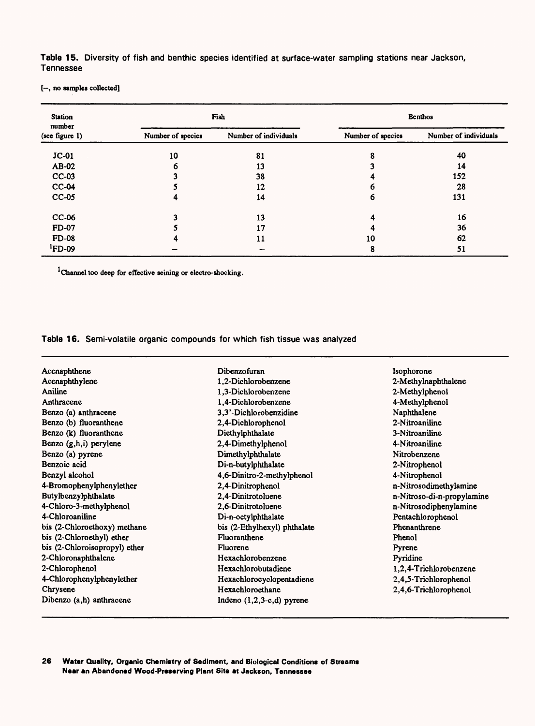**Table 15.** Diversity of fish and benthic species identified at surface-water sampling stations near Jackson, Tennessee

[-, no samples collected]

| <b>Station</b><br>number<br>(see figure 1) | Fish              |                       | Benthos           |                       |
|--------------------------------------------|-------------------|-----------------------|-------------------|-----------------------|
|                                            | Number of species | Number of individuals | Number of species | Number of individuals |
| $JC-01$                                    | 10                | 81                    | 8                 | 40                    |
| AB-02                                      | 6                 | 13                    |                   | 14                    |
| $CC-03$                                    |                   | 38                    |                   | 152                   |
| $CC-04$                                    |                   | 12                    | n                 | 28                    |
| $CC-05$                                    |                   | 14                    | 6                 | 131                   |
| CC-06                                      | 2                 | 13                    |                   | 16                    |
| <b>FD-07</b>                               |                   | 17                    |                   | 36                    |
| <b>FD-08</b>                               | л                 | 11                    | 10                | 62                    |
| ${}^{1}$ FD-09                             |                   | --                    | 8                 | 51                    |

Channel too deep for effective seining or electro-shocking.

**Table 16.** Semi-volatile organic compounds for which fish tissue was analyzed

| Acenaphthene                  | Dibenzofuran                 | Isophorone                 |
|-------------------------------|------------------------------|----------------------------|
| Acenaphthylene                | 1,2-Dichlorobenzene          | 2-Methylnaphthalene        |
| Aniline                       | 1,3-Dichlorobenzene          | 2-Methylphenol             |
| Anthracene                    | 1,4-Dichlorobenzene          | 4-Methylphenol             |
| Benzo (a) anthracene          | 3,3'-Dichlorobenzidine       | Naphthalene                |
| Benzo (b) fluoranthene        | 2,4-Dichlorophenol           | 2-Nitroaniline             |
| Benzo (k) fluoranthene        | Diethylphthalate             | 3-Nitroaniline             |
| Benzo (g,h,i) perylene        | 2,4-Dimethylphenol           | 4-Nitroaniline             |
| Benzo (a) pyrene              | Dimethylphthalate            | Nitrobenzene               |
| Benzoic acid                  | Di-n-butylphthalate          | 2-Nitrophenol              |
| Benzyl alcohol                | 4,6-Dinitro-2-methylphenol   | 4-Nitrophenol              |
| 4-Bromophenylphenylether      | 2,4-Dinitrophenol            | n-Nitrosodimethylamine     |
| Butylbenzylphthalate          | 2,4-Dinitrotoluene           | n-Nitroso-di-n-propylamine |
| 4-Chloro-3-methylphenol       | 2,6-Dinitrotoluene           | n-Nitrosodiphenylamine     |
| 4-Chloroaniline               | Di-n-octylphthalate          | Pentachlorophenol          |
| bis (2-Chloroethoxy) methane  | bis (2-Ethylhexyl) phthalate | Phenanthrene               |
| bis (2-Chloroethyl) ether     | Fluoranthene                 | Phenol                     |
| bis (2-Chloroisopropyl) ether | Fluorene                     | Pyrene                     |
| 2-Chloronaphthalene           | Hexachlorobenzene            | Pyridine                   |
| 2-Chlorophenol                | Hexachlorobutadiene          | 1,2,4-Trichlorobenzene     |
| 4-Chlorophenylphenylether     | Hexachlorocyclopentadiene    | 2,4,5-Trichlorophenol      |
| Chrysene                      | Hexachloroethane             | 2,4,6-Trichlorophenol      |
| Dibenzo (a,h) anthracene      | Indeno $(1,2,3-c,d)$ pyrene  |                            |

**26 Water Quality, Organic Chemistry of Sediment, and Biological Conditions of Streams Near an Abandoned Wood-Preserving Plant Site at Jackson, Tennessee**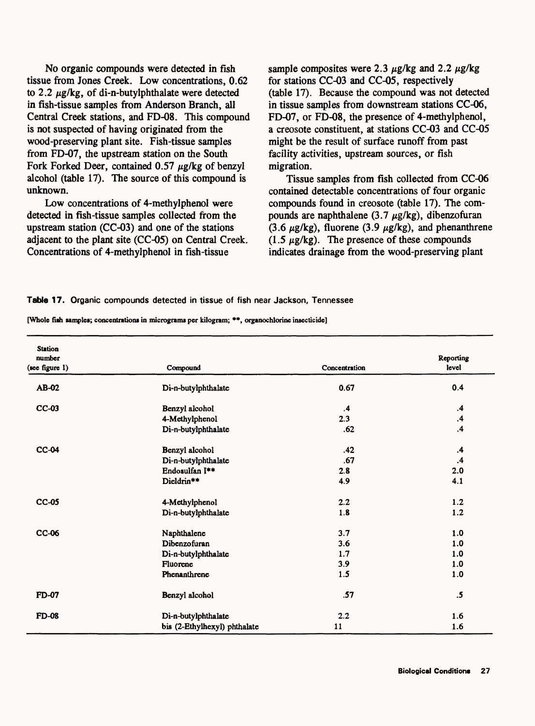No organic compounds were detected in fish tissue from Jones Creek. Low concentrations, 0.62 to 2.2  $\mu$ g/kg, of di-n-butylphthalate were detected in fish-tissue samples from Anderson Branch, all Central Creek stations, and FD-08. This compound is not suspected of having originated from the wood-preserving plant site. Fish-tissue samples from FD-07, the upstream station on the South Fork Forked Deer, contained  $0.57 \mu$ g/kg of benzyl alcohol (table 17). The source of this compound is unknown.

Low concentrations of 4-methylphenol were detected in fish-tissue samples collected from the upstream station (CC-03) and one of the stations adjacent to the plant site (CC-05) on Central Creek. Concentrations of 4-methylphenol in fish-tissue

sample composites were 2.3  $\mu$ g/kg and 2.2  $\mu$ g/kg for stations CC-03 and CC-05, respectively (table 17). Because the compound was not detected in tissue samples from downstream stations CC-06, FD-07, or FD-08, the presence of 4-methylphenol, a creosote constituent, at stations CC-03 and CC-05 might be the result of surface runoff from past facility activities, upstream sources, or fish migration.

Tissue samples from fish collected from CC-06 contained detectable concentrations of four organic compounds found in creosote (table 17). The compounds are naphthalene (3.7  $\mu$ g/kg), dibenzofuran (3.6  $\mu$ g/kg), fluorene (3.9  $\mu$ g/kg), and phenanthrene  $(1.5 \mu g/kg)$ . The presence of these compounds indicates drainage from the wood-preserving plant

#### **Table 17.** Organic compounds detected in tissue of fish near Jackson, Tennessee

| [Whole fish samples; concentrations in micrograms per kilogram; **, organochlorine insecticide] |  |  |  |  |  |
|-------------------------------------------------------------------------------------------------|--|--|--|--|--|
|-------------------------------------------------------------------------------------------------|--|--|--|--|--|

| <b>Station</b><br>number<br>(see figure 1) | Compound                     | Concentration | Reporting<br>level |
|--------------------------------------------|------------------------------|---------------|--------------------|
|                                            |                              |               |                    |
| AB-02                                      | Di-n-butylphthalate          | 0.67          | 0.4                |
| $CC-03$                                    | Benzyl alcohol               | $\mathbf{.4}$ | $\cdot$            |
|                                            | 4-Methylphenol               | 2.3           | $\cdot$            |
|                                            | Di-n-butylphthalate          | .62           | $\cdot$            |
| <b>CC-04</b>                               | Benzyl alcohol               | .42           | $\cdot$            |
|                                            | Di-n-butylphthalate          | .67           | $\cdot$            |
|                                            | Endosulfan I**               | 2.8           | 2.0                |
|                                            | Dieldrin**                   | 4.9           | 4.1                |
| <b>CC-05</b>                               | 4-Methylphenol               | 2.2           | 1.2                |
|                                            | Di-n-butylphthalate          | 1.8           | 1.2                |
| CC-06                                      | Naphthalene                  | 3.7           | 1.0                |
|                                            | Dibenzofuran                 | 3.6           | 1.0                |
|                                            | Di-n-butylphthalate          | 1.7           | 1.0                |
|                                            | Fluorene                     | 3.9           | 1.0                |
|                                            | Phenanthrene                 | 1.5           | 1.0                |
| FD-07                                      | Benzyl alcohol               | .57           | $.5\,$             |
| <b>FD-08</b>                               | Di-n-butylphthalate          | 2.2           | 1.6                |
|                                            | bis (2-Ethylhexyl) phthalate | 11            | 1.6                |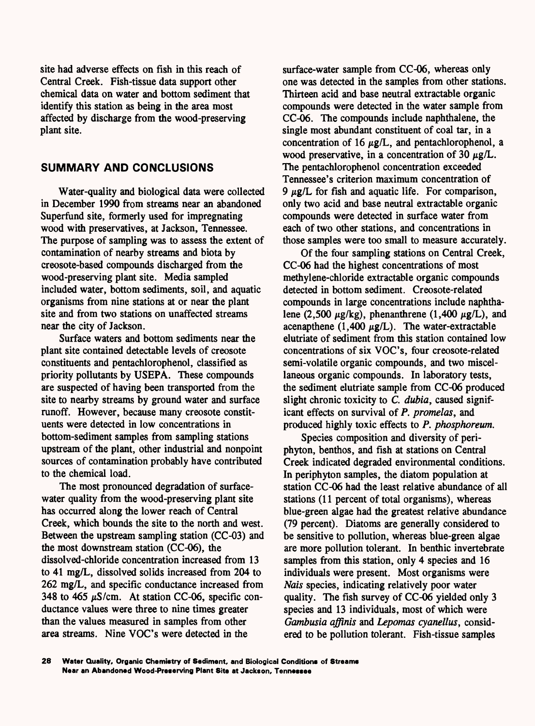site had adverse effects on fish in this reach of Central Creek. Fish-tissue data support other chemical data on water and bottom sediment that identify this station as being in the area most affected by discharge from the wood-preserving plant site.

### **SUMMARY AND CONCLUSIONS**

Water-quality and biological data were collected in December 1990 from streams near an abandoned Superfund site, formerly used for impregnating wood with preservatives, at Jackson, Tennessee. The purpose of sampling was to assess the extent of contamination of nearby streams and biota by creosote-based compounds discharged from the wood-preserving plant site. Media sampled included water, bottom sediments, soil, and aquatic organisms from nine stations at or near the plant site and from two stations on unaffected streams near the city of Jackson.

Surface waters and bottom sediments near the plant site contained detectable levels of creosote constituents and pentachlorophenol, classified as priority pollutants by USEPA. These compounds are suspected of having been transported from the site to nearby streams by ground water and surface runoff. However, because many creosote constituents were detected in low concentrations in bottom-sediment samples from sampling stations upstream of the plant, other industrial and nonpoint sources of contamination probably have contributed to the chemical load.

The most pronounced degradation of surfacewater quality from the wood-preserving plant site has occurred along the lower reach of Central Creek, which bounds the site to the north and west. Between the upstream sampling station (CC-03) and the most downstream station (CC-06), the dissolved-chloride concentration increased from 13 to 41 mg/L, dissolved solids increased from 204 to 262 mg/L, and specific conductance increased from 348 to 465  $\mu$ S/cm. At station CC-06, specific conductance values were three to nine times greater than the values measured in samples from other area streams. Nine VOC's were detected in the

surface-water sample from CC-06, whereas only one was detected in the samples from other stations. Thirteen acid and base neutral extractable organic compounds were detected in the water sample from CC-06. The compounds include naphthalene, the single most abundant constituent of coal tar, in a concentration of 16  $\mu$ g/L, and pentachlorophenol, a wood preservative, in a concentration of 30  $\mu$ g/L. The pentachlorophenol concentration exceeded Tennessee's criterion maximum concentration of 9  $\mu$ g/L for fish and aquatic life. For comparison, only two acid and base neutral extractable organic compounds were detected in surface water from each of two other stations, and concentrations in those samples were too small to measure accurately.

Of the four sampling stations on Central Creek, CC-06 had the highest concentrations of most methylene-chloride extractable organic compounds detected in bottom sediment. Creosote-related compounds in large concentrations include naphthalene (2,500  $\mu$ g/kg), phenanthrene (1,400  $\mu$ g/L), and acenapthene (1,400  $\mu$ g/L). The water-extractable elutriate of sediment from this station contained low concentrations of six VOC's, four creosote-related semi-volatile organic compounds, and two miscellaneous organic compounds. In laboratory tests, the sediment elutriate sample from CC-06 produced slight chronic toxicity to *C. dubia,* caused significant effects on survival of *P. promelas,* and produced highly toxic effects to *P. phosphorewn.*

Species composition and diversity of periphyton, benthos, and fish at stations on Central Creek indicated degraded environmental conditions. In periphyton samples, the diatom population at station CC-06 had the least relative abundance of all stations (11 percent of total organisms), whereas blue-green algae had the greatest relative abundance (79 percent). Diatoms are generally considered to be sensitive to pollution, whereas blue-green algae are more pollution tolerant. In benthic invertebrate samples from this station, only 4 species and 16 individuals were present. Most organisms were *Nais* species, indicating relatively poor water quality. The fish survey of CC-06 yielded only 3 species and 13 individuals, most of which were *Gambusia affinis* and *Lepomas cyanellus,* considered to be pollution tolerant. Fish-tissue samples

**28 Water Quality, Organic Chemistry of Sediment, and Biological Conditions of Streams Near an Abandoned Wood-Preserving Plant Site at Jackson, Tennessee**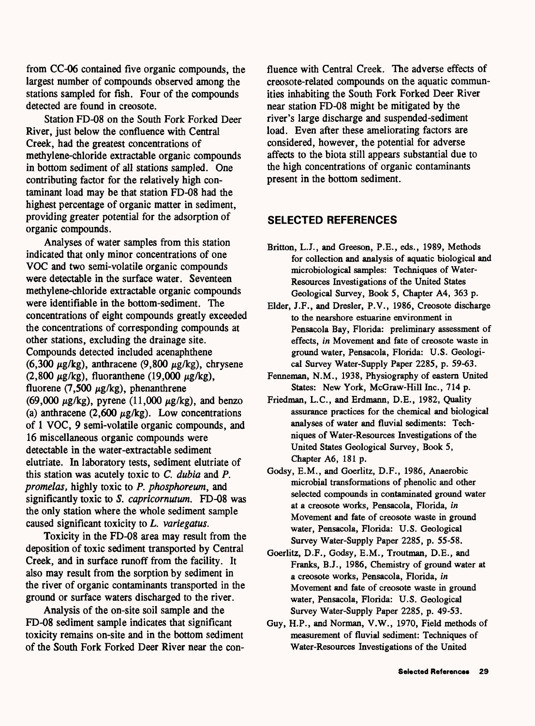from CC-06 contained five organic compounds, the largest number of compounds observed among the stations sampled for fish. Four of the compounds detected are found in creosote.

Station FD-08 on the South Fork Forked Deer River, just below the confluence with Central Creek, had the greatest concentrations of methylene-chloride extractable organic compounds in bottom sediment of all stations sampled. One contributing factor for the relatively high contaminant load may be that station FD-08 had the highest percentage of organic matter in sediment, providing greater potential for the adsorption of organic compounds.

Analyses of water samples from this station indicated that only minor concentrations of one VOC and two semi-volatile organic compounds were detectable in the surface water. Seventeen methylene-chloride extractable organic compounds were identifiable in the bottom-sediment. The concentrations of eight compounds greatly exceeded the concentrations of corresponding compounds at other stations, excluding the drainage site. Compounds detected included acenaphthene (6,300  $\mu$ g/kg), anthracene (9,800  $\mu$ g/kg), chrysene (2,800  $\mu$ g/kg), fluoranthene (19,000  $\mu$ g/kg), fluorene (7,500  $\mu$ g/kg), phenanthrene (69,000  $\mu$ g/kg), pyrene (11,000  $\mu$ g/kg), and benzo (a) anthracene (2,600  $\mu$ g/kg). Low concentrations of 1 VOC, 9 semi-volatile organic compounds, and 16 miscellaneous organic compounds were detectable in the water-extractable sediment elutriate. In laboratory tests, sediment elutriate of this station was acutely toxic to *C. dubia* and *P. promelas,* highly toxic to *P. phosphoreum,* and significantly toxic to *S. capricornutum.* FD-08 was the only station where the whole sediment sample caused significant toxicity to *L. variegatus.*

Toxicity in the FD-08 area may result from the deposition of toxic sediment transported by Central Creek, and in surface runoff from the facility. It also may result from the sorption by sediment in the river of organic contaminants transported in the ground or surface waters discharged to the river.

Analysis of the on-site soil sample and the FD-08 sediment sample indicates that significant toxicity remains on-site and in the bottom sediment of the South Fork Forked Deer River near the confluence with Central Creek. The adverse effects of creosote-related compounds on the aquatic communities inhabiting the South Fork Forked Deer River near station FD-08 might be mitigated by the river's large discharge and suspended-sediment load. Even after these ameliorating factors are considered, however, the potential for adverse affects to the biota still appears substantial due to the high concentrations of organic contaminants present in the bottom sediment.

### **SELECTED REFERENCES**

- Britton, L.J., and Greeson, P.E., eds., 1989, Methods for collection and analysis of aquatic biological and microbiological samples: Techniques of Water-Resources Investigations of the United States Geological Survey, Book 5, Chapter A4, 363 p.
- Elder, J.F., and Dresler, P.V., 1986, Creosote discharge to the nearshore estuarine environment in Pensacola Bay, Florida: preliminary assessment of effects, *in* Movement and fate of creosote waste in ground water, Pensacola, Florida: U.S. Geological Survey Water-Supply Paper 2285, p. 59-63.
- Fenneman, N.M., 1938, Physiography of eastern United States: New York, McGraw-Hill Inc., 714 p.
- Friedman, L.C., and Erdmann, D.E., 1982, Quality assurance practices for the chemical and biological analyses of water and fluvial sediments: Techniques of Water-Resources Investigations of the United States Geological Survey, Book 5, Chapter A6, 181 p.
- Godsy, E.M., and Goerlitz, D.F., 1986, Anaerobic microbial transformations of phenolic and other selected compounds in contaminated ground water at a creosote works, Pensacola, Florida, *in*  Movement and fate of creosote waste in ground water, Pensacola, Florida: U.S. Geological Survey Water-Supply Paper 2285, p. 55-58.
- Goerlitz, D.F., Godsy, E.M., Troutman, D.E., and Franks, B.J., 1986, Chemistry of ground water at a creosote works, Pensacola, Florida, *in*  Movement and fate of creosote waste in ground water, Pensacola, Florida: U.S. Geological Survey Water-Supply Paper 2285, p. 49-53.
- Guy, H.P., and Norman, V.W., 1970, Field methods of measurement of fluvial sediment: Techniques of Water-Resources Investigations of the United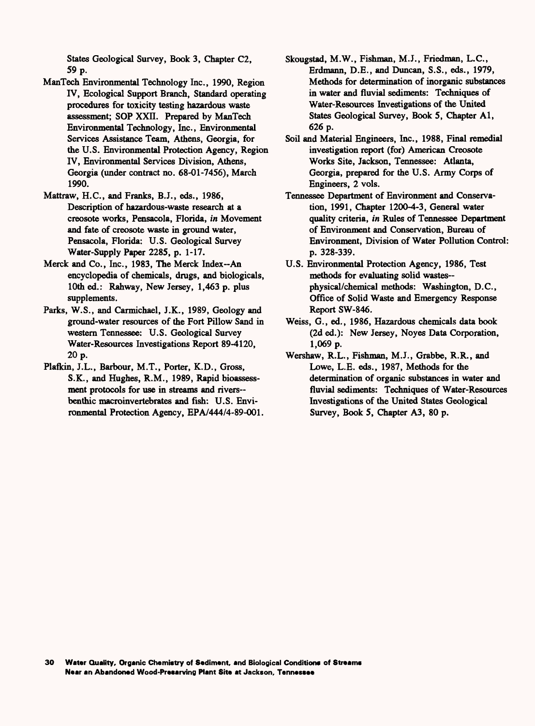States Geological Survey, Book 3, Chapter C2, 59 p.

- ManTech Environmental Technology Inc., 1990, Region IV, Ecological Support Branch, Standard operating procedures for toxicity testing hazardous waste assessment; SOP XXII. Prepared by ManTech Environmental Technology, Inc., Environmental Services Assistance Team, Athens, Georgia, for the U.S. Environmental Protection Agency, Region IV, Environmental Services Division, Athens, Georgia (under contract no. 68-01-7456), March 1990.
- Mattraw, H.C., and Franks, B.J., eds., 1986, Description of hazardous-waste research at a creosote works, Pensacola, Florida, *in* Movement and fate of creosote waste in ground water, Pensacola, Florida: U.S. Geological Survey Water-Supply Paper 2285, p. 1-17.
- Merck and Co., Inc., 1983, The Merck Index~An encyclopedia of chemicals, drugs, and biologicals, 10th ed.: Rahway, New Jersey, 1,463 p. plus supplements.
- Parks, W.S., and Carmichael, J.K., 1989, Geology and ground-water resources of the Fort Pillow Sand in western Tennessee: U.S. Geological Survey Water-Resources Investigations Report 89-4120, 20 p.
- Plafkin, J.L., Barbour, M.T., Porter, K.D., Gross, S.K., and Hughes, R.M., 1989, Rapid bioassessment protocols for use in streams and rivers benthic macroinvertebrates and fish: U.S. Environmental Protection Agency, EPA/444/4-89-001.
- Skougstad, M.W., Fishman, M.J., Friedman, L.C., Erdmann, D.E., and Duncan, S.S., eds., 1979, Methods for determination of inorganic substances in water and fluvial sediments: Techniques of Water-Resources Investigations of the United States Geological Survey, Book 5, Chapter Al, 626 p.
- Soil and Material Engineers, Inc., 1988, Final remedial investigation report (for) American Creosote Works Site, Jackson, Tennessee: Atlanta, Georgia, prepared for the U.S. Army Corps of Engineers, 2 vols.
- Tennessee Department of Environment and Conservation, 1991, Chapter 1200-4-3, General water quality criteria, *in* Rules of Tennessee Department of Environment and Conservation, Bureau of Environment, Division of Water Pollution Control: p. 328-339.
- U.S. Environmental Protection Agency, 1986, Test methods for evaluating solid wastes- physical/chemical methods: Washington, D.C., Office of Solid Waste and Emergency Response Report SW-846.
- Weiss, G., ed., 1986, Hazardous chemicals data book (2d ed.): New Jersey, Noyes Data Corporation, 1,069 p.
- Wershaw, R.L., Fishman, M.J., Grabbe, R.R., and Lowe, L.E. eds., 1987, Methods for the determination of organic substances in water and fluvial sediments: Techniques of Water-Resources Investigations of the United States Geological Survey, Book 5, Chapter A3, 80 p.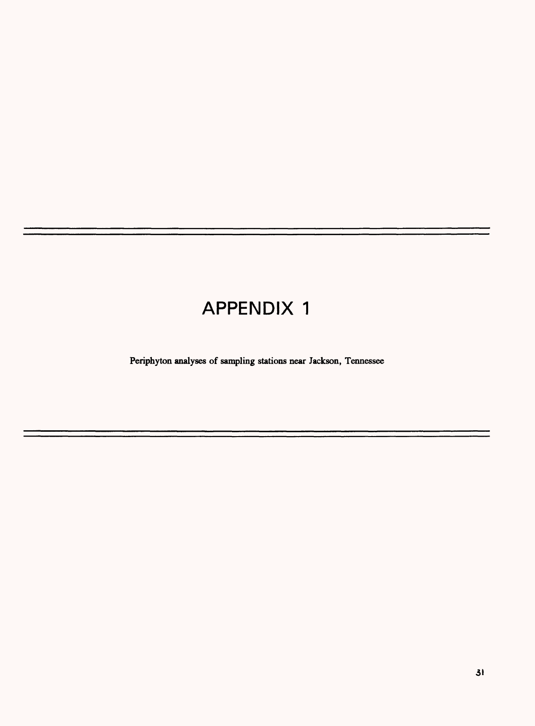# APPENDIX 1

Periphyton analyses of sampling stations near Jackson, Tennessee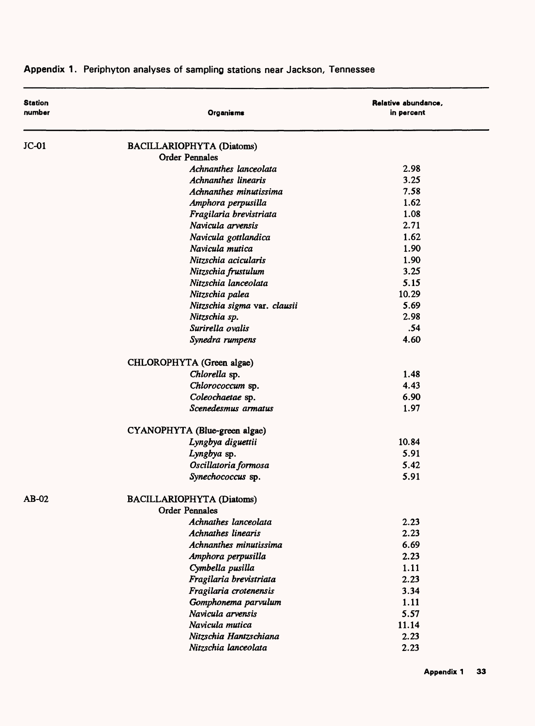| <b>Station</b><br>number | Organisms                                                 | Relative abundance,<br>in percent |
|--------------------------|-----------------------------------------------------------|-----------------------------------|
| $JC-01$                  | <b>BACILLARIOPHYTA (Diatoms)</b>                          |                                   |
|                          | <b>Order Pennales</b>                                     |                                   |
|                          | Achnanthes lanceolata                                     | 2.98                              |
|                          | <b>Achnanthes linearis</b>                                | 3.25                              |
|                          | Achnanthes minutissima                                    | 7.58                              |
|                          | Amphora perpusilla                                        | 1.62                              |
|                          | Fragilaria brevistriata                                   | 1.08                              |
|                          | Navicula arvensis                                         | 2.71                              |
|                          | Navicula gottlandica                                      | 1.62                              |
|                          | Navicula mutica                                           | 1.90                              |
|                          | Nitzschia acicularis                                      | 1.90                              |
|                          | Nitzschia frustulum                                       | 3.25                              |
|                          | Nitzschia lanceolata                                      | 5.15                              |
|                          | Nitzschia palea                                           | 10.29                             |
|                          | Nitzschia sigma var. clausii                              | 5.69                              |
|                          | Nitzschia sp.                                             | 2.98                              |
|                          | Surirella ovalis                                          | .54                               |
|                          | Synedra rumpens                                           | 4.60                              |
|                          | CHLOROPHYTA (Green algae)                                 |                                   |
|                          | Chlorella sp.                                             | 1.48                              |
|                          | Chlorococcum sp.                                          | 4.43                              |
|                          | Coleochaetae sp.                                          | 6.90                              |
|                          | Scenedesmus armatus                                       | 1.97                              |
|                          | CYANOPHYTA (Blue-green algae)                             |                                   |
|                          | Lyngbya diguettii                                         | 10.84                             |
|                          | Lyngbya sp.                                               | 5.91                              |
|                          | Oscillatoria formosa                                      | 5.42                              |
|                          | Synechococcus sp.                                         | 5.91                              |
| AB-02                    | <b>BACILLARIOPHYTA (Diatoms)</b><br><b>Order Pennales</b> |                                   |
|                          | Achnathes lanceolata                                      | 2.23                              |
|                          | <b>Achnathes linearis</b>                                 | 2.23                              |
|                          | Achnanthes minutissima                                    | 6.69                              |
|                          | Amphora perpusilla                                        | 2.23                              |
|                          | Cymbella pusilla                                          | 1.11                              |
|                          | Fragilaria brevistriata                                   | 2.23                              |
|                          | Fragilaria crotenensis                                    | 3.34                              |
|                          | Gomphonema parvulum                                       | 1.11                              |
|                          | Navicula arvensis                                         | 5.57                              |
|                          | Navicula mutica                                           | 11.14                             |
|                          | Nitzschia Hantzschiana                                    | 2.23                              |
|                          | Nitzschia lanceolata                                      | 2.23                              |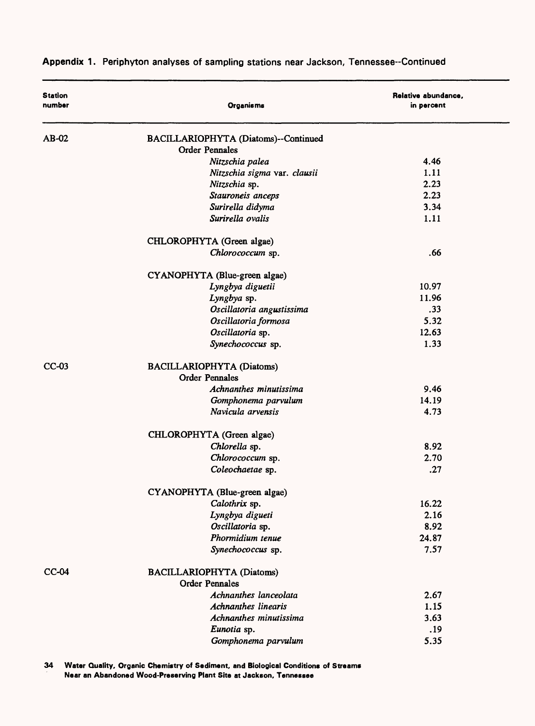| <b>Station</b><br>number | Organisms                                                 | Relative abundance,<br>in percent |
|--------------------------|-----------------------------------------------------------|-----------------------------------|
| AB-02                    | BACILLARIOPHYTA (Diatoms)--Continued                      |                                   |
|                          | <b>Order Pennales</b>                                     |                                   |
|                          | Nitzschia palea                                           | 4.46                              |
|                          | Nitzschia sigma var. clausii                              | 1.11                              |
|                          | Nitzschia sp.                                             | 2.23                              |
|                          | Stauroneis anceps                                         | 2.23                              |
|                          | Surirella didyma                                          | 3.34                              |
|                          | Surirella ovalis                                          | 1.11                              |
|                          | CHLOROPHYTA (Green algae)                                 |                                   |
|                          | Chlorococcum sp.                                          | .66                               |
|                          | CYANOPHYTA (Blue-green algae)                             |                                   |
|                          | Lyngbya diguetii                                          | 10.97                             |
|                          | Lyngbya sp.                                               | 11.96                             |
|                          | Oscillatoria angustissima                                 | .33                               |
|                          | Oscillatoria formosa                                      | 5.32                              |
|                          | Oscillatoria sp.                                          | 12.63                             |
|                          | Synechococcus sp.                                         | 1.33                              |
| $CC-03$                  | <b>BACILLARIOPHYTA (Diatoms)</b>                          |                                   |
|                          | <b>Order Pennales</b>                                     |                                   |
|                          | Achnanthes minutissima                                    | 9.46                              |
|                          | Gomphonema parvulum                                       | 14.19                             |
|                          | Navicula arvensis                                         | 4.73                              |
|                          | CHLOROPHYTA (Green algae)                                 |                                   |
|                          | Chlorella sp.                                             | 8.92                              |
|                          | Chlorococcum sp.                                          | 2.70                              |
|                          | Coleochaetae sp.                                          | .27                               |
|                          | CYANOPHYTA (Blue-green algae)                             |                                   |
|                          | Calothrix sp.                                             | 16.22                             |
|                          | Lyngbya digueti                                           | 2.16                              |
|                          | Oscillatoria sp.                                          | 8.92                              |
|                          | Phormidium tenue                                          | 24.87                             |
|                          | Synechococcus sp.                                         | 7.57                              |
| $CC-04$                  | <b>BACILLARIOPHYTA (Diatoms)</b><br><b>Order Pennales</b> |                                   |
|                          | Achnanthes lanceolata                                     | 2.67                              |
|                          | <b>Achnanthes linearis</b>                                | 1.15                              |
|                          | Achnanthes minutissima                                    | 3.63                              |
|                          | Eunotia sp.                                               | .19                               |
|                          | Gomphonema parvulum                                       | 5.35                              |
|                          |                                                           |                                   |

**34 Water Quality, Organic Chemistry of Sediment, and Biological Conditions of Streams Near an Abandoned Wood-Preserving Plant Site at Jackson, Tennessee**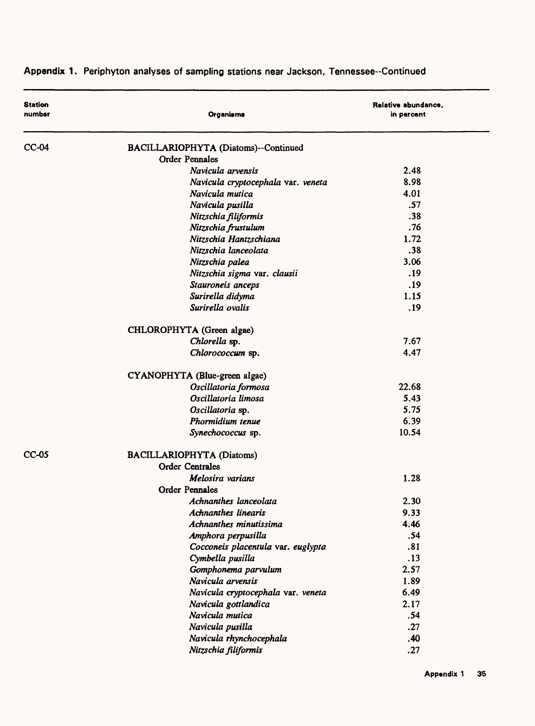| <b>Station</b><br>number | <b>Organisms</b>                     | Relative abundance,<br>in percent |
|--------------------------|--------------------------------------|-----------------------------------|
| $CC-04$                  | BACILLARIOPHYTA (Diatoms)--Continued |                                   |
|                          | <b>Order Pennales</b>                |                                   |
|                          | Navicula arvensis                    | 2.48                              |
|                          | Navicula cryptocephala var. veneta   | 8.98                              |
|                          | Navicula mutica                      | 4.01                              |
|                          | Navicula pusilla                     | .57                               |
|                          | Nitzschia filiformis                 | .38                               |
|                          | Nitzschia frustulum                  | .76                               |
|                          | Nitzschia Hantzschiana               | 1.72                              |
|                          | Nitzschia lanceolata                 | .38                               |
|                          | Nitzschia palea                      | 3.06                              |
|                          | Nitzschia sigma var. clausii         | .19                               |
|                          | Stauroneis anceps                    | .19                               |
|                          | Surirella didyma                     | 1.15                              |
|                          | Surirella ovalis                     | .19                               |
|                          | CHLOROPHYTA (Green algae)            |                                   |
|                          | Chlorella sp.                        | 7.67                              |
|                          | Chlorococcum sp.                     | 4.47                              |
|                          | CYANOPHYTA (Blue-green algae)        |                                   |
|                          | Oscillatoria formosa                 | 22.68                             |
|                          | Oscillatoria limosa                  | 5.43                              |
|                          | Oscillatoria sp.                     | 5.75                              |
|                          | Phormidium tenue                     | 6.39                              |
|                          | Synechococcus sp.                    | 10.54                             |
| $CC-05$                  | <b>BACILLARIOPHYTA (Diatoms)</b>     |                                   |
|                          | <b>Order Centrales</b>               |                                   |
|                          | Melosira varians                     | 1.28                              |
|                          | <b>Order Pennales</b>                |                                   |
|                          | Achnanthes lanceolata                | 2.30                              |
|                          | <b>Achnanthes linearis</b>           | 9.33                              |
|                          | Achnanthes minutissima               | 4.46                              |
|                          | Amphora perpusilla                   | .54                               |
|                          | Cocconeis placentula var. euglypta   | .81                               |
|                          | Cymbella pusilla                     | .13                               |
|                          | Gomphonema parvulum                  | 2.57                              |
|                          | Navicula arvensis                    | 1.89                              |
|                          | Navicula cryptocephala var. veneta   | 6.49                              |
|                          | Navicula gottlandica                 | 2.17                              |
|                          | Navicula mutica                      | .54                               |
|                          | Navicula pusilla                     | .27                               |
|                          | Navicula rhynchocephala              | .40                               |
|                          | Nitzschia filiformis                 | .27                               |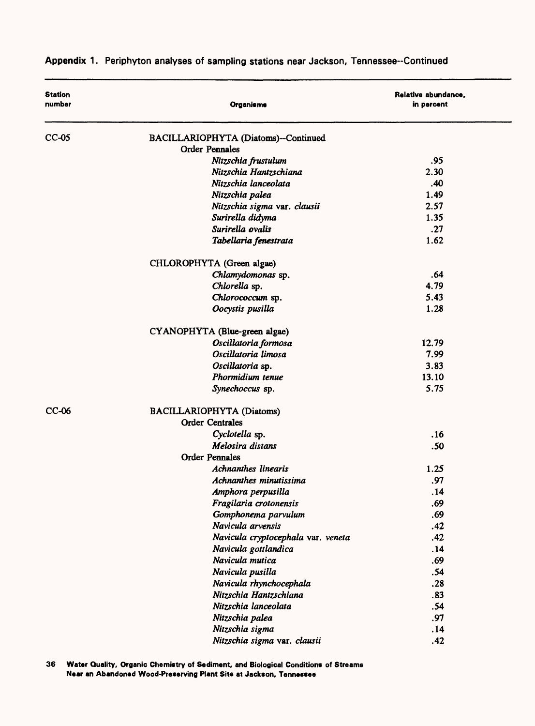| <b>Station</b><br>number | Organisms                            | Relative abundance,<br>in percent |
|--------------------------|--------------------------------------|-----------------------------------|
| $CC-05$                  | BACILLARIOPHYTA (Diatoms)--Continued |                                   |
|                          | <b>Order Pennales</b>                |                                   |
|                          | Nitzschia frustulum                  | .95                               |
|                          | Nitzschia Hantzschiana               | 2.30                              |
|                          | Nitzschia lanceolata                 | .40                               |
|                          | Nitzschia palea                      | 1.49                              |
|                          | Nitzschia sigma var. clausii         | 2.57                              |
|                          | Surirella didyma                     | 1.35                              |
|                          | Surirella ovalis                     | .27                               |
|                          | Tabellaria fenestrata                | 1.62                              |
|                          | CHLOROPHYTA (Green algae)            |                                   |
|                          | Chlamydomonas sp.                    | .64                               |
|                          | Chlorella sp.                        | 4.79                              |
|                          | Chlorococcum sp.                     | 5.43                              |
|                          | Oocystis pusilla                     | 1.28                              |
|                          | CYANOPHYTA (Blue-green algae)        |                                   |
|                          | Oscillatoria formosa                 | 12.79                             |
|                          | Oscillatoria limosa                  | 7.99                              |
|                          | Oscillatoria sp.                     | 3.83                              |
|                          | Phormidium tenue                     | 13.10                             |
|                          | Synechoccus sp.                      | 5.75                              |
| $CC-06$                  | <b>BACILLARIOPHYTA (Diatoms)</b>     |                                   |
|                          | <b>Order Centrales</b>               |                                   |
|                          | Cyclotella sp.                       | .16                               |
|                          | Melosira distans                     | .50                               |
|                          | <b>Order Pennales</b>                |                                   |
|                          | <b>Achnanthes linearis</b>           | 1.25                              |
|                          | Achnanthes minutissima               | .97                               |
|                          | Amphora perpusilla                   | .14                               |
|                          | Fragilaria crotonensis               | .69                               |
|                          | Gomphonema parvulum                  | .69                               |
|                          | Navicula arvensis                    | .42                               |
|                          | Navicula cryptocephala var. veneta   | .42                               |
|                          | Navicula gottlandica                 | .14                               |
|                          | Navicula mutica                      | .69                               |
|                          | Navicula pusilla                     | .54                               |
|                          | Navicula rhynchocephala              | .28                               |
|                          | Nitzschia Hantzschiana               | .83                               |
|                          | Nitzschia lanceolata                 | .54                               |
|                          | Nitzschia palea                      | .97                               |
|                          | Nitzschia sigma                      | .14                               |
|                          | Nitzschia sigma var. clausii         | .42                               |

**36 Water Quality, Organic Chemistry of Sediment, and Biological Conditions of Streams Near an Abandoned Wood-Preserving Plant Site at Jackson, Tennessee**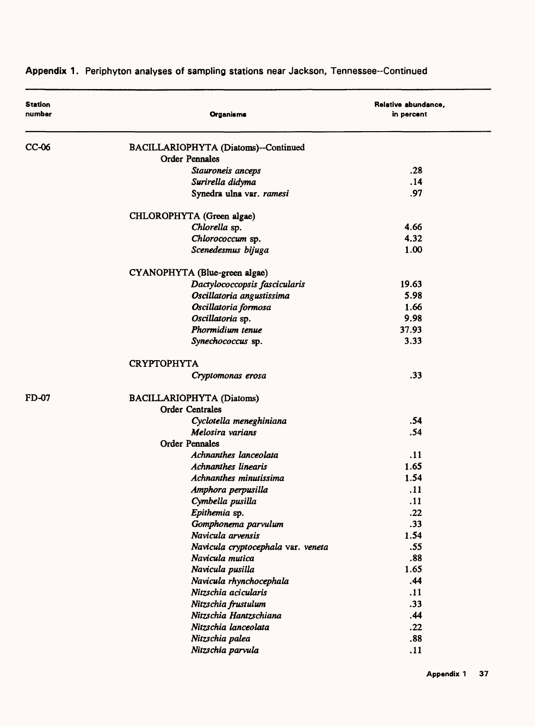| <b>Station</b><br>number | Organisms                            | Relative abundance,<br>in percent |
|--------------------------|--------------------------------------|-----------------------------------|
| $CC-06$                  | BACILLARIOPHYTA (Diatoms)--Continued |                                   |
|                          | <b>Order Pennales</b>                |                                   |
|                          | Stauroneis anceps                    | .28                               |
|                          | Surirella didyma                     | .14                               |
|                          | Synedra ulna var. ramesi             | .97                               |
|                          | CHLOROPHYTA (Green algae)            |                                   |
|                          | Chlorella sp.                        | 4.66                              |
|                          | Chlorococcum sp.                     | 4.32                              |
|                          | Scenedesmus bijuga                   | 1.00                              |
|                          | CYANOPHYTA (Blue-green algae)        |                                   |
|                          | Dactylococcopsis fascicularis        | 19.63                             |
|                          | Oscillatoria angustissima            | 5.98                              |
|                          | Oscillatoria formosa                 | 1.66                              |
|                          | Oscillatoria sp.                     | 9.98                              |
|                          | Phormidium tenue                     | 37.93                             |
|                          | Synechococcus sp.                    | 3.33                              |
|                          | <b>CRYPTOPHYTA</b>                   |                                   |
|                          | Cryptomonas erosa                    | .33                               |
| <b>FD-07</b>             | BACILLARIOPHYTA (Diatoms)            |                                   |
|                          | <b>Order Centrales</b>               |                                   |
|                          | Cyclotella meneghiniana              | .54                               |
|                          | Melosira varians                     | .54                               |
|                          | <b>Order Pennales</b>                |                                   |
|                          | Achnanthes lanceolata                | .11                               |
|                          | <b>Achnanthes linearis</b>           | 1.65                              |
|                          | Achnanthes minutissima               | 1.54                              |
|                          | Amphora perpusilla                   | .11                               |
|                          | Cymbella pusilla                     | .11                               |
|                          | Epithemia sp.                        | .22                               |
|                          | Gomphonema parvulum                  | .33                               |
|                          | Navicula arvensis                    | 1.54                              |
|                          | Navicula cryptocephala var. veneta   | .55                               |
|                          | Navicula mutica                      | .88                               |
|                          | Navicula pusilla                     | 1.65                              |
|                          | Navicula rhynchocephala              | .44                               |
|                          | Nitzschia acicularis                 | .11                               |
|                          | Nitzschia frustulum                  | .33                               |
|                          | Nitzschia Hantzschiana               | .44                               |
|                          | Nitzschia lanceolata                 | .22                               |
|                          | Nitzschia palea                      | .88                               |
|                          | Nitzschia parvula                    | .11                               |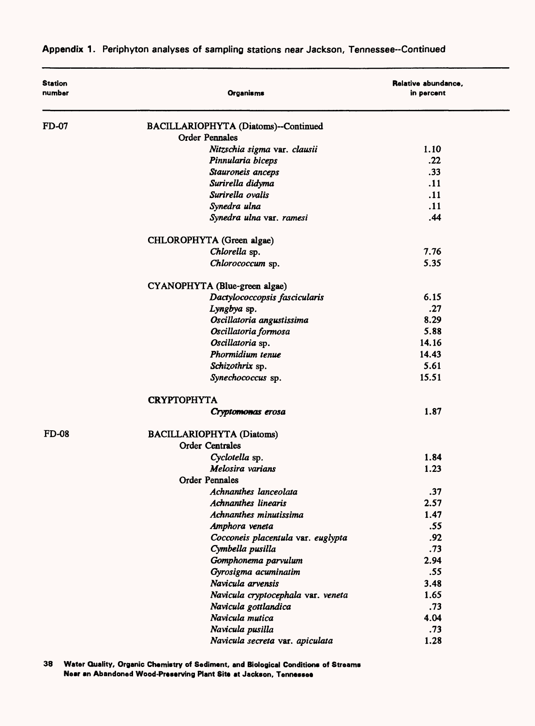| <b>Station</b><br>number | Organisms                            | Relative abundance,<br>in percent |
|--------------------------|--------------------------------------|-----------------------------------|
| FD-07                    | BACILLARIOPHYTA (Diatoms)--Continued |                                   |
|                          | <b>Order Pennales</b>                |                                   |
|                          | Nitzschia sigma var. clausii         | 1.10                              |
|                          | Pinnularia biceps                    | .22                               |
|                          | Stauroneis anceps                    | .33                               |
|                          | Surirella didyma                     | .11                               |
|                          | Surirella ovalis                     | .11                               |
|                          | Synedra ulna                         | .11                               |
|                          | Synedra ulna var. ramesi             | .44                               |
|                          | CHLOROPHYTA (Green algae)            |                                   |
|                          | Chlorella sp.                        | 7.76                              |
|                          | Chlorococcum sp.                     | 5.35                              |
|                          | CYANOPHYTA (Blue-green algae)        |                                   |
|                          | Dactylococcopsis fascicularis        | 6.15                              |
|                          | Lyngbya sp.                          | .27                               |
|                          | Oscillatoria angustissima            | 8.29                              |
|                          | Oscillatoria formosa                 | 5.88                              |
|                          | Oscillatoria sp.                     | 14.16                             |
|                          | Phormidium tenue                     | 14.43                             |
|                          | Schizothrix sp.                      | 5.61                              |
|                          | Synechococcus sp.                    | 15.51                             |
|                          | <b>CRYPTOPHYTA</b>                   |                                   |
|                          | Cryptomonas erosa                    | 1.87                              |
| <b>FD-08</b>             | <b>BACILLARIOPHYTA (Diatoms)</b>     |                                   |
|                          | <b>Order Centrales</b>               |                                   |
|                          | Cyclotella sp.                       | 1.84                              |
|                          | Melosira varians                     | 1.23                              |
|                          | <b>Order Pennales</b>                |                                   |
|                          | Achnanthes lanceolata                | .37                               |
|                          | <b>Achnanthes linearis</b>           | 2.57                              |
|                          | Achnanthes minutissima               | 1.47                              |
|                          | Amphora veneta                       | .55                               |
|                          | Cocconeis placentula var. euglypta   | .92                               |
|                          | Cymbella pusilla                     | .73                               |
|                          | Gomphonema parvulum                  | 2.94                              |
|                          | Gyrosigma acuminatim                 | .55                               |
|                          | Navicula arvensis                    | 3.48                              |
|                          | Navicula cryptocephala var. veneta   | 1.65                              |
|                          | Navicula gottlandica                 | .73                               |
|                          | Navicula mutica                      | 4.04                              |
|                          | Navicula pusilla                     | .73                               |
|                          | Navicula secreta var. apiculata      | 1.28                              |

**38 Water Quality, Organic Chemistry of Sediment, and Biological Conditions of Streams Near an Abandoned Wood-Preserving Plant Site at Jackson, Tennessee**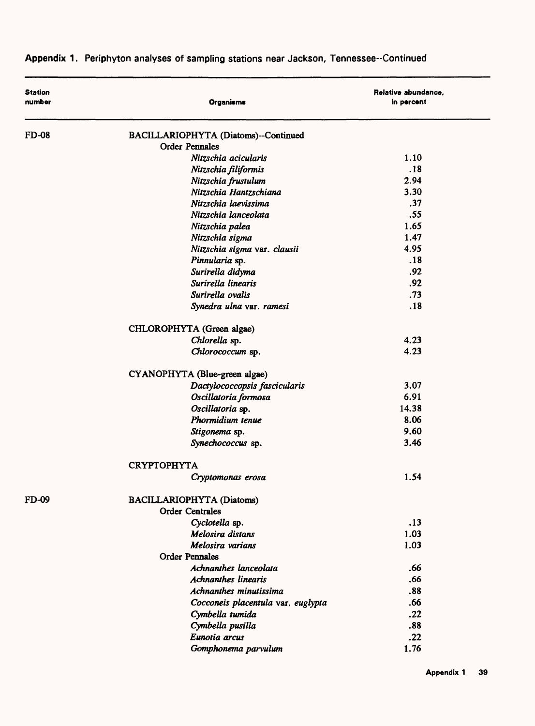| <b>Station</b><br>number | Organisms                            | Relative abundance,<br>in percent |
|--------------------------|--------------------------------------|-----------------------------------|
| <b>FD-08</b>             | BACILLARIOPHYTA (Diatoms)--Continued |                                   |
|                          | <b>Order Pennales</b>                |                                   |
|                          | Nitzschia acicularis                 | 1.10                              |
|                          | Nitzschia filiformis                 | .18                               |
|                          | Nitzschia frustulum                  | 2.94                              |
|                          | Nitzschia Hantzschiana               | 3.30                              |
|                          | Nitzschia laevissima                 | .37                               |
|                          | Nitzschia lanceolata                 | .55                               |
|                          | Nitzschia palea                      | 1.65                              |
|                          | Nitzschia sigma                      | 1.47                              |
|                          | Nitzschia sigma var. clausii         | 4.95                              |
|                          | Pinnularia sp.                       | .18                               |
|                          | Surirella didyma                     | .92                               |
|                          | Surirella linearis                   | .92                               |
|                          | Surirella ovalis                     | .73                               |
|                          | Synedra ulna var. ramesi             | .18                               |
|                          | CHLOROPHYTA (Green algae)            |                                   |
|                          | Chlorella sp.                        | 4.23                              |
|                          | Chlorococcum sp.                     | 4.23                              |
|                          | CYANOPHYTA (Blue-green algae)        |                                   |
|                          | Dactylococcopsis fascicularis        | 3.07                              |
|                          | Oscillatoria formosa                 | 6.91                              |
|                          | Oscillatoria sp.                     | 14.38                             |
|                          | Phormidium tenue                     | 8.06                              |
|                          | Stigonema sp.                        | 9.60                              |
|                          | Synechococcus sp.                    | 3.46                              |
|                          | <b>CRYPTOPHYTA</b>                   |                                   |
|                          | Cryptomonas erosa                    | 1.54                              |
| FD-09                    | <b>BACILLARIOPHYTA (Diatoms)</b>     |                                   |
|                          | <b>Order Centrales</b>               |                                   |
|                          | Cyclotella sp.                       | .13                               |
|                          | Melosira distans                     | 1.03                              |
|                          | Melosira varians                     | 1.03                              |
|                          | <b>Order Pennales</b>                |                                   |
|                          | Achnanthes lanceolata                | .66                               |
|                          | <b>Achnanthes linearis</b>           | .66                               |
|                          | Achnanthes minutissima               | .88                               |
|                          | Cocconeis placentula var. euglypta   | .66                               |
|                          | Cymbella tumida                      | .22                               |
|                          | Cymbella pusilla                     | .88                               |
|                          | Eunotia arcus                        | .22                               |
|                          | Gomphonema parvulum                  | 1.76                              |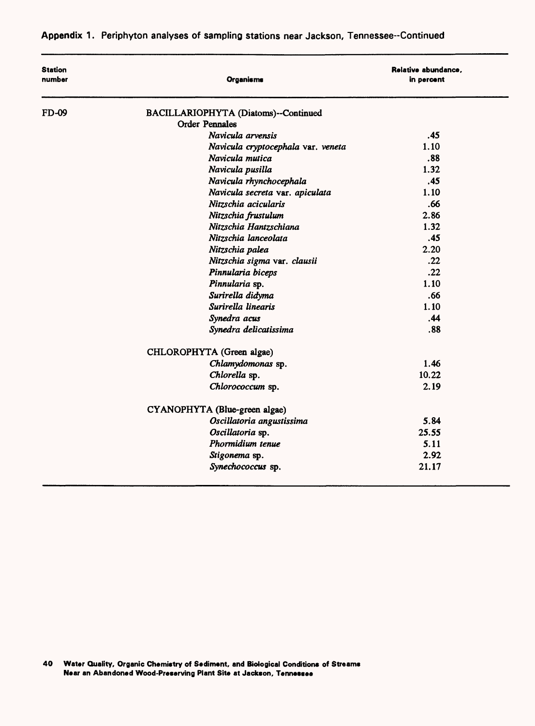| <b>Station</b><br>number | Organisms                            | Relative abundance,<br>in percent |  |
|--------------------------|--------------------------------------|-----------------------------------|--|
| <b>FD-09</b>             | BACILLARIOPHYTA (Diatoms)--Continued |                                   |  |
|                          | <b>Order Pennales</b>                |                                   |  |
|                          | Navicula arvensis                    | .45                               |  |
|                          | Navicula cryptocephala var. veneta   | 1.10                              |  |
|                          | Navicula mutica                      | .88                               |  |
|                          | Navicula pusilla                     | 1.32                              |  |
|                          | Navicula rhynchocephala              | .45                               |  |
|                          | Navicula secreta var. apiculata      | 1.10                              |  |
|                          | Nitzschia acicularis                 | .66                               |  |
|                          | Nitzschia frustulum                  | 2.86                              |  |
|                          | Nitzschia Hantzschiana               | 1.32                              |  |
|                          | Nitzschia lanceolata                 | .45                               |  |
|                          | Nitzschia palea                      | 2.20                              |  |
|                          | Nitzschia sigma var. clausii         | .22                               |  |
|                          | Pinnularia biceps                    | .22                               |  |
|                          | Pinnularia sp.                       | 1.10                              |  |
|                          | Surirella didyma                     | .66                               |  |
|                          | Surirella linearis                   | 1.10                              |  |
|                          | Synedra acus                         | .44                               |  |
|                          | Synedra delicatissima                | .88                               |  |
|                          | CHLOROPHYTA (Green algae)            |                                   |  |
|                          | Chlamydomonas sp.                    | 1.46                              |  |
|                          | Chlorella sp.                        | 10.22                             |  |
|                          | Chlorococcum sp.                     | 2.19                              |  |
|                          | CYANOPHYTA (Blue-green algae)        |                                   |  |
|                          | Oscillatoria angustissima            | 5.84                              |  |
|                          | Oscillatoria sp.                     | 25.55                             |  |
|                          | Phormidium tenue                     | 5.11                              |  |
|                          | Stigonema sp.                        | 2.92                              |  |
|                          | Synechococcus sp.                    | 21.17                             |  |

**40 Water Quality, Organic Chemistry of Sediment, and Biological Conditions of Streams Near an Abandoned Wood-Preserving Plant Site at Jackson, Tennessee**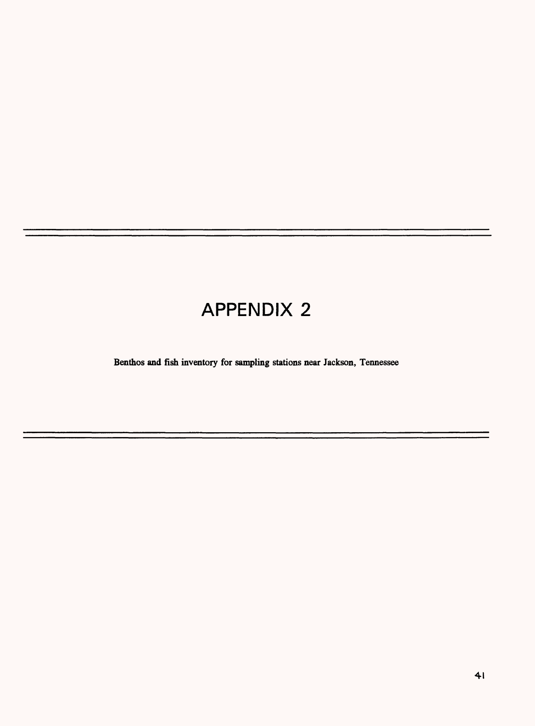# APPENDIX 2

Benthos and fish inventory for sampling stations near Jackson, Tennessee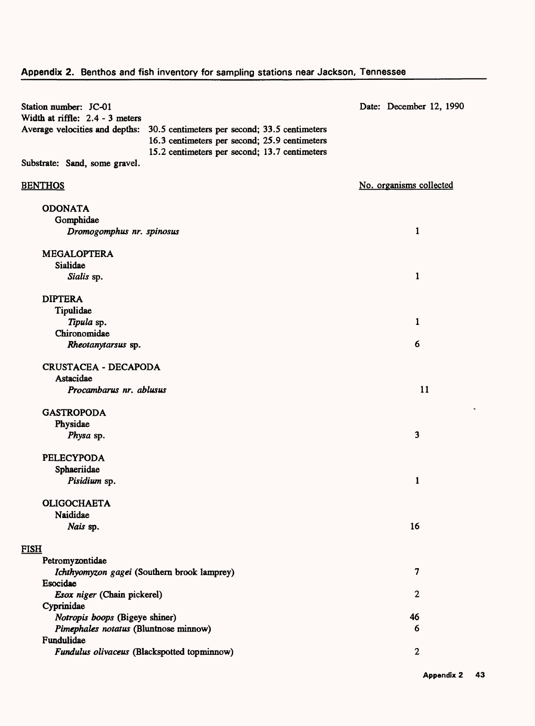| Station number: JC-01<br>Width at riffle: 2.4 - 3 meters | Date: December 12, 1990                                                                        |                         |
|----------------------------------------------------------|------------------------------------------------------------------------------------------------|-------------------------|
| Average velocities and depths:                           | 30.5 centimeters per second; 33.5 centimeters<br>16.3 centimeters per second; 25.9 centimeters |                         |
| Substrate: Sand, some gravel.                            | 15.2 centimeters per second; 13.7 centimeters                                                  |                         |
| <b>BENTHOS</b>                                           |                                                                                                | No. organisms collected |
| <b>ODONATA</b>                                           |                                                                                                |                         |
| Gomphidae                                                |                                                                                                |                         |
| Dromogomphus nr. spinosus                                |                                                                                                | 1                       |
| <b>MEGALOPTERA</b>                                       |                                                                                                |                         |
| Sialidae                                                 |                                                                                                |                         |
| Sialis sp.                                               |                                                                                                | $\mathbf{1}$            |
| <b>DIPTERA</b>                                           |                                                                                                |                         |
| Tipulidae                                                |                                                                                                |                         |
| Tipula sp.                                               |                                                                                                | 1                       |
| Chironomidae                                             |                                                                                                |                         |
| Rheotanytarsus sp.                                       |                                                                                                | 6                       |
| <b>CRUSTACEA - DECAPODA</b>                              |                                                                                                |                         |
| Astacidae                                                |                                                                                                |                         |
| Procambarus nr. ablusus                                  |                                                                                                | 11                      |
| <b>GASTROPODA</b>                                        |                                                                                                |                         |
| Physidae                                                 |                                                                                                |                         |
| Physa sp.                                                |                                                                                                | 3                       |
| <b>PELECYPODA</b>                                        |                                                                                                |                         |
| Sphaeriidae                                              |                                                                                                |                         |
| Pisidium sp.                                             |                                                                                                | 1                       |
| <b>OLIGOCHAETA</b>                                       |                                                                                                |                         |
| Naididae                                                 |                                                                                                |                         |
| Nais sp.                                                 |                                                                                                | 16                      |
| <b>FISH</b>                                              |                                                                                                |                         |
| Petromyzontidae                                          |                                                                                                |                         |
|                                                          | Ichthyomyzon gagei (Southern brook lamprey)                                                    | $\overline{\mathbf{z}}$ |
| Esocidae                                                 |                                                                                                |                         |
| Esox niger (Chain pickerel)                              |                                                                                                | $\mathbf{2}$            |
| Cyprinidae                                               |                                                                                                |                         |
| Notropis boops (Bigeye shiner)                           |                                                                                                | 46                      |
| Pimephales notatus (Bluntnose minnow)                    |                                                                                                | 6                       |
| Fundulidae                                               |                                                                                                |                         |
|                                                          | Fundulus olivaceus (Blackspotted topminnow)                                                    | $\overline{2}$          |

 $\ddot{\phantom{a}}$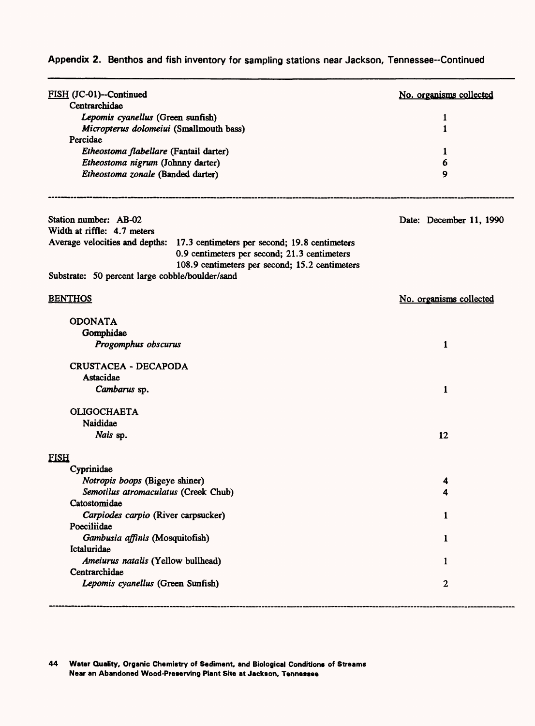| FISH (JC-01)--Continued                                                                                   |                                                                              | No. organisms collected |
|-----------------------------------------------------------------------------------------------------------|------------------------------------------------------------------------------|-------------------------|
| Centrarchidae<br>Lepomis cyanellus (Green sunfish)<br>Micropterus dolomeiui (Smallmouth bass)<br>Percidae |                                                                              |                         |
|                                                                                                           |                                                                              | 1                       |
|                                                                                                           |                                                                              | 1                       |
|                                                                                                           |                                                                              |                         |
| Etheostoma flabellare (Fantail darter)                                                                    |                                                                              | 1                       |
| Etheostoma nigrum (Johnny darter)                                                                         |                                                                              | 6                       |
| Etheostoma zonale (Banded darter)                                                                         |                                                                              | 9                       |
| Station number: AB-02                                                                                     |                                                                              | Date: December 11, 1990 |
| Width at riffle: 4.7 meters                                                                               |                                                                              |                         |
|                                                                                                           | Average velocities and depths: 17.3 centimeters per second; 19.8 centimeters |                         |
|                                                                                                           | 0.9 centimeters per second; 21.3 centimeters                                 |                         |
|                                                                                                           | 108.9 centimeters per second; 15.2 centimeters                               |                         |
| Substrate: 50 percent large cobble/boulder/sand                                                           |                                                                              |                         |
| <b>BENTHOS</b>                                                                                            |                                                                              | No. organisms collected |
| <b>ODONATA</b>                                                                                            |                                                                              |                         |
| Gomphidae                                                                                                 |                                                                              |                         |
| Progomphus obscurus                                                                                       |                                                                              | $\mathbf{1}$            |
| <b>CRUSTACEA - DECAPODA</b>                                                                               |                                                                              |                         |
| Astacidae                                                                                                 |                                                                              |                         |
| Cambarus sp.                                                                                              |                                                                              | $\mathbf{1}$            |
| <b>OLIGOCHAETA</b>                                                                                        |                                                                              |                         |
| Naididae                                                                                                  |                                                                              |                         |
| Nais sp.                                                                                                  |                                                                              | 12                      |
| <b>FISH</b>                                                                                               |                                                                              |                         |
| Cyprinidae                                                                                                |                                                                              |                         |
| Notropis boops (Bigeye shiner)                                                                            |                                                                              |                         |
| Semotilus atromaculatus (Creek Chub)                                                                      |                                                                              | 4                       |
| Catostomidae                                                                                              |                                                                              |                         |
| Carpiodes carpio (River carpsucker)                                                                       |                                                                              | 1                       |
| Poeciliidae                                                                                               |                                                                              |                         |
| Gambusia affinis (Mosquitofish)                                                                           |                                                                              | 1                       |
| Ictaluridae                                                                                               |                                                                              |                         |
| Ameiurus natalis (Yellow bullhead)                                                                        |                                                                              | 1                       |
| Centrarchidae                                                                                             |                                                                              |                         |
| Lepomis cyanellus (Green Sunfish)                                                                         |                                                                              | 2                       |
|                                                                                                           |                                                                              |                         |

**44 Water Quality, Organic Chemistry of Sediment, and Biological Conditions of Streams Near an Abandoned Wood-Preserving Plant Site at Jackson, Tennessee**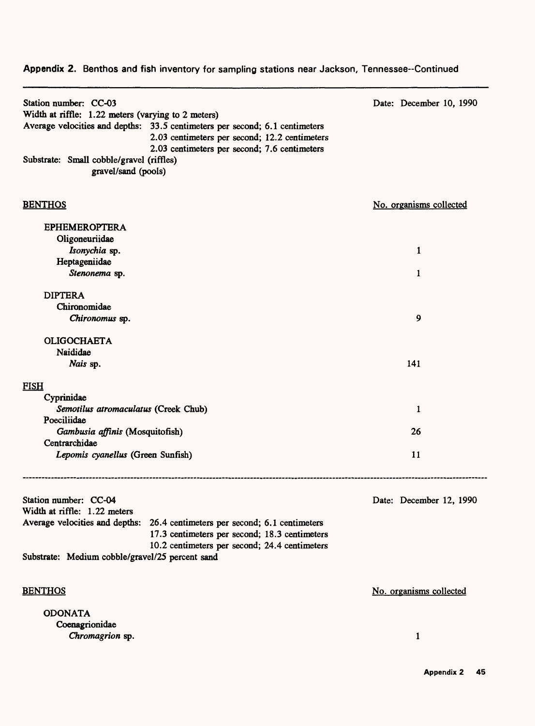| Station number: CC-03<br>Width at riffle: 1.22 meters (varying to 2 meters)<br>Average velocities and depths: 33.5 centimeters per second; 6.1 centimeters<br>2.03 centimeters per second; 12.2 centimeters<br>2.03 centimeters per second; 7.6 centimeters<br>Substrate: Small cobble/gravel (riffles)<br>gravel/sand (pools) | Date: December 10, 1990 |
|--------------------------------------------------------------------------------------------------------------------------------------------------------------------------------------------------------------------------------------------------------------------------------------------------------------------------------|-------------------------|
| <b>BENTHOS</b>                                                                                                                                                                                                                                                                                                                 | No. organisms collected |
| <b>EPHEMEROPTERA</b>                                                                                                                                                                                                                                                                                                           |                         |
| Oligoneuriidae                                                                                                                                                                                                                                                                                                                 |                         |
| Isonychia sp.                                                                                                                                                                                                                                                                                                                  | 1                       |
| Heptageniidae                                                                                                                                                                                                                                                                                                                  |                         |
| Stenonema sp.                                                                                                                                                                                                                                                                                                                  | 1                       |
| <b>DIPTERA</b>                                                                                                                                                                                                                                                                                                                 |                         |
| Chironomidae                                                                                                                                                                                                                                                                                                                   |                         |
| Chironomus sp.                                                                                                                                                                                                                                                                                                                 | 9                       |
|                                                                                                                                                                                                                                                                                                                                |                         |
| <b>OLIGOCHAETA</b>                                                                                                                                                                                                                                                                                                             |                         |
| Naididae<br>Nais sp.                                                                                                                                                                                                                                                                                                           | 141                     |
|                                                                                                                                                                                                                                                                                                                                |                         |
| <b>FISH</b>                                                                                                                                                                                                                                                                                                                    |                         |
| Cyprinidae                                                                                                                                                                                                                                                                                                                     |                         |
| Semotilus atromaculatus (Creek Chub)                                                                                                                                                                                                                                                                                           | 1                       |
| Poeciliidae                                                                                                                                                                                                                                                                                                                    |                         |
| Gambusia affinis (Mosquitofish)<br>Centrarchidae                                                                                                                                                                                                                                                                               | 26                      |
| Lepomis cyanellus (Green Sunfish)                                                                                                                                                                                                                                                                                              | 11                      |
|                                                                                                                                                                                                                                                                                                                                |                         |
| Station number: CC-04<br>Width at riffle: 1.22 meters                                                                                                                                                                                                                                                                          | Date: December 12, 1990 |
| Average velocities and depths: 26.4 centimeters per second; 6.1 centimeters<br>17.3 centimeters per second; 18.3 centimeters<br>10.2 centimeters per second; 24.4 centimeters                                                                                                                                                  |                         |
| Substrate: Medium cobble/gravel/25 percent sand                                                                                                                                                                                                                                                                                |                         |
| <b>BENTHOS</b>                                                                                                                                                                                                                                                                                                                 | No. organisms collected |
| <b>ODONATA</b>                                                                                                                                                                                                                                                                                                                 |                         |
| Coenagrionidae                                                                                                                                                                                                                                                                                                                 |                         |
| Chromagrion sp.                                                                                                                                                                                                                                                                                                                | $\mathbf{1}$            |
|                                                                                                                                                                                                                                                                                                                                |                         |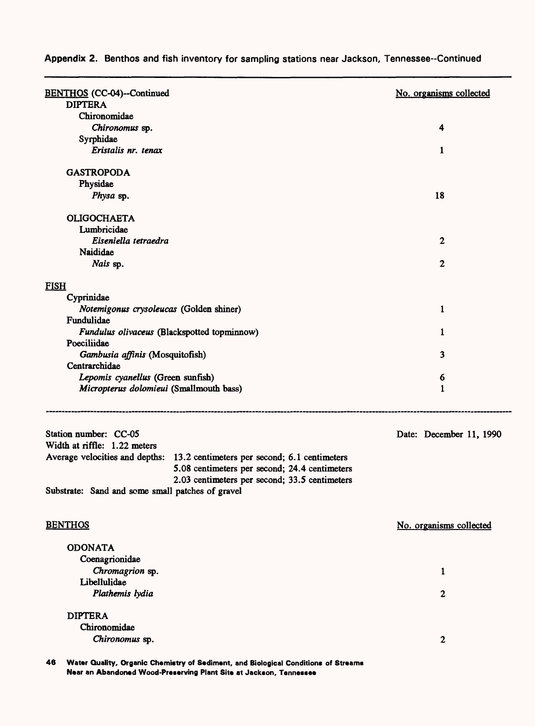| <b>BENTHOS</b> (CC-04)--Continued                          |                                                                             | No. organisms collected |
|------------------------------------------------------------|-----------------------------------------------------------------------------|-------------------------|
| <b>DIPTERA</b>                                             |                                                                             |                         |
| Chironomidae                                               |                                                                             |                         |
| Chironomus sp.                                             |                                                                             | 4                       |
| Syrphidae                                                  |                                                                             |                         |
| Eristalis nr. tenax                                        |                                                                             | 1                       |
| <b>GASTROPODA</b>                                          |                                                                             |                         |
| Physidae                                                   |                                                                             |                         |
| Physa sp.                                                  |                                                                             | 18                      |
| <b>OLIGOCHAETA</b>                                         |                                                                             |                         |
| Lumbricidae                                                |                                                                             |                         |
| Eiseniella tetraedra                                       |                                                                             | $\boldsymbol{2}$        |
| Naididae                                                   |                                                                             |                         |
| Nais sp.                                                   |                                                                             | 2                       |
| <b>FISH</b>                                                |                                                                             |                         |
| Cyprinidae                                                 |                                                                             |                         |
| Notemigonus crysoleucas (Golden shiner)                    |                                                                             | 1                       |
| Fundulidae                                                 |                                                                             |                         |
| Fundulus olivaceus (Blackspotted topminnow)<br>Poeciliidae |                                                                             | 1                       |
| Gambusia affinis (Mosquitofish)                            |                                                                             | 3                       |
| Centrarchidae                                              |                                                                             |                         |
| Lepomis cyanellus (Green sunfish)                          |                                                                             | 6                       |
| Micropterus dolomieui (Smallmouth bass)                    |                                                                             | 1                       |
| Station number: CC-05                                      |                                                                             | Date: December 11, 1990 |
| Width at riffle: 1.22 meters                               |                                                                             |                         |
|                                                            | Average velocities and depths: 13.2 centimeters per second; 6.1 centimeters |                         |
|                                                            | 5.08 centimeters per second; 24.4 centimeters                               |                         |
| Substrate: Sand and some small patches of gravel           | 2.03 centimeters per second; 33.5 centimeters                               |                         |
|                                                            |                                                                             |                         |
| <b>BENTHOS</b>                                             |                                                                             | No. organisms collected |
| <b>ODONATA</b>                                             |                                                                             |                         |
| Coenagrionidae                                             |                                                                             |                         |
| Chromagrion sp.                                            |                                                                             | 1                       |
| Libellulidae                                               |                                                                             |                         |
| Plathemis lydia                                            |                                                                             | $\mathbf{2}$            |
| <b>DIPTERA</b>                                             |                                                                             |                         |
| Chironomidae                                               |                                                                             |                         |
| Chironomus sp.                                             |                                                                             | $\boldsymbol{2}$        |
|                                                            |                                                                             |                         |

**46 Water Quality, Organic Chemistry of Sediment, and Biological Conditions of Streams Near an Abandoned Wood-Preserving Plant Site at Jackson, Tennessee**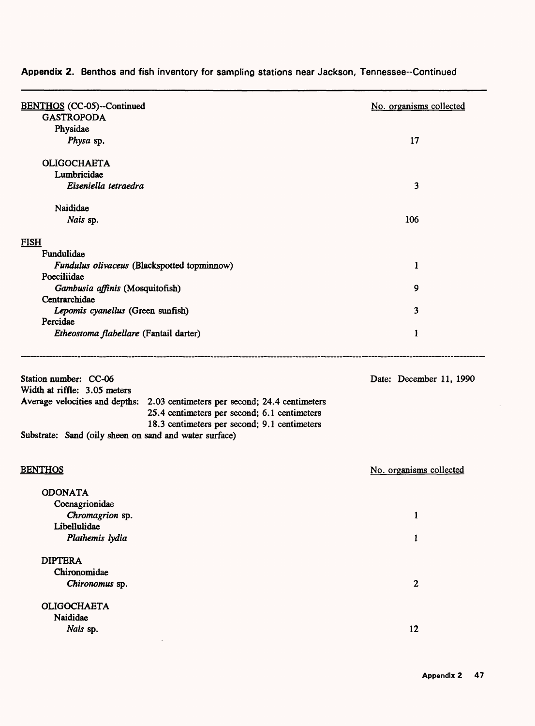| <b>BENTHOS</b> (CC-05)--Continued                                            |                                              | No. organisms collected |
|------------------------------------------------------------------------------|----------------------------------------------|-------------------------|
| <b>GASTROPODA</b>                                                            |                                              |                         |
| Physidae                                                                     |                                              |                         |
| Physa sp.                                                                    |                                              | 17                      |
| <b>OLIGOCHAETA</b>                                                           |                                              |                         |
| Lumbricidae                                                                  |                                              |                         |
| Eiseniella tetraedra                                                         |                                              | 3                       |
| Naididae                                                                     |                                              |                         |
| Nais sp.                                                                     |                                              | 106                     |
| <b>FISH</b>                                                                  |                                              |                         |
| Fundulidae                                                                   |                                              |                         |
| Fundulus olivaceus (Blackspotted topminnow)                                  |                                              | 1                       |
| Poeciliidae                                                                  |                                              |                         |
| Gambusia affinis (Mosquitofish)<br>Centrarchidae                             |                                              | 9                       |
| Lepomis cyanellus (Green sunfish)                                            |                                              | 3                       |
| Percidae                                                                     |                                              |                         |
| Etheostoma flabellare (Fantail darter)                                       |                                              | 1                       |
| Station number: CC-06                                                        |                                              | Date: December 11, 1990 |
| Width at riffle: 3.05 meters                                                 |                                              |                         |
| Average velocities and depths: 2.03 centimeters per second; 24.4 centimeters |                                              |                         |
|                                                                              | 25.4 centimeters per second; 6.1 centimeters |                         |
|                                                                              | 18.3 centimeters per second; 9.1 centimeters |                         |
| Substrate: Sand (oily sheen on sand and water surface)                       |                                              |                         |
| <b>BENTHOS</b>                                                               |                                              | No. organisms collected |
| <b>ODONATA</b>                                                               |                                              |                         |
| Coenagrionidae                                                               |                                              |                         |
| Chromagrion sp.                                                              |                                              | 1                       |
| Libellulidae                                                                 |                                              |                         |
| Plathemis lydia                                                              |                                              | $\mathbf{1}$            |
|                                                                              |                                              |                         |
| <b>DIPTERA</b>                                                               |                                              |                         |
| Chironomidae                                                                 |                                              |                         |
| Chironomus sp.                                                               |                                              | $\mathbf{2}$            |
| <b>OLIGOCHAETA</b>                                                           |                                              |                         |
| Naididae                                                                     |                                              |                         |
| Nais sp.                                                                     |                                              | 12                      |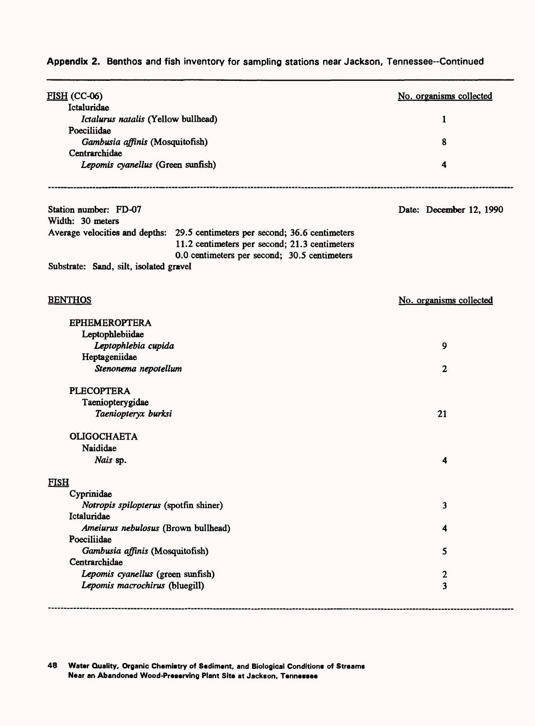| <b>FISH (CC-06)</b>                                                                                                                                                           | No. organisms collected |
|-------------------------------------------------------------------------------------------------------------------------------------------------------------------------------|-------------------------|
| Ictaluridae                                                                                                                                                                   |                         |
| Ictalurus natalis (Yellow bullhead)                                                                                                                                           | 1                       |
| Poeciliidae                                                                                                                                                                   | 8                       |
| Gambusia affinis (Mosquitofish)<br>Centrarchidae                                                                                                                              |                         |
| Lepomis cyanellus (Green sunfish)                                                                                                                                             | 4                       |
|                                                                                                                                                                               |                         |
| Station number: FD-07                                                                                                                                                         | Date: December 12, 1990 |
| Width: 30 meters                                                                                                                                                              |                         |
| Average velocities and depths: 29.5 centimeters per second; 36.6 centimeters<br>11.2 centimeters per second; 21.3 centimeters<br>0.0 centimeters per second; 30.5 centimeters |                         |
| Substrate: Sand, silt, isolated gravel                                                                                                                                        |                         |
| <b>BENTHOS</b>                                                                                                                                                                | No. organisms collected |
| <b>EPHEMEROPTERA</b>                                                                                                                                                          |                         |
| Leptophlebiidae                                                                                                                                                               |                         |
| Leptophlebia cupida                                                                                                                                                           | 9                       |
| Heptageniidae                                                                                                                                                                 |                         |
| Stenonema nepotellum                                                                                                                                                          | $\mathbf{2}$            |
| <b>PLECOPTERA</b>                                                                                                                                                             |                         |
| Taeniopterygidae                                                                                                                                                              |                         |
| Taeniopteryx burksi                                                                                                                                                           | 21                      |
| <b>OLIGOCHAETA</b>                                                                                                                                                            |                         |
| Naididae                                                                                                                                                                      |                         |
| Nais sp.                                                                                                                                                                      | 4                       |
| <b>FISH</b>                                                                                                                                                                   |                         |
| Cyprinidae                                                                                                                                                                    |                         |
| Notropis spilopterus (spotfin shiner)                                                                                                                                         | 3                       |
| Ictaluridae                                                                                                                                                                   |                         |
| Ameiurus nebulosus (Brown bullhead)                                                                                                                                           | 4                       |
| Poeciliidae                                                                                                                                                                   |                         |
| Gambusia affinis (Mosquitofish)                                                                                                                                               | 5                       |
| Centrarchidae                                                                                                                                                                 |                         |
| Lepomis cyanellus (green sunfish)                                                                                                                                             | 2                       |
| Lepomis macrochirus (bluegill)                                                                                                                                                | 3                       |
|                                                                                                                                                                               |                         |

**48 Water Quality, Organic Chemistry of Sediment, and Biological Conditions of Streams Near an Abandoned Wood-Preserving Plant Site at Jackson, Tennessee**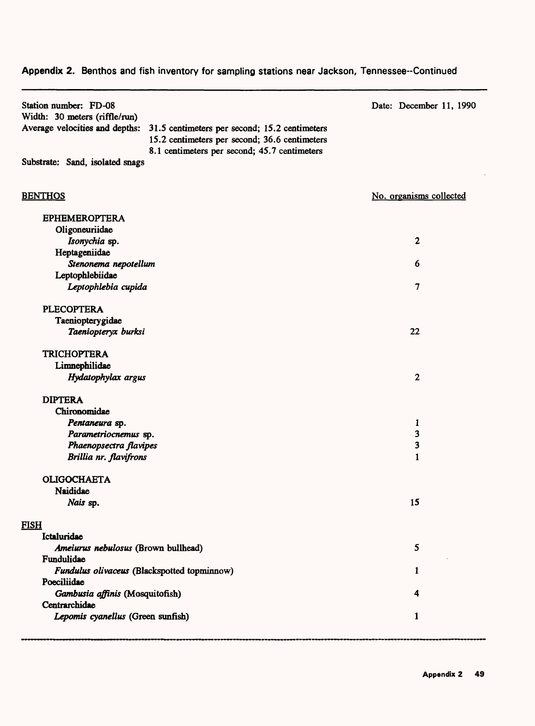| Station number: FD-08<br>Width: 30 meters (riffle/run)                          | Date: December 11, 1990 |
|---------------------------------------------------------------------------------|-------------------------|
| Average velocities and depths:<br>31.5 centimeters per second; 15.2 centimeters |                         |
| 15.2 centimeters per second; 36.6 centimeters                                   |                         |
| 8.1 centimeters per second; 45.7 centimeters                                    |                         |
| Substrate: Sand, isolated snags                                                 |                         |
|                                                                                 |                         |
| <b>BENTHOS</b>                                                                  | No. organisms collected |
|                                                                                 |                         |
| <b>EPHEMEROPTERA</b>                                                            |                         |
| Oligoneuriidae                                                                  |                         |
| Isonychia sp.                                                                   | $\boldsymbol{2}$        |
| Heptageniidae                                                                   |                         |
| Stenonema nepotellum                                                            | 6                       |
| Leptophlebiidae                                                                 |                         |
| Leptophlebia cupida                                                             | 7                       |
| <b>PLECOPTERA</b>                                                               |                         |
| Taeniopterygidae                                                                |                         |
| Taeniopteryx burksi                                                             | 22                      |
| <b>TRICHOPTERA</b>                                                              |                         |
| Limnephilidae                                                                   |                         |
| Hydatophylax argus                                                              | $\mathbf{2}$            |
| <b>DIPTERA</b>                                                                  |                         |
| Chironomidae                                                                    |                         |
| Pentaneura sp.                                                                  | 1                       |
| Parametriocnemus sp.                                                            | 3                       |
| Phaenopsectra flavipes                                                          | 3                       |
| Brillia nr. flavifrons                                                          | 1                       |
| <b>OLIGOCHAETA</b>                                                              |                         |
| <b>Naididae</b>                                                                 |                         |
| Nais sp.                                                                        | 15                      |
| <b>FISH</b>                                                                     |                         |

| <u>u.s</u> |                                             |   |
|------------|---------------------------------------------|---|
|            | <b>Ictaluridae</b>                          |   |
|            | Ameiurus nebulosus (Brown bullhead)         |   |
|            | Fundulidae                                  |   |
|            | Fundulus olivaceus (Blackspotted topminnow) |   |
|            | Poeciliidae                                 |   |
|            | Gambusia affinis (Mosquitofish)             | А |
|            | Centrarchidae                               |   |
|            | Lepomis cyanellus (Green sunfish)           |   |
|            |                                             |   |